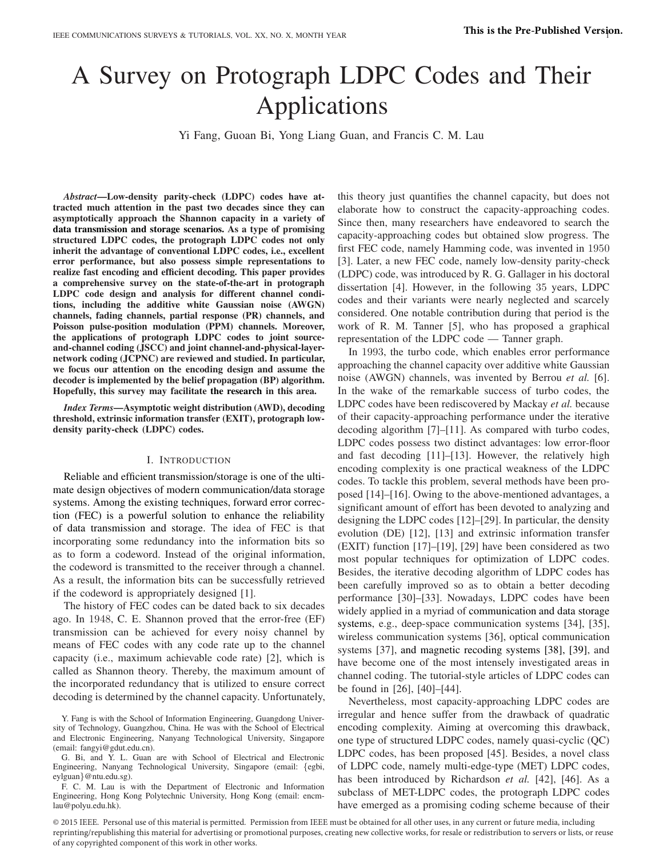# A Survey on Protograph LDPC Codes and Their Applications

Yi Fang, Guoan Bi, Yong Liang Guan, and Francis C. M. Lau

*Abstract*—Low-density parity-check (LDPC) codes have attracted much attention in the past two decades since they can asymptotically approach the Shannon capacity in a variety of data transmission and storage scenarios. As a type of promising structured LDPC codes, the protograph LDPC codes not only inherit the advantage of conventional LDPC codes, i.e., excellent error performance, but also possess simple representations to realize fast encoding and efficient decoding. This paper provides a comprehensive survey on the state-of-the-art in protograph LDPC code design and analysis for different channel conditions, including the additive white Gaussian noise (AWGN) channels, fading channels, partial response (PR) channels, and Poisson pulse-position modulation (PPM) channels. Moreover, the applications of protograph LDPC codes to joint sourceand-channel coding (JSCC) and joint channel-and-physical-layernetwork coding (JCPNC) are reviewed and studied. In particular, we focus our attention on the encoding design and assume the decoder is implemented by the belief propagation (BP) algorithm. Hopefully, this survey may facilitate the research in this area.

*Index Terms*—Asymptotic weight distribution (AWD), decoding threshold, extrinsic information transfer (EXIT), protograph lowdensity parity-check (LDPC) codes.

## I. INTRODUCTION

Reliable and efficient transmission/storage is one of the ultimate design objectives of modern communication/data storage systems. Among the existing techniques, forward error correction (FEC) is a powerful solution to enhance the reliability of data transmission and storage. The idea of FEC is that incorporating some redundancy into the information bits so as to form a codeword. Instead of the original information, the codeword is transmitted to the receiver through a channel. As a result, the information bits can be successfully retrieved if the codeword is appropriately designed [1].

The history of FEC codes can be dated back to six decades ago. In 1948, C. E. Shannon proved that the error-free (EF) transmission can be achieved for every noisy channel by means of FEC codes with any code rate up to the channel capacity (i.e., maximum achievable code rate) [2], which is called as Shannon theory. Thereby, the maximum amount of the incorporated redundancy that is utilized to ensure correct decoding is determined by the channel capacity. Unfortunately,

this theory just quantifies the channel capacity, but does not elaborate how to construct the capacity-approaching codes. Since then, many researchers have endeavored to search the capacity-approaching codes but obtained slow progress. The first FEC code, namely Hamming code, was invented in 1950 [3]. Later, a new FEC code, namely low-density parity-check (LDPC) code, was introduced by R. G. Gallager in his doctoral dissertation [4]. However, in the following 35 years, LDPC codes and their variants were nearly neglected and scarcely considered. One notable contribution during that period is the work of R. M. Tanner [5], who has proposed a graphical representation of the LDPC code — Tanner graph.

In 1993, the turbo code, which enables error performance approaching the channel capacity over additive white Gaussian noise (AWGN) channels, was invented by Berrou *et al.* [6]. In the wake of the remarkable success of turbo codes, the LDPC codes have been rediscovered by Mackay *et al.* because of their capacity-approaching performance under the iterative decoding algorithm [7]–[11]. As compared with turbo codes, LDPC codes possess two distinct advantages: low error-floor and fast decoding [11]–[13]. However, the relatively high encoding complexity is one practical weakness of the LDPC codes. To tackle this problem, several methods have been proposed [14]–[16]. Owing to the above-mentioned advantages, a significant amount of effort has been devoted to analyzing and designing the LDPC codes [12]–[29]. In particular, the density evolution (DE) [12], [13] and extrinsic information transfer (EXIT) function [17]–[19], [29] have been considered as two most popular techniques for optimization of LDPC codes. Besides, the iterative decoding algorithm of LDPC codes has been carefully improved so as to obtain a better decoding performance [30]–[33]. Nowadays, LDPC codes have been widely applied in a myriad of communication and data storage systems, e.g., deep-space communication systems [34], [35], wireless communication systems [36], optical communication systems [37], and magnetic recoding systems [38], [39], and have become one of the most intensely investigated areas in channel coding. The tutorial-style articles of LDPC codes can be found in [26], [40]–[44].

Nevertheless, most capacity-approaching LDPC codes are irregular and hence suffer from the drawback of quadratic encoding complexity. Aiming at overcoming this drawback, one type of structured LDPC codes, namely quasi-cyclic (QC) LDPC codes, has been proposed [45]. Besides, a novel class of LDPC code, namely multi-edge-type (MET) LDPC codes, has been introduced by Richardson *et al.* [42], [46]. As a subclass of MET-LDPC codes, the protograph LDPC codes have emerged as a promising coding scheme because of their

© 2015 IEEE. Personal use of this material is permitted. Permission from IEEE must be obtained for all other uses, in any current or future media, including reprinting/republishing this material for advertising or promotional purposes, creating new collective works, for resale or redistribution to servers or lists, or reuse of any copyrighted component of this work in other works.

Y. Fang is with the School of Information Engineering, Guangdong University of Technology, Guangzhou, China. He was with the School of Electrical and Electronic Engineering, Nanyang Technological University, Singapore (email: fangyi@gdut.edu.cn).

G. Bi, and Y. L. Guan are with School of Electrical and Electronic Engineering, Nanyang Technological University, Singapore (email: {egbi, eylguan}@ntu.edu.sg).

F. C. M. Lau is with the Department of Electronic and Information Engineering, Hong Kong Polytechnic University, Hong Kong (email: encmlau@polyu.edu.hk).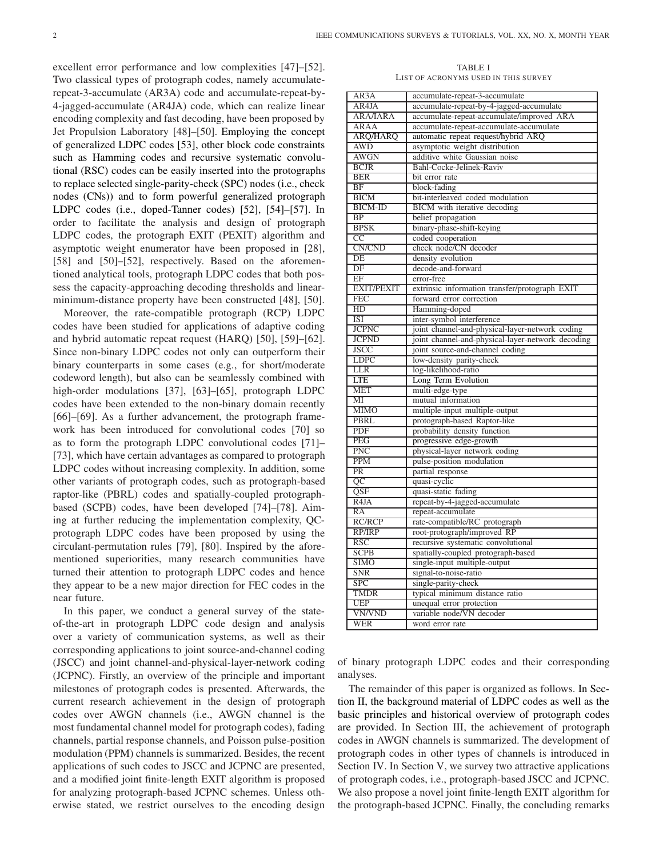excellent error performance and low complexities [47]–[52]. Two classical types of protograph codes, namely accumulaterepeat-3-accumulate (AR3A) code and accumulate-repeat-by-4-jagged-accumulate (AR4JA) code, which can realize linear encoding complexity and fast decoding, have been proposed by Jet Propulsion Laboratory [48]–[50]. Employing the concept of generalized LDPC codes [53], other block code constraints such as Hamming codes and recursive systematic convolutional (RSC) codes can be easily inserted into the protographs to replace selected single-parity-check (SPC) nodes (i.e., check nodes (CNs)) and to form powerful generalized protograph LDPC codes (i.e., doped-Tanner codes) [52], [54]–[57]. In order to facilitate the analysis and design of protograph LDPC codes, the protograph EXIT (PEXIT) algorithm and asymptotic weight enumerator have been proposed in [28], [58] and [50]–[52], respectively. Based on the aforementioned analytical tools, protograph LDPC codes that both possess the capacity-approaching decoding thresholds and linearminimum-distance property have been constructed [48], [50].

Moreover, the rate-compatible protograph (RCP) LDPC codes have been studied for applications of adaptive coding and hybrid automatic repeat request (HARQ) [50], [59]–[62]. Since non-binary LDPC codes not only can outperform their binary counterparts in some cases (e.g., for short/moderate codeword length), but also can be seamlessly combined with high-order modulations [37], [63]–[65], protograph LDPC codes have been extended to the non-binary domain recently [66]–[69]. As a further advancement, the protograph framework has been introduced for convolutional codes [70] so as to form the protograph LDPC convolutional codes [71]– [73], which have certain advantages as compared to protograph LDPC codes without increasing complexity. In addition, some other variants of protograph codes, such as protograph-based raptor-like (PBRL) codes and spatially-coupled protographbased (SCPB) codes, have been developed [74]–[78]. Aiming at further reducing the implementation complexity, QCprotograph LDPC codes have been proposed by using the circulant-permutation rules [79], [80]. Inspired by the aforementioned superiorities, many research communities have turned their attention to protograph LDPC codes and hence they appear to be a new major direction for FEC codes in the near future.

In this paper, we conduct a general survey of the stateof-the-art in protograph LDPC code design and analysis over a variety of communication systems, as well as their corresponding applications to joint source-and-channel coding (JSCC) and joint channel-and-physical-layer-network coding (JCPNC). Firstly, an overview of the principle and important milestones of protograph codes is presented. Afterwards, the current research achievement in the design of protograph codes over AWGN channels (i.e., AWGN channel is the most fundamental channel model for protograph codes), fading channels, partial response channels, and Poisson pulse-position modulation (PPM) channels is summarized. Besides, the recent applications of such codes to JSCC and JCPNC are presented, and a modified joint finite-length EXIT algorithm is proposed for analyzing protograph-based JCPNC schemes. Unless otherwise stated, we restrict ourselves to the encoding design

| TABLE I                              |  |  |  |  |  |  |
|--------------------------------------|--|--|--|--|--|--|
| LIST OF ACRONYMS USED IN THIS SURVEY |  |  |  |  |  |  |

| AR3A                          | accumulate-repeat-3-accumulate                    |
|-------------------------------|---------------------------------------------------|
| AR4JA                         | accumulate-repeat-by-4-jagged-accumulate          |
| <b>ARA/IARA</b>               | accumulate-repeat-accumulate/improved ARA         |
| <b>ARAA</b>                   | accumulate-repeat-accumulate-accumulate           |
| <b>ARQ/HARQ</b>               | automatic repeat request/hybrid ARQ               |
| <b>AWD</b>                    | asymptotic weight distribution                    |
| <b>AWGN</b>                   | additive white Gaussian noise                     |
| <b>BCJR</b>                   | Bahl-Cocke-Jelinek-Raviv                          |
| <b>BER</b>                    | bit error rate                                    |
| <b>BF</b>                     | block-fading                                      |
| <b>BICM</b>                   | bit-interleaved coded modulation                  |
| <b>BICM-ID</b>                | <b>BICM</b> with iterative decoding               |
| BP                            | belief propagation                                |
| <b>BPSK</b>                   | binary-phase-shift-keying                         |
| $\overline{cc}$               | coded cooperation                                 |
| <b>CN/CND</b>                 | check node/CN decoder                             |
| DE                            | density evolution                                 |
| DF                            | decode-and-forward                                |
| $\overline{EF}$               | error-free                                        |
| <b>EXIT/PEXIT</b>             | extrinsic information transfer/protograph EXIT    |
| <b>FEC</b>                    | forward error correction                          |
| HD                            | Hamming-doped                                     |
| <b>ISI</b>                    | inter-symbol interference                         |
| <b>JCPNC</b>                  | joint channel-and-physical-layer-network coding   |
| <b>JCPND</b>                  | joint channel-and-physical-layer-network decoding |
| <b>JSCC</b>                   | joint source-and-channel coding                   |
| <b>LDPC</b>                   | low-density parity-check                          |
| <b>LLR</b>                    | log-likelihood-ratio                              |
| <b>LTE</b>                    | Long Term Evolution                               |
| <b>MET</b>                    | multi-edge-type                                   |
| $\overline{\text{MI}}$        | mutual information                                |
| <b>MIMO</b>                   | multiple-input multiple-output                    |
| PBRL                          | protograph-based Raptor-like                      |
| PDF                           | probability density function                      |
| PEG                           | progressive edge-growth                           |
| <b>PNC</b>                    | physical-layer network coding                     |
| <b>PPM</b>                    | pulse-position modulation                         |
| PR                            | partial response                                  |
| $\overline{OC}$               | quasi-cyclic                                      |
| QSF                           | quasi-static fading                               |
| R <sub>4</sub> J <sub>A</sub> | repeat-by-4-jagged-accumulate                     |
| RA                            | repeat-accumulate                                 |
| <b>RC/RCP</b>                 | rate-compatible/RC protograph                     |
| <b>RP/IRP</b>                 | root-protograph/improved RP                       |
| <b>RSC</b>                    | recursive systematic convolutional                |
| <b>SCPB</b>                   | spatially-coupled protograph-based                |
| <b>SIMO</b>                   | single-input multiple-output                      |
| <b>SNR</b>                    | signal-to-noise-ratio                             |
| SPC                           | single-parity-check                               |
| <b>TMDR</b>                   | typical minimum distance ratio                    |
| <b>UEP</b>                    | unequal error protection                          |
|                               |                                                   |
| <b>VN/VND</b>                 | variable node/VN decoder                          |

of binary protograph LDPC codes and their corresponding analyses.

The remainder of this paper is organized as follows. In Section II, the background material of LDPC codes as well as the basic principles and historical overview of protograph codes are provided. In Section III, the achievement of protograph codes in AWGN channels is summarized. The development of protograph codes in other types of channels is introduced in Section IV. In Section V, we survey two attractive applications of protograph codes, i.e., protograph-based JSCC and JCPNC. We also propose a novel joint finite-length EXIT algorithm for the protograph-based JCPNC. Finally, the concluding remarks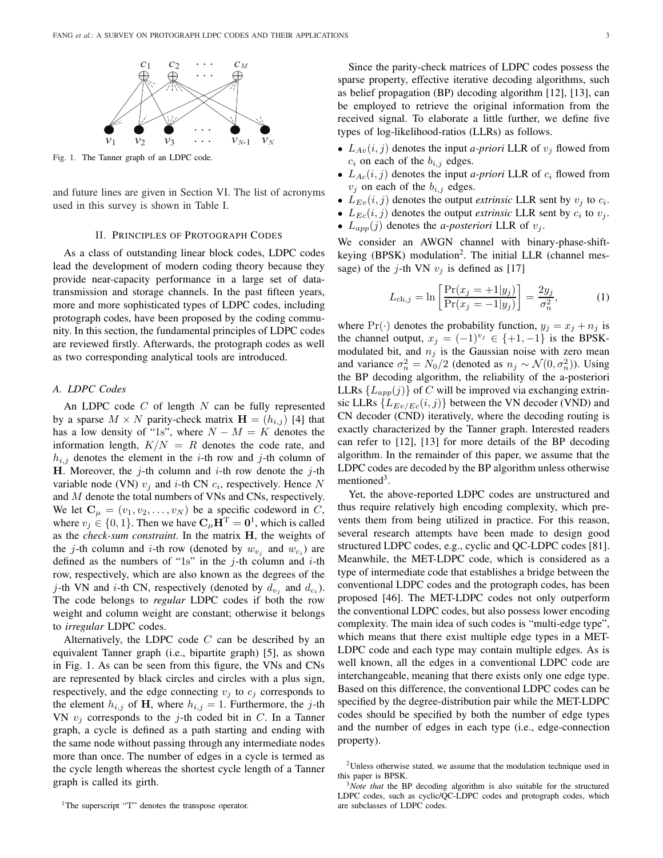

Fig. 1. The Tanner graph of an LDPC code.

and future lines are given in Section VI. The list of acronyms used in this survey is shown in Table I.

# II. PRINCIPLES OF PROTOGRAPH CODES

As a class of outstanding linear block codes, LDPC codes lead the development of modern coding theory because they provide near-capacity performance in a large set of datatransmission and storage channels. In the past fifteen years, more and more sophisticated types of LDPC codes, including protograph codes, have been proposed by the coding community. In this section, the fundamental principles of LDPC codes are reviewed firstly. Afterwards, the protograph codes as well as two corresponding analytical tools are introduced.

# *A. LDPC Codes*

An LDPC code  $C$  of length  $N$  can be fully represented by a sparse  $M \times N$  parity-check matrix  $\mathbf{H} = (h_{i,j})$  [4] that has a low density of "1s", where  $N - M = K$  denotes the information length,  $K/N = R$  denotes the code rate, and  $h_{i,j}$  denotes the element in the *i*-th row and *j*-th column of **H**. Moreover, the j-th column and *i*-th row denote the j-th variable node (VN)  $v_j$  and *i*-th CN  $c_i$ , respectively. Hence N and M denote the total numbers of VNs and CNs, respectively. We let  $\mathbf{C}_{\mu} = (v_1, v_2, \dots, v_N)$  be a specific codeword in C, where  $v_j \in \{0, 1\}$ . Then we have  $\mathbf{C}_{\mu} \mathbf{H}^{\mathrm{T}} = \mathbf{0}^1$ , which is called as the *check-sum constraint*. In the matrix H, the weights of the *j*-th column and *i*-th row (denoted by  $w_{v_j}$  and  $w_{c_i}$ ) are defined as the numbers of "1s" in the  $j$ -th column and  $i$ -th row, respectively, which are also known as the degrees of the *j*-th VN and *i*-th CN, respectively (denoted by  $d_{v_j}$  and  $d_{c_i}$ ). The code belongs to *regular* LDPC codes if both the row weight and column weight are constant; otherwise it belongs to *irregular* LDPC codes.

Alternatively, the LDPC code  $C$  can be described by an equivalent Tanner graph (i.e., bipartite graph) [5], as shown in Fig. 1. As can be seen from this figure, the VNs and CNs are represented by black circles and circles with a plus sign, respectively, and the edge connecting  $v_i$  to  $c_i$  corresponds to the element  $h_{i,j}$  of H, where  $h_{i,j} = 1$ . Furthermore, the j-th VN  $v_i$  corresponds to the j-th coded bit in C. In a Tanner graph, a cycle is defined as a path starting and ending with the same node without passing through any intermediate nodes more than once. The number of edges in a cycle is termed as the cycle length whereas the shortest cycle length of a Tanner graph is called its girth.

Since the parity-check matrices of LDPC codes possess the sparse property, effective iterative decoding algorithms, such as belief propagation (BP) decoding algorithm [12], [13], can be employed to retrieve the original information from the received signal. To elaborate a little further, we define five types of log-likelihood-ratios (LLRs) as follows.

- $L_{Av}(i, j)$  denotes the input *a-priori* LLR of  $v_j$  flowed from  $c_i$  on each of the  $b_{i,j}$  edges.
- $L_{Ac}(i, j)$  denotes the input *a-priori* LLR of  $c_i$  flowed from  $v_j$  on each of the  $b_{i,j}$  edges.
- $\overline{L}_{Ev}(i, j)$  denotes the output *extrinsic* LLR sent by  $v_j$  to  $c_i$ .
- $L_{Ec}(i, j)$  denotes the output *extrinsic* LLR sent by  $c_i$  to  $v_j$ .
- $L_{app}(j)$  denotes the *a-posteriori* LLR of  $v_j$ .

We consider an AWGN channel with binary-phase-shiftkeying (BPSK) modulation<sup>2</sup>. The initial LLR (channel message) of the j-th VN  $v_i$  is defined as [17]

$$
L_{\text{ch},j} = \ln \left[ \frac{\Pr(x_j = +1 | y_j)}{\Pr(x_j = -1 | y_j)} \right] = \frac{2y_j}{\sigma_n^2},\tag{1}
$$

where  $Pr(\cdot)$  denotes the probability function,  $y_j = x_j + n_j$  is the channel output,  $x_j = (-1)^{v_j} \in \{+1, -1\}$  is the BPSKmodulated bit, and  $n_j$  is the Gaussian noise with zero mean and variance  $\sigma_n^2 = N_0/2$  (denoted as  $n_j \sim \mathcal{N}(0, \sigma_n^2)$ ). Using the BP decoding algorithm, the reliability of the a-posteriori LLRs  $\{L_{app}(j)\}\$  of C will be improved via exchanging extrinsic LLRs  $\{L_{Ev/Ec}(i, j)\}$  between the VN decoder (VND) and CN decoder (CND) iteratively, where the decoding routing is exactly characterized by the Tanner graph. Interested readers can refer to [12], [13] for more details of the BP decoding algorithm. In the remainder of this paper, we assume that the LDPC codes are decoded by the BP algorithm unless otherwise mentioned<sup>3</sup>.

Yet, the above-reported LDPC codes are unstructured and thus require relatively high encoding complexity, which prevents them from being utilized in practice. For this reason, several research attempts have been made to design good structured LDPC codes, e.g., cyclic and QC-LDPC codes [81]. Meanwhile, the MET-LDPC code, which is considered as a type of intermediate code that establishes a bridge between the conventional LDPC codes and the protograph codes, has been proposed [46]. The MET-LDPC codes not only outperform the conventional LDPC codes, but also possess lower encoding complexity. The main idea of such codes is "multi-edge type", which means that there exist multiple edge types in a MET-LDPC code and each type may contain multiple edges. As is well known, all the edges in a conventional LDPC code are interchangeable, meaning that there exists only one edge type. Based on this difference, the conventional LDPC codes can be specified by the degree-distribution pair while the MET-LDPC codes should be specified by both the number of edge types and the number of edges in each type (i.e., edge-connection property).

<sup>&</sup>lt;sup>1</sup>The superscript "T" denotes the transpose operator.

<sup>&</sup>lt;sup>2</sup>Unless otherwise stated, we assume that the modulation technique used in this paper is BPSK.

<sup>&</sup>lt;sup>3</sup>Note that the BP decoding algorithm is also suitable for the structured LDPC codes, such as cyclic/QC-LDPC codes and protograph codes, which are subclasses of LDPC codes.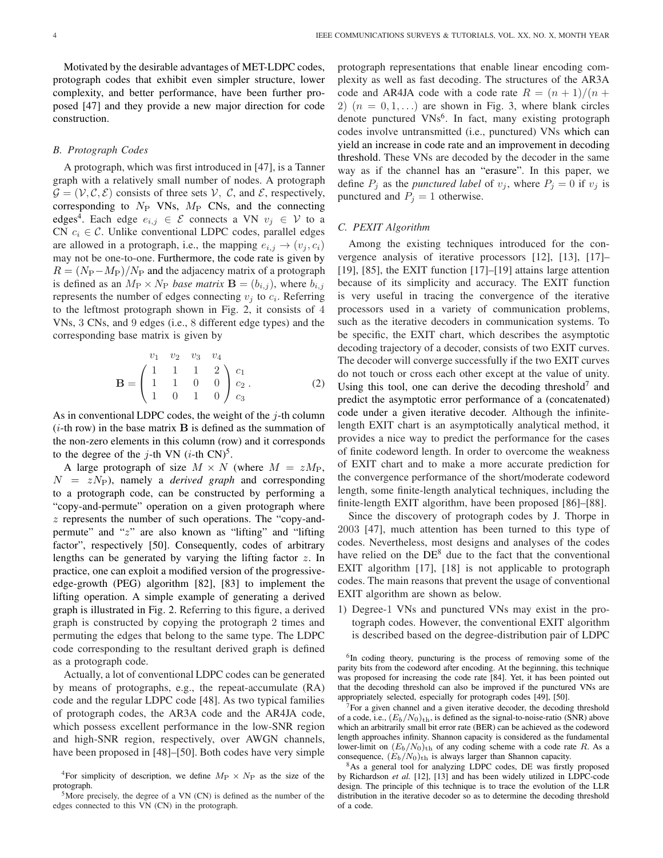Motivated by the desirable advantages of MET-LDPC codes, protograph codes that exhibit even simpler structure, lower complexity, and better performance, have been further proposed [47] and they provide a new major direction for code construction.

## *B. Protograph Codes*

A protograph, which was first introduced in [47], is a Tanner graph with a relatively small number of nodes. A protograph  $\mathcal{G} = (\mathcal{V}, \mathcal{C}, \mathcal{E})$  consists of three sets  $\mathcal{V}, \mathcal{C}$ , and  $\mathcal{E}$ , respectively, corresponding to  $N_P$  VNs,  $M_P$  CNs, and the connecting edges<sup>4</sup>. Each edge  $e_{i,j} \in \mathcal{E}$  connects a VN  $v_j \in \mathcal{V}$  to a CN  $c_i \in \mathcal{C}$ . Unlike conventional LDPC codes, parallel edges are allowed in a protograph, i.e., the mapping  $e_{i,j} \rightarrow (v_i, c_i)$ may not be one-to-one. Furthermore, the code rate is given by  $R = (N_P - M_P)/N_P$  and the adjacency matrix of a protograph is defined as an  $M_P \times N_P$  *base matrix*  $\mathbf{B} = (b_{i,j})$ , where  $b_{i,j}$ represents the number of edges connecting  $v_j$  to  $c_i$ . Referring to the leftmost protograph shown in Fig. 2, it consists of 4 VNs, 3 CNs, and 9 edges (i.e., 8 different edge types) and the corresponding base matrix is given by

$$
\mathbf{B} = \begin{pmatrix} v_1 & v_2 & v_3 & v_4 \\ 1 & 1 & 1 & 2 \\ 1 & 1 & 0 & 0 \\ 1 & 0 & 1 & 0 \end{pmatrix} \begin{matrix} c_1 \\ c_2 \end{matrix}.
$$
 (2)

As in conventional LDPC codes, the weight of the  $j$ -th column  $(i-th row)$  in the base matrix  $\bf{B}$  is defined as the summation of the non-zero elements in this column (row) and it corresponds to the degree of the j-th VN  $(i$ -th CN)<sup>5</sup>.

A large protograph of size  $M \times N$  (where  $M = zM_{\rm P}$ ,  $N = zN_{\rm P}$ ), namely a *derived graph* and corresponding to a protograph code, can be constructed by performing a "copy-and-permute" operation on a given protograph where z represents the number of such operations. The "copy-andpermute" and "z" are also known as "lifting" and "lifting factor", respectively [50]. Consequently, codes of arbitrary lengths can be generated by varying the lifting factor z. In practice, one can exploit a modified version of the progressiveedge-growth (PEG) algorithm [82], [83] to implement the lifting operation. A simple example of generating a derived graph is illustrated in Fig. 2. Referring to this figure, a derived graph is constructed by copying the protograph 2 times and permuting the edges that belong to the same type. The LDPC code corresponding to the resultant derived graph is defined as a protograph code.

Actually, a lot of conventional LDPC codes can be generated by means of protographs, e.g., the repeat-accumulate (RA) code and the regular LDPC code [48]. As two typical families of protograph codes, the AR3A code and the AR4JA code, which possess excellent performance in the low-SNR region and high-SNR region, respectively, over AWGN channels, have been proposed in [48]–[50]. Both codes have very simple

protograph representations that enable linear encoding complexity as well as fast decoding. The structures of the AR3A code and AR4JA code with a code rate  $R = (n + 1)/(n + 1)$ 2)  $(n = 0, 1, ...)$  are shown in Fig. 3, where blank circles denote punctured VNs<sup>6</sup>. In fact, many existing protograph codes involve untransmitted (i.e., punctured) VNs which can yield an increase in code rate and an improvement in decoding threshold. These VNs are decoded by the decoder in the same way as if the channel has an "erasure". In this paper, we define  $P_j$  as the *punctured label* of  $v_j$ , where  $P_j = 0$  if  $v_j$  is punctured and  $P_j = 1$  otherwise.

# *C. PEXIT Algorithm*

Among the existing techniques introduced for the convergence analysis of iterative processors [12], [13], [17]– [19], [85], the EXIT function [17]–[19] attains large attention because of its simplicity and accuracy. The EXIT function is very useful in tracing the convergence of the iterative processors used in a variety of communication problems, such as the iterative decoders in communication systems. To be specific, the EXIT chart, which describes the asymptotic decoding trajectory of a decoder, consists of two EXIT curves. The decoder will converge successfully if the two EXIT curves do not touch or cross each other except at the value of unity. Using this tool, one can derive the decoding threshold<sup>7</sup> and predict the asymptotic error performance of a (concatenated) code under a given iterative decoder. Although the infinitelength EXIT chart is an asymptotically analytical method, it provides a nice way to predict the performance for the cases of finite codeword length. In order to overcome the weakness of EXIT chart and to make a more accurate prediction for the convergence performance of the short/moderate codeword length, some finite-length analytical techniques, including the finite-length EXIT algorithm, have been proposed [86]–[88].

Since the discovery of protograph codes by J. Thorpe in 2003 [47], much attention has been turned to this type of codes. Nevertheless, most designs and analyses of the codes have relied on the  $DE^8$  due to the fact that the conventional EXIT algorithm [17], [18] is not applicable to protograph codes. The main reasons that prevent the usage of conventional EXIT algorithm are shown as below.

1) Degree-1 VNs and punctured VNs may exist in the protograph codes. However, the conventional EXIT algorithm is described based on the degree-distribution pair of LDPC

<sup>6</sup>In coding theory, puncturing is the process of removing some of the parity bits from the codeword after encoding. At the beginning, this technique was proposed for increasing the code rate [84]. Yet, it has been pointed out that the decoding threshold can also be improved if the punctured VNs are appropriately selected, especially for protograph codes [49], [50].

 $7$ For a given channel and a given iterative decoder, the decoding threshold of a code, i.e.,  $(E_b/N_0)_{\text{th}}$ , is defined as the signal-to-noise-ratio (SNR) above which an arbitrarily small bit error rate (BER) can be achieved as the codeword length approaches infinity. Shannon capacity is considered as the fundamental lower-limit on  $(E_b/N_0)_{\text{th}}$  of any coding scheme with a code rate R. As a consequence,  $(E_b/N_0)_{\text{th}}$  is always larger than Shannon capacity.

<sup>8</sup>As a general tool for analyzing LDPC codes, DE was firstly proposed by Richardson *et al.* [12], [13] and has been widely utilized in LDPC-code design. The principle of this technique is to trace the evolution of the LLR distribution in the iterative decoder so as to determine the decoding threshold of a code.

<sup>&</sup>lt;sup>4</sup>For simplicity of description, we define  $M_P \times N_P$  as the size of the protograph.

 $5$ More precisely, the degree of a VN (CN) is defined as the number of the edges connected to this VN (CN) in the protograph.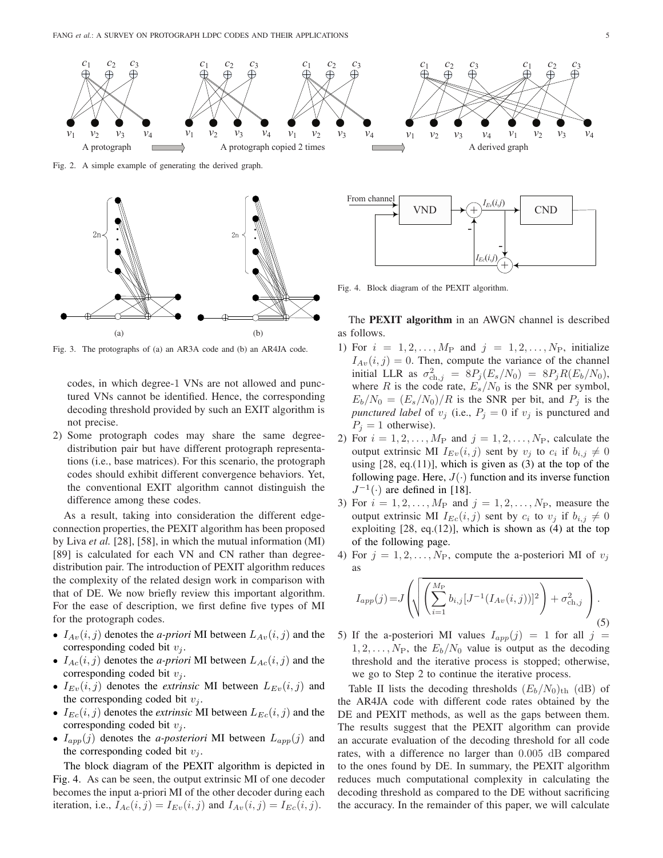

Fig. 2. A simple example of generating the derived graph.



Fig. 3. The protographs of (a) an AR3A code and (b) an AR4JA code.

codes, in which degree-1 VNs are not allowed and punctured VNs cannot be identified. Hence, the corresponding decoding threshold provided by such an EXIT algorithm is not precise.

2) Some protograph codes may share the same degreedistribution pair but have different protograph representations (i.e., base matrices). For this scenario, the protograph codes should exhibit different convergence behaviors. Yet, the conventional EXIT algorithm cannot distinguish the difference among these codes.

As a result, taking into consideration the different edgeconnection properties, the PEXIT algorithm has been proposed by Liva *et al.* [28], [58], in which the mutual information (MI) [89] is calculated for each VN and CN rather than degreedistribution pair. The introduction of PEXIT algorithm reduces the complexity of the related design work in comparison with that of DE. We now briefly review this important algorithm. For the ease of description, we first define five types of MI for the protograph codes.

- $I_{Av}(i, j)$  denotes the *a-priori* MI between  $L_{Av}(i, j)$  and the corresponding coded bit  $v_i$ .
- $I_{Ac}(i, j)$  denotes the *a-priori* MI between  $L_{Ac}(i, j)$  and the corresponding coded bit  $v_j$ .
- $I_{Ev}(i, j)$  denotes the *extrinsic* MI between  $L_{Ev}(i, j)$  and the corresponding coded bit  $v_i$ .
- $I_{Ec}(i, j)$  denotes the *extrinsic* MI between  $L_{Ec}(i, j)$  and the corresponding coded bit  $v_i$ .
- $I_{app}(j)$  denotes the *a-posteriori* MI between  $L_{app}(j)$  and the corresponding coded bit  $v_i$ .

The block diagram of the PEXIT algorithm is depicted in Fig. 4. As can be seen, the output extrinsic MI of one decoder becomes the input a-priori MI of the other decoder during each iteration, i.e.,  $I_{Ac}(i, j) = I_{Ev}(i, j)$  and  $I_{Av}(i, j) = I_{Ec}(i, j)$ .



Fig. 4. Block diagram of the PEXIT algorithm.

The PEXIT algorithm in an AWGN channel is described as follows.

- 1) For  $i = 1, 2, \ldots, M_{\rm P}$  and  $j = 1, 2, \ldots, N_{\rm P}$ , initialize  $I_{Av}(i, j) = 0$ . Then, compute the variance of the channel initial LLR as  $\sigma_{\text{ch},j}^2 = 8P_j(E_s/N_0) = 8P_jR(E_b/N_0),$ where R is the code rate,  $E_s/N_0$  is the SNR per symbol,  $E_b/N_0 = (E_s/N_0)/R$  is the SNR per bit, and  $P_i$  is the *punctured label* of  $v_j$  (i.e.,  $P_j = 0$  if  $v_j$  is punctured and  $P_i = 1$  otherwise).
- 2) For  $i = 1, 2, \ldots, M_{\rm P}$  and  $j = 1, 2, \ldots, N_{\rm P}$ , calculate the output extrinsic MI  $I_{Ev}(i, j)$  sent by  $v_j$  to  $c_i$  if  $b_{i,j} \neq 0$ using  $[28, eq. (11)]$ , which is given as  $(3)$  at the top of the following page. Here,  $J(\cdot)$  function and its inverse function  $J^{-1}(\cdot)$  are defined in [18].
- 3) For  $i = 1, 2, \ldots, M_{\rm P}$  and  $j = 1, 2, \ldots, N_{\rm P}$ , measure the output extrinsic MI  $I_{Ec}(i, j)$  sent by  $c_i$  to  $v_j$  if  $b_{i,j} \neq 0$ exploiting [28, eq.(12)], which is shown as (4) at the top of the following page.
- 4) For  $j = 1, 2, ..., N_{P}$ , compute the a-posteriori MI of  $v_j$ as

$$
I_{app}(j) = J\left(\sqrt{\left(\sum_{i=1}^{M_P} b_{i,j} [J^{-1}(I_{Av}(i,j))]^2\right) + \sigma_{\text{ch},j}^2}\right).
$$
\n(5)

5) If the a-posteriori MI values  $I_{app}(j) = 1$  for all  $j =$  $1, 2, \ldots, N_{\rm P}$ , the  $E_b/N_0$  value is output as the decoding threshold and the iterative process is stopped; otherwise, we go to Step 2 to continue the iterative process.

Table II lists the decoding thresholds  $(E_b/N_0)_{\text{th}}$  (dB) of the AR4JA code with different code rates obtained by the DE and PEXIT methods, as well as the gaps between them. The results suggest that the PEXIT algorithm can provide an accurate evaluation of the decoding threshold for all code rates, with a difference no larger than 0.005 dB compared to the ones found by DE. In summary, the PEXIT algorithm reduces much computational complexity in calculating the decoding threshold as compared to the DE without sacrificing the accuracy. In the remainder of this paper, we will calculate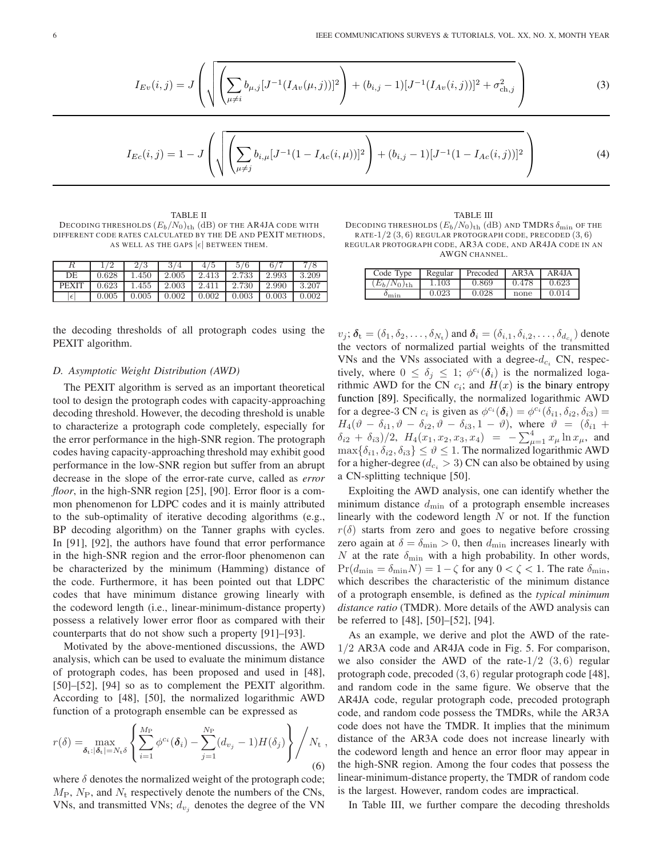$$
I_{Ev}(i,j) = J\left(\sqrt{\left(\sum_{\mu \neq i} b_{\mu,j} [J^{-1}(I_{Av}(\mu,j))]^2\right) + (b_{i,j} - 1)[J^{-1}(I_{Av}(i,j))]^2 + \sigma_{\text{ch},j}^2}\right)
$$
(3)

$$
I_{Ec}(i,j) = 1 - J\left(\sqrt{\left(\sum_{\mu \neq j} b_{i,\mu} [J^{-1}(1 - I_{Ac}(i,\mu))]^2\right) + (b_{i,j} - 1)[J^{-1}(1 - I_{Ac}(i,j))]^2}\right)
$$
(4)

TABLE II DECODING THRESHOLDS  $(E_b/N_0)_{\text{th}}$  (dB) OF THE AR4JA CODE WITH DIFFERENT CODE RATES CALCULATED BY THE DE AND PEXIT METHODS, AS WELL AS THE GAPS  $|\epsilon|$  between them.

|              |             | ۰J          | 3/          |                             | ð<br>'6     |             |       |
|--------------|-------------|-------------|-------------|-----------------------------|-------------|-------------|-------|
| DE           | ${0.628}$   | 450         | 2.005       | 413<br>$\ddot{\phantom{0}}$ | 2.733       | 2.993       | 3.209 |
| <b>PEXIT</b> | $\;\:0.623$ | 455         | 2.003       | $\degree$ 41.<br>ച          | 2.730       | 2.990       | 3.207 |
| $\epsilon$   | 0.005       | $\rm 0.005$ | $\rm 0.002$ | 0.002                       | $\rm 0.003$ | $\rm 0.003$ |       |

the decoding thresholds of all protograph codes using the PEXIT algorithm.

#### *D. Asymptotic Weight Distribution (AWD)*

The PEXIT algorithm is served as an important theoretical tool to design the protograph codes with capacity-approaching decoding threshold. However, the decoding threshold is unable to characterize a protograph code completely, especially for the error performance in the high-SNR region. The protograph codes having capacity-approaching threshold may exhibit good performance in the low-SNR region but suffer from an abrupt decrease in the slope of the error-rate curve, called as *error floor*, in the high-SNR region [25], [90]. Error floor is a common phenomenon for LDPC codes and it is mainly attributed to the sub-optimality of iterative decoding algorithms (e.g., BP decoding algorithm) on the Tanner graphs with cycles. In [91], [92], the authors have found that error performance in the high-SNR region and the error-floor phenomenon can be characterized by the minimum (Hamming) distance of the code. Furthermore, it has been pointed out that LDPC codes that have minimum distance growing linearly with the codeword length (i.e., linear-minimum-distance property) possess a relatively lower error floor as compared with their counterparts that do not show such a property [91]–[93].

Motivated by the above-mentioned discussions, the AWD analysis, which can be used to evaluate the minimum distance of protograph codes, has been proposed and used in [48], [50]–[52], [94] so as to complement the PEXIT algorithm. According to [48], [50], the normalized logarithmic AWD function of a protograph ensemble can be expressed as

$$
r(\delta) = \max_{\boldsymbol{\delta}_{\mathrm{t}}:|\boldsymbol{\delta}_{\mathrm{t}}|=N_{\mathrm{t}}\delta} \left\{ \sum_{i=1}^{M_{\mathrm{P}}} \phi^{c_{i}}(\boldsymbol{\delta}_{i}) - \sum_{j=1}^{N_{\mathrm{P}}} (d_{v_{j}} - 1) H(\delta_{j}) \right\} / N_{\mathrm{t}}, \tag{6}
$$

where  $\delta$  denotes the normalized weight of the protograph code;  $M_P$ ,  $N_P$ , and  $N_t$  respectively denote the numbers of the CNs, VNs, and transmitted VNs;  $d_{v_i}$  denotes the degree of the VN

TABLE III DECODING THRESHOLDS  $(E_b/N_0)_{\text{th}}$  (dB) AND TMDRS  $\delta_{\text{min}}$  of the RATE- $1/2$  (3, 6) REGULAR PROTOGRAPH CODE, PRECODED  $(3, 6)$ REGULAR PROTOGRAPH CODE, AR3A CODE, AND AR4JA CODE IN AN AWGN CHANNEL.

| Code Type               | Regular   | Precoded | AR3A  | AR4IA |
|-------------------------|-----------|----------|-------|-------|
| $(E_b/N_0)_{\text{th}}$ | $1.103\,$ | 0.869    | 0.478 | 0.623 |
| $\sigma_{\rm min}$      | 0.023     | 0.028    | none  | 0.014 |

 $v_j$ ;  $\delta_t = (\delta_1, \delta_2, \dots, \delta_{N_t})$  and  $\delta_i = (\delta_{i,1}, \delta_{i,2}, \dots, \delta_{d_{c_i}})$  denote the vectors of normalized partial weights of the transmitted VNs and the VNs associated with a degree- $d_{c_i}$  CN, respectively, where  $0 \leq \delta_j \leq 1$ ;  $\phi^{c_i}(\delta_i)$  is the normalized logarithmic AWD for the CN  $c_i$ ; and  $H(x)$  is the binary entropy function [89]. Specifically, the normalized logarithmic AWD for a degree-3 CN  $c_i$  is given as  $\phi^{c_i}(\delta_i) = \phi^{c_i}(\delta_{i1}, \delta_{i2}, \delta_{i3}) =$  $H_4(\vartheta - \delta_{i1}, \vartheta - \delta_{i2}, \vartheta - \delta_{i3}, 1 - \vartheta)$ , where  $\vartheta = (\delta_{i1} +$  $\delta_{i2} + \delta_{i3})/2$ ,  $H_4(x_1, x_2, x_3, x_4) = -\sum_{\mu=1}^4 x_\mu \ln x_\mu$ , and  $\max{\{\delta_{i1}, \delta_{i2}, \delta_{i3}\}} \leq \vartheta \leq 1$ . The normalized logarithmic AWD for a higher-degree ( $d_{c_i} > 3$ ) CN can also be obtained by using a CN-splitting technique [50].

Exploiting the AWD analysis, one can identify whether the minimum distance  $d_{\min}$  of a protograph ensemble increases linearly with the codeword length  $N$  or not. If the function  $r(\delta)$  starts from zero and goes to negative before crossing zero again at  $\delta = \delta_{\min} > 0$ , then  $d_{\min}$  increases linearly with N at the rate  $\delta_{\min}$  with a high probability. In other words,  $Pr(d_{\min} = \delta_{\min} N) = 1 - \zeta$  for any  $0 < \zeta < 1$ . The rate  $\delta_{\min}$ , which describes the characteristic of the minimum distance of a protograph ensemble, is defined as the *typical minimum distance ratio* (TMDR). More details of the AWD analysis can be referred to [48], [50]–[52], [94].

As an example, we derive and plot the AWD of the rate-1/2 AR3A code and AR4JA code in Fig. 5. For comparison, we also consider the AWD of the rate- $1/2$   $(3, 6)$  regular protograph code, precoded (3, 6) regular protograph code [48], and random code in the same figure. We observe that the AR4JA code, regular protograph code, precoded protograph code, and random code possess the TMDRs, while the AR3A code does not have the TMDR. It implies that the minimum distance of the AR3A code does not increase linearly with the codeword length and hence an error floor may appear in the high-SNR region. Among the four codes that possess the linear-minimum-distance property, the TMDR of random code is the largest. However, random codes are impractical.

In Table III, we further compare the decoding thresholds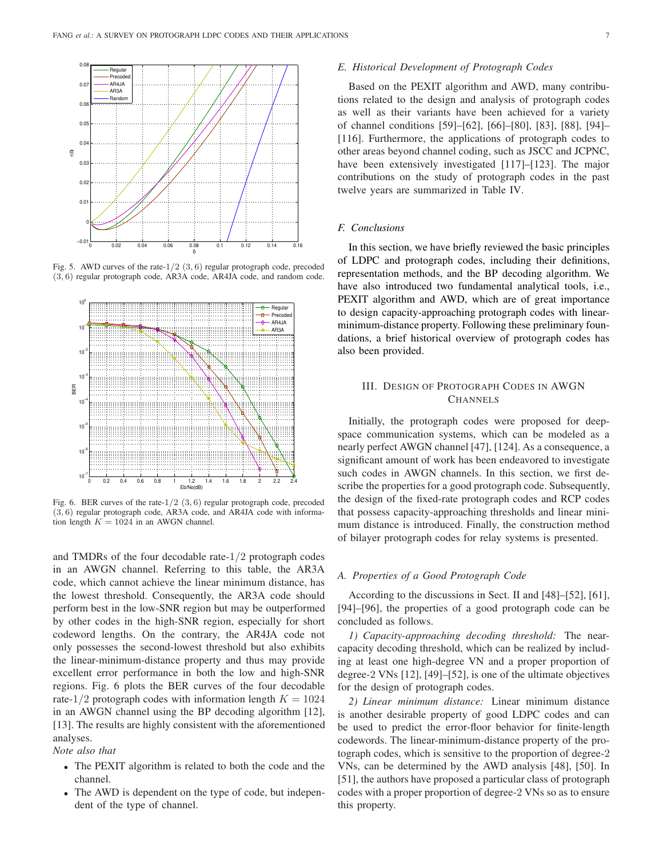

Fig. 5. AWD curves of the rate-1/2 (3, 6) regular protograph code, precoded (3, 6) regular protograph code, AR3A code, AR4JA code, and random code.



Fig. 6. BER curves of the rate- $1/2$   $(3, 6)$  regular protograph code, precoded (3, 6) regular protograph code, AR3A code, and AR4JA code with information length  $K = 1024$  in an AWGN channel.

and TMDRs of the four decodable rate-1/2 protograph codes in an AWGN channel. Referring to this table, the AR3A code, which cannot achieve the linear minimum distance, has the lowest threshold. Consequently, the AR3A code should perform best in the low-SNR region but may be outperformed by other codes in the high-SNR region, especially for short codeword lengths. On the contrary, the AR4JA code not only possesses the second-lowest threshold but also exhibits the linear-minimum-distance property and thus may provide excellent error performance in both the low and high-SNR regions. Fig. 6 plots the BER curves of the four decodable rate-1/2 protograph codes with information length  $K = 1024$ in an AWGN channel using the BP decoding algorithm [12], [13]. The results are highly consistent with the aforementioned analyses.

*Note also that*

- The PEXIT algorithm is related to both the code and the channel.
- The AWD is dependent on the type of code, but independent of the type of channel.

## *E. Historical Development of Protograph Codes*

Based on the PEXIT algorithm and AWD, many contributions related to the design and analysis of protograph codes as well as their variants have been achieved for a variety of channel conditions [59]–[62], [66]–[80], [83], [88], [94]– [116]. Furthermore, the applications of protograph codes to other areas beyond channel coding, such as JSCC and JCPNC, have been extensively investigated [117]–[123]. The major contributions on the study of protograph codes in the past twelve years are summarized in Table IV.

#### *F. Conclusions*

In this section, we have briefly reviewed the basic principles of LDPC and protograph codes, including their definitions, representation methods, and the BP decoding algorithm. We have also introduced two fundamental analytical tools, i.e., PEXIT algorithm and AWD, which are of great importance to design capacity-approaching protograph codes with linearminimum-distance property. Following these preliminary foundations, a brief historical overview of protograph codes has also been provided.

# III. DESIGN OF PROTOGRAPH CODES IN AWGN **CHANNELS**

Initially, the protograph codes were proposed for deepspace communication systems, which can be modeled as a nearly perfect AWGN channel [47], [124]. As a consequence, a significant amount of work has been endeavored to investigate such codes in AWGN channels. In this section, we first describe the properties for a good protograph code. Subsequently, the design of the fixed-rate protograph codes and RCP codes that possess capacity-approaching thresholds and linear minimum distance is introduced. Finally, the construction method of bilayer protograph codes for relay systems is presented.

## *A. Properties of a Good Protograph Code*

According to the discussions in Sect. II and [48]–[52], [61], [94]–[96], the properties of a good protograph code can be concluded as follows.

*1) Capacity-approaching decoding threshold:* The nearcapacity decoding threshold, which can be realized by including at least one high-degree VN and a proper proportion of degree-2 VNs [12], [49]–[52], is one of the ultimate objectives for the design of protograph codes.

*2) Linear minimum distance:* Linear minimum distance is another desirable property of good LDPC codes and can be used to predict the error-floor behavior for finite-length codewords. The linear-minimum-distance property of the protograph codes, which is sensitive to the proportion of degree-2 VNs, can be determined by the AWD analysis [48], [50]. In [51], the authors have proposed a particular class of protograph codes with a proper proportion of degree-2 VNs so as to ensure this property.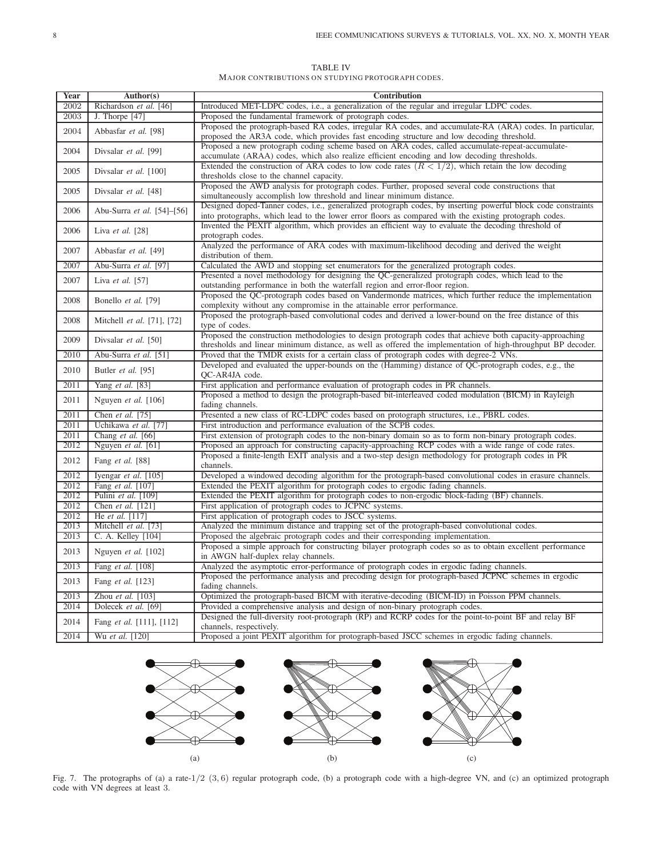TABLE IV MAJOR CONTRIBUTIONS ON STUDYING PROTOGRAPH CODES.

| Year | Author(s)                         | Contribution                                                                                                                                      |
|------|-----------------------------------|---------------------------------------------------------------------------------------------------------------------------------------------------|
| 2002 | Richardson et al. [46]            | Introduced MET-LDPC codes, i.e., a generalization of the regular and irregular LDPC codes.                                                        |
| 2003 | J. Thorpe $[47]$                  | Proposed the fundamental framework of protograph codes.                                                                                           |
|      |                                   | Proposed the protograph-based RA codes, irregular RA codes, and accumulate-RA (ARA) codes. In particular,                                         |
| 2004 | Abbasfar et al. [98]              | proposed the AR3A code, which provides fast encoding structure and low decoding threshold.                                                        |
|      |                                   | Proposed a new protograph coding scheme based on ARA codes, called accumulate-repeat-accumulate-                                                  |
| 2004 | Divsalar et al. [99]              | accumulate (ARAA) codes, which also realize efficient encoding and low decoding thresholds.                                                       |
| 2005 |                                   | Extended the construction of ARA codes to low code rates $(R < 1/2)$ , which retain the low decoding                                              |
|      | Divisalar <i>et al.</i> [100]     | thresholds close to the channel capacity.                                                                                                         |
| 2005 |                                   | Proposed the AWD analysis for protograph codes. Further, proposed several code constructions that                                                 |
|      | Divsalar et al. [48]              | simultaneously accomplish low threshold and linear minimum distance.                                                                              |
| 2006 | Abu-Surra et al. [54]–[56]        | Designed doped-Tanner codes, i.e., generalized protograph codes, by inserting powerful block code constraints                                     |
|      |                                   | into protographs, which lead to the lower error floors as compared with the existing protograph codes.                                            |
| 2006 | Liva et al. $[28]$                | Invented the PEXIT algorithm, which provides an efficient way to evaluate the decoding threshold of                                               |
|      |                                   | protograph codes.                                                                                                                                 |
| 2007 | Abbasfar et al. [49]              | Analyzed the performance of ARA codes with maximum-likelihood decoding and derived the weight                                                     |
|      |                                   | distribution of them.                                                                                                                             |
| 2007 | Abu-Surra et al. [97]             | Calculated the AWD and stopping set enumerators for the generalized protograph codes.                                                             |
| 2007 | Liva et al. [57]                  | Presented a novel methodology for designing the QC-generalized protograph codes, which lead to the                                                |
|      |                                   | outstanding performance in both the waterfall region and error-floor region.                                                                      |
| 2008 | Bonello et al. [79]               | Proposed the QC-protograph codes based on Vandermonde matrices, which further reduce the implementation                                           |
|      |                                   | complexity without any compromise in the attainable error performance.                                                                            |
| 2008 | Mitchell <i>et al.</i> [71], [72] | Proposed the protograph-based convolutional codes and derived a lower-bound on the free distance of this                                          |
|      |                                   | type of codes.                                                                                                                                    |
| 2009 | Divsalar et al. [50]              | Proposed the construction methodologies to design protograph codes that achieve both capacity-approaching                                         |
|      |                                   | thresholds and linear minimum distance, as well as offered the implementation of high-throughput BP decoder.                                      |
| 2010 | Abu-Surra et al. [51]             | Proved that the TMDR exists for a certain class of protograph codes with degree-2 VNs.                                                            |
| 2010 | Butler et al. [95]                | Developed and evaluated the upper-bounds on the (Hamming) distance of QC-protograph codes, e.g., the                                              |
| 2011 |                                   | QC-AR4JA code.<br>First application and performance evaluation of protograph codes in PR channels.                                                |
|      | Yang et al. [83]                  | Proposed a method to design the protograph-based bit-interleaved coded modulation (BICM) in Rayleigh                                              |
| 2011 | Nguyen et al. $[106]$             | fading channels.                                                                                                                                  |
| 2011 | Chen et al. [75]                  | Presented a new class of RC-LDPC codes based on protograph structures, i.e., PBRL codes.                                                          |
| 2011 | Uchikawa et al. [77]              | First introduction and performance evaluation of the SCPB codes.                                                                                  |
| 2011 | Chang et al. [66]                 | First extension of protograph codes to the non-binary domain so as to form non-binary protograph codes.                                           |
| 2012 | Nguyen et al. [61]                | Proposed an approach for constructing capacity-approaching RCP codes with a wide range of code rates.                                             |
| 2012 | Fang et al. [88]                  | Proposed a finite-length EXIT analysis and a two-step design methodology for protograph codes in PR                                               |
|      |                                   | channels.                                                                                                                                         |
| 2012 | Iyengar et al. $[105]$            | Developed a windowed decoding algorithm for the protograph-based convolutional codes in erasure channels.                                         |
| 2012 | Fang et al. [107]                 | Extended the PEXIT algorithm for protograph codes to ergodic fading channels.                                                                     |
| 2012 | Pulini et al. [109]               | Extended the PEXIT algorithm for protograph codes to non-ergodic block-fading (BF) channels.                                                      |
| 2012 | Chen et al. [121]                 | First application of protograph codes to JCPNC systems.                                                                                           |
| 2012 | He et al. [117]                   | First application of protograph codes to JSCC systems.                                                                                            |
| 2013 | Mitchell et al. [73]              | Analyzed the minimum distance and trapping set of the protograph-based convolutional codes.                                                       |
| 2013 | C. A. Kelley [104]                | Proposed the algebraic protograph codes and their corresponding implementation.                                                                   |
| 2013 | Nguyen et al. $[102]$             | Proposed a simple approach for constructing bilayer protograph codes so as to obtain excellent performance<br>in AWGN half-duplex relay channels. |
| 2013 | Fang et al. [108]                 | Analyzed the asymptotic error-performance of protograph codes in ergodic fading channels.                                                         |
| 2013 |                                   | Proposed the performance analysis and precoding design for protograph-based JCPNC schemes in ergodic                                              |
|      | Fang et al. [123]                 | fading channels.                                                                                                                                  |
| 2013 | Zhou et al. $[103]$               | Optimized the protograph-based BICM with iterative-decoding (BICM-ID) in Poisson PPM channels.                                                    |
| 2014 | Dolecek et al. [69]               | Provided a comprehensive analysis and design of non-binary protograph codes.                                                                      |
| 2014 |                                   | Designed the full-diversity root-protograph (RP) and RCRP codes for the point-to-point BF and relay BF                                            |
|      | Fang <i>et al.</i> [111], [112]   | channels, respectively.                                                                                                                           |
| 2014 | Wu et al. [120]                   | Proposed a joint PEXIT algorithm for protograph-based JSCC schemes in ergodic fading channels.                                                    |



Fig. 7. The protographs of (a) a rate-1/2 (3, 6) regular protograph code, (b) a protograph code with a high-degree VN, and (c) an optimized protograph code with VN degrees at least 3.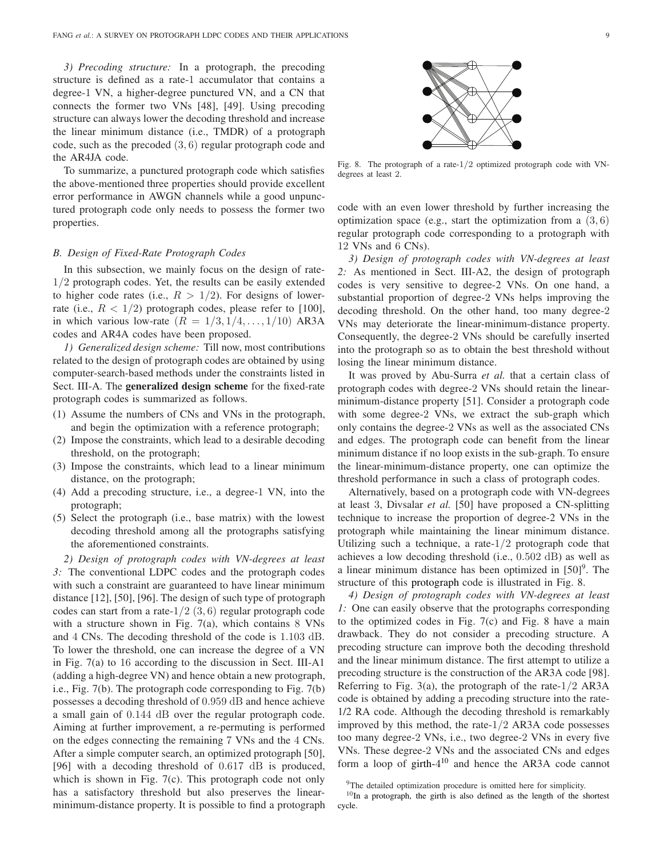*3) Precoding structure:* In a protograph, the precoding structure is defined as a rate-1 accumulator that contains a degree-1 VN, a higher-degree punctured VN, and a CN that connects the former two VNs [48], [49]. Using precoding structure can always lower the decoding threshold and increase the linear minimum distance (i.e., TMDR) of a protograph code, such as the precoded (3, 6) regular protograph code and the AR4JA code.

To summarize, a punctured protograph code which satisfies the above-mentioned three properties should provide excellent error performance in AWGN channels while a good unpunctured protograph code only needs to possess the former two properties.

## *B. Design of Fixed-Rate Protograph Codes*

In this subsection, we mainly focus on the design of rate-1/2 protograph codes. Yet, the results can be easily extended to higher code rates (i.e.,  $R > 1/2$ ). For designs of lowerrate (i.e.,  $R < 1/2$ ) protograph codes, please refer to [100], in which various low-rate  $(R = 1/3, 1/4, \ldots, 1/10)$  AR3A codes and AR4A codes have been proposed.

*1) Generalized design scheme:* Till now, most contributions related to the design of protograph codes are obtained by using computer-search-based methods under the constraints listed in Sect. III-A. The generalized design scheme for the fixed-rate protograph codes is summarized as follows.

- (1) Assume the numbers of CNs and VNs in the protograph, and begin the optimization with a reference protograph;
- (2) Impose the constraints, which lead to a desirable decoding threshold, on the protograph;
- (3) Impose the constraints, which lead to a linear minimum distance, on the protograph;
- (4) Add a precoding structure, i.e., a degree-1 VN, into the protograph;
- (5) Select the protograph (i.e., base matrix) with the lowest decoding threshold among all the protographs satisfying the aforementioned constraints.

*2) Design of protograph codes with VN-degrees at least 3:* The conventional LDPC codes and the protograph codes with such a constraint are guaranteed to have linear minimum distance [12], [50], [96]. The design of such type of protograph codes can start from a rate- $1/2$  (3, 6) regular protograph code with a structure shown in Fig. 7(a), which contains 8 VNs and 4 CNs. The decoding threshold of the code is 1.103 dB. To lower the threshold, one can increase the degree of a VN in Fig. 7(a) to 16 according to the discussion in Sect. III-A1 (adding a high-degree VN) and hence obtain a new protograph, i.e., Fig. 7(b). The protograph code corresponding to Fig. 7(b) possesses a decoding threshold of 0.959 dB and hence achieve a small gain of 0.144 dB over the regular protograph code. Aiming at further improvement, a re-permuting is performed on the edges connecting the remaining 7 VNs and the 4 CNs. After a simple computer search, an optimized protograph [50], [96] with a decoding threshold of 0.617 dB is produced, which is shown in Fig. 7(c). This protograph code not only has a satisfactory threshold but also preserves the linearminimum-distance property. It is possible to find a protograph



Fig. 8. The protograph of a rate-1/2 optimized protograph code with VNdegrees at least 2.

code with an even lower threshold by further increasing the optimization space (e.g., start the optimization from a  $(3, 6)$ ) regular protograph code corresponding to a protograph with 12 VNs and 6 CNs).

*3) Design of protograph codes with VN-degrees at least 2:* As mentioned in Sect. III-A2, the design of protograph codes is very sensitive to degree-2 VNs. On one hand, a substantial proportion of degree-2 VNs helps improving the decoding threshold. On the other hand, too many degree-2 VNs may deteriorate the linear-minimum-distance property. Consequently, the degree-2 VNs should be carefully inserted into the protograph so as to obtain the best threshold without losing the linear minimum distance.

It was proved by Abu-Surra *et al.* that a certain class of protograph codes with degree-2 VNs should retain the linearminimum-distance property [51]. Consider a protograph code with some degree-2 VNs, we extract the sub-graph which only contains the degree-2 VNs as well as the associated CNs and edges. The protograph code can benefit from the linear minimum distance if no loop exists in the sub-graph. To ensure the linear-minimum-distance property, one can optimize the threshold performance in such a class of protograph codes.

Alternatively, based on a protograph code with VN-degrees at least 3, Divsalar *et al.* [50] have proposed a CN-splitting technique to increase the proportion of degree-2 VNs in the protograph while maintaining the linear minimum distance. Utilizing such a technique, a rate- $1/2$  protograph code that achieves a low decoding threshold (i.e., 0.502 dB) as well as a linear minimum distance has been optimized in  $[50]^9$ . The structure of this protograph code is illustrated in Fig. 8.

*4) Design of protograph codes with VN-degrees at least 1:* One can easily observe that the protographs corresponding to the optimized codes in Fig. 7(c) and Fig. 8 have a main drawback. They do not consider a precoding structure. A precoding structure can improve both the decoding threshold and the linear minimum distance. The first attempt to utilize a precoding structure is the construction of the AR3A code [98]. Referring to Fig. 3(a), the protograph of the rate- $1/2$  AR3A code is obtained by adding a precoding structure into the rate-1/2 RA code. Although the decoding threshold is remarkably improved by this method, the rate- $1/2$  AR3A code possesses too many degree-2 VNs, i.e., two degree-2 VNs in every five VNs. These degree-2 VNs and the associated CNs and edges form a loop of girth-4<sup>10</sup> and hence the AR3A code cannot

<sup>&</sup>lt;sup>9</sup>The detailed optimization procedure is omitted here for simplicity.

<sup>&</sup>lt;sup>10</sup>In a protograph, the girth is also defined as the length of the shortest cycle.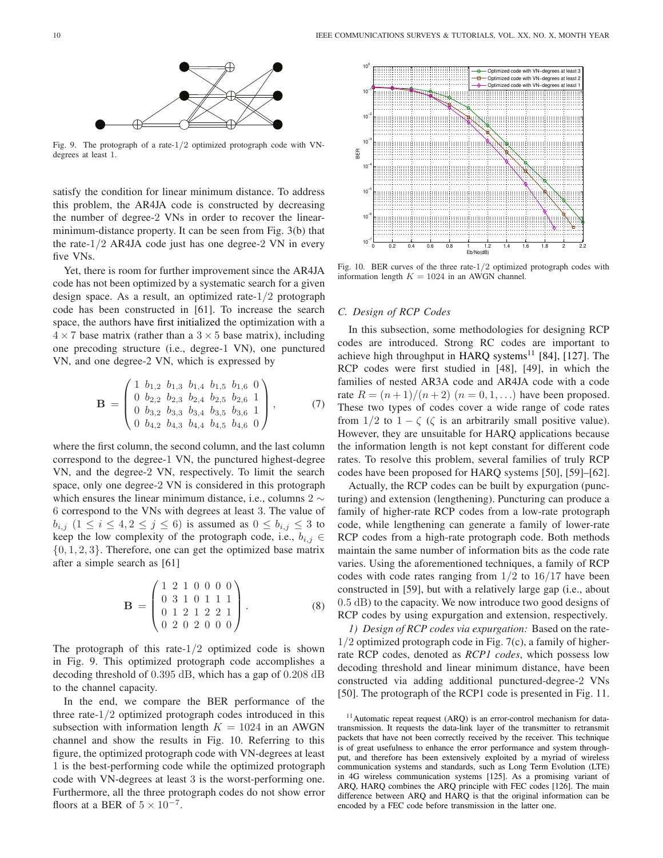

Fig. 9. The protograph of a rate-1/2 optimized protograph code with VNdegrees at least 1.

satisfy the condition for linear minimum distance. To address this problem, the AR4JA code is constructed by decreasing the number of degree-2 VNs in order to recover the linearminimum-distance property. It can be seen from Fig. 3(b) that the rate-1/2 AR4JA code just has one degree-2 VN in every five VNs.

Yet, there is room for further improvement since the AR4JA code has not been optimized by a systematic search for a given design space. As a result, an optimized rate-1/2 protograph code has been constructed in [61]. To increase the search space, the authors have first initialized the optimization with a  $4 \times 7$  base matrix (rather than a  $3 \times 5$  base matrix), including one precoding structure (i.e., degree-1 VN), one punctured VN, and one degree-2 VN, which is expressed by

$$
\mathbf{B} = \begin{pmatrix} 1 & b_{1,2} & b_{1,3} & b_{1,4} & b_{1,5} & b_{1,6} & 0 \\ 0 & b_{2,2} & b_{2,3} & b_{2,4} & b_{2,5} & b_{2,6} & 1 \\ 0 & b_{3,2} & b_{3,3} & b_{3,4} & b_{3,5} & b_{3,6} & 1 \\ 0 & b_{4,2} & b_{4,3} & b_{4,4} & b_{4,5} & b_{4,6} & 0 \end{pmatrix}, \quad (7)
$$

where the first column, the second column, and the last column correspond to the degree-1 VN, the punctured highest-degree VN, and the degree-2 VN, respectively. To limit the search space, only one degree-2 VN is considered in this protograph which ensures the linear minimum distance, i.e., columns 2  $\sim$ 6 correspond to the VNs with degrees at least 3. The value of  $b_{i,j}$   $(1 \le i \le 4, 2 \le j \le 6)$  is assumed as  $0 \le b_{i,j} \le 3$  to keep the low complexity of the protograph code, i.e.,  $b_{i,j} \in$  $\{0, 1, 2, 3\}$ . Therefore, one can get the optimized base matrix after a simple search as [61]

$$
\mathbf{B} = \begin{pmatrix} 1 & 2 & 1 & 0 & 0 & 0 & 0 \\ 0 & 3 & 1 & 0 & 1 & 1 & 1 \\ 0 & 1 & 2 & 1 & 2 & 2 & 1 \\ 0 & 2 & 0 & 2 & 0 & 0 & 0 \end{pmatrix} . \tag{8}
$$

The protograph of this rate- $1/2$  optimized code is shown in Fig. 9. This optimized protograph code accomplishes a decoding threshold of 0.395 dB, which has a gap of 0.208 dB to the channel capacity.

In the end, we compare the BER performance of the three rate-1/2 optimized protograph codes introduced in this subsection with information length  $K = 1024$  in an AWGN channel and show the results in Fig. 10. Referring to this figure, the optimized protograph code with VN-degrees at least 1 is the best-performing code while the optimized protograph code with VN-degrees at least 3 is the worst-performing one. Furthermore, all the three protograph codes do not show error floors at a BER of  $5 \times 10^{-7}$ .



Fig. 10. BER curves of the three rate-1/2 optimized protograph codes with information length  $K = 1024$  in an AWGN channel.

# *C. Design of RCP Codes*

In this subsection, some methodologies for designing RCP codes are introduced. Strong RC codes are important to achieve high throughput in HARQ systems<sup>11</sup> [84], [127]. The RCP codes were first studied in [48], [49], in which the families of nested AR3A code and AR4JA code with a code rate  $R = (n + 1)/(n + 2)$   $(n = 0, 1, ...)$  have been proposed. These two types of codes cover a wide range of code rates from  $1/2$  to  $1 - \zeta$  ( $\zeta$  is an arbitrarily small positive value). However, they are unsuitable for HARQ applications because the information length is not kept constant for different code rates. To resolve this problem, several families of truly RCP codes have been proposed for HARQ systems [50], [59]–[62].

Actually, the RCP codes can be built by expurgation (puncturing) and extension (lengthening). Puncturing can produce a family of higher-rate RCP codes from a low-rate protograph code, while lengthening can generate a family of lower-rate RCP codes from a high-rate protograph code. Both methods maintain the same number of information bits as the code rate varies. Using the aforementioned techniques, a family of RCP codes with code rates ranging from  $1/2$  to  $16/17$  have been constructed in [59], but with a relatively large gap (i.e., about 0.5 dB) to the capacity. We now introduce two good designs of RCP codes by using expurgation and extension, respectively.

*1) Design of RCP codes via expurgation:* Based on the rate- $1/2$  optimized protograph code in Fig. 7(c), a family of higherrate RCP codes, denoted as *RCP1 codes*, which possess low decoding threshold and linear minimum distance, have been constructed via adding additional punctured-degree-2 VNs [50]. The protograph of the RCP1 code is presented in Fig. 11.

 $11$ Automatic repeat request (ARQ) is an error-control mechanism for datatransmission. It requests the data-link layer of the transmitter to retransmit packets that have not been correctly received by the receiver. This technique is of great usefulness to enhance the error performance and system throughput, and therefore has been extensively exploited by a myriad of wireless communication systems and standards, such as Long Term Evolution (LTE) in 4G wireless communication systems [125]. As a promising variant of ARQ, HARQ combines the ARQ principle with FEC codes [126]. The main difference between ARQ and HARQ is that the original information can be encoded by a FEC code before transmission in the latter one.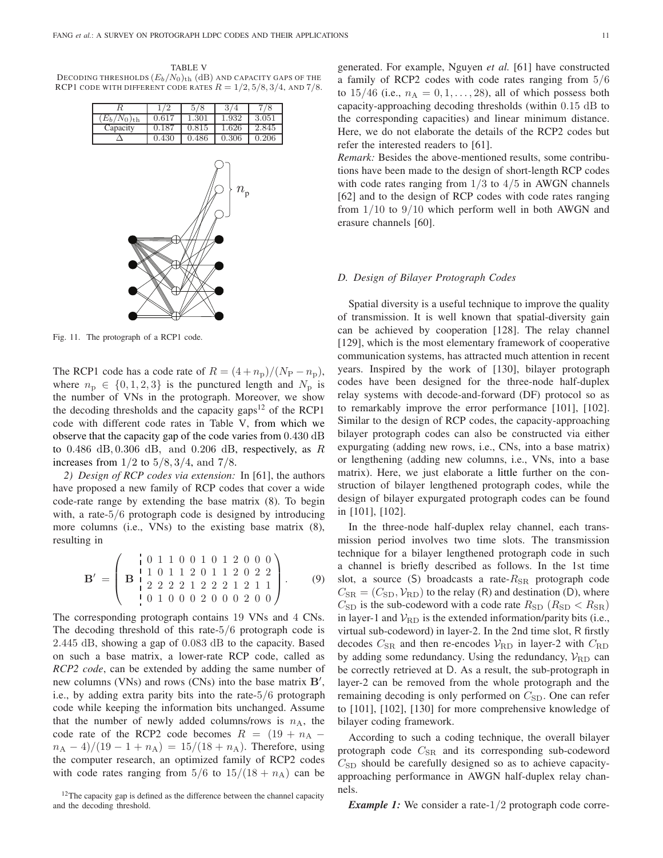TABLE V DECODING THRESHOLDS  $(E_b/N_0)_{\rm th}$  (dB) AND CAPACITY GAPS OF THE RCP1 CODE WITH DIFFERENT CODE RATES  $R = 1/2, 5/8, 3/4$ , AND  $7/8$ .

|                         | 2     | 5/8   | 4<br>◡ |       |
|-------------------------|-------|-------|--------|-------|
| $(E_b/N_0)_{\text{th}}$ | 0.617 | 1.301 | 1.932  | 3.051 |
| Capacity                | 0.187 | 0.815 | 1.626  | 2.845 |
|                         | 0.430 | 0.486 | 0.306  | 0.206 |



Fig. 11. The protograph of a RCP1 code.

The RCP1 code has a code rate of  $R = (4 + n<sub>p</sub>)/(N<sub>P</sub> - n<sub>p</sub>)$ , where  $n_{\rm p} \in \{0, 1, 2, 3\}$  is the punctured length and  $N_{\rm p}$  is the number of VNs in the protograph. Moreover, we show the decoding thresholds and the capacity gaps $12$  of the RCP1 code with different code rates in Table V, from which we observe that the capacity gap of the code varies from 0.430 dB to  $0.486$  dB,  $0.306$  dB, and  $0.206$  dB, respectively, as R increases from  $1/2$  to  $5/8$ ,  $3/4$ , and  $7/8$ .

*2) Design of RCP codes via extension:* In [61], the authors have proposed a new family of RCP codes that cover a wide code-rate range by extending the base matrix (8). To begin with, a rate-5/6 protograph code is designed by introducing more columns (i.e., VNs) to the existing base matrix (8), resulting in

$$
\mathbf{B}' = \left( \begin{array}{rrrrrrr} 1 & 0 & 1 & 1 & 0 & 0 & 1 & 0 & 1 & 2 & 0 & 0 & 0 \\ \mathbf{B} & 1 & 1 & 0 & 1 & 1 & 2 & 0 & 1 & 1 & 2 & 0 & 2 & 2 \\ \mathbf{B} & 1 & 2 & 2 & 2 & 1 & 2 & 2 & 1 & 1 & 1 \\ 1 & 0 & 1 & 0 & 0 & 0 & 2 & 0 & 0 & 0 & 2 & 0 \\ \end{array} \right).
$$
 (9)

The corresponding protograph contains 19 VNs and 4 CNs. The decoding threshold of this rate-5/6 protograph code is 2.445 dB, showing a gap of 0.083 dB to the capacity. Based on such a base matrix, a lower-rate RCP code, called as *RCP2 code*, can be extended by adding the same number of new columns (VNs) and rows (CNs) into the base matrix  $B'$ , i.e., by adding extra parity bits into the rate-5/6 protograph code while keeping the information bits unchanged. Assume that the number of newly added columns/rows is  $n_A$ , the code rate of the RCP2 code becomes  $R = (19 + n<sub>A</sub>$  $n_A - 4)/(19 - 1 + n_A) = 15/(18 + n_A)$ . Therefore, using the computer research, an optimized family of RCP2 codes with code rates ranging from  $5/6$  to  $15/(18 + n_A)$  can be

generated. For example, Nguyen *et al.* [61] have constructed a family of RCP2 codes with code rates ranging from 5/6 to  $15/46$  (i.e.,  $n_A = 0, 1, \ldots, 28$ ), all of which possess both capacity-approaching decoding thresholds (within 0.15 dB to the corresponding capacities) and linear minimum distance. Here, we do not elaborate the details of the RCP2 codes but refer the interested readers to [61].

*Remark:* Besides the above-mentioned results, some contributions have been made to the design of short-length RCP codes with code rates ranging from  $1/3$  to  $4/5$  in AWGN channels [62] and to the design of RCP codes with code rates ranging from 1/10 to 9/10 which perform well in both AWGN and erasure channels [60].

## *D. Design of Bilayer Protograph Codes*

Spatial diversity is a useful technique to improve the quality of transmission. It is well known that spatial-diversity gain can be achieved by cooperation [128]. The relay channel [129], which is the most elementary framework of cooperative communication systems, has attracted much attention in recent years. Inspired by the work of [130], bilayer protograph codes have been designed for the three-node half-duplex relay systems with decode-and-forward (DF) protocol so as to remarkably improve the error performance [101], [102]. Similar to the design of RCP codes, the capacity-approaching bilayer protograph codes can also be constructed via either expurgating (adding new rows, i.e., CNs, into a base matrix) or lengthening (adding new columns, i.e., VNs, into a base matrix). Here, we just elaborate a little further on the construction of bilayer lengthened protograph codes, while the design of bilayer expurgated protograph codes can be found in [101], [102].

In the three-node half-duplex relay channel, each transmission period involves two time slots. The transmission technique for a bilayer lengthened protograph code in such a channel is briefly described as follows. In the 1st time slot, a source  $(S)$  broadcasts a rate- $R_{SR}$  protograph code  $C_{\rm SR} = (C_{\rm SD}, \mathcal{V}_{\rm RD})$  to the relay (R) and destination (D), where  $C_{SD}$  is the sub-codeword with a code rate  $R_{SD}$  ( $R_{SD} < R_{SR}$ ) in layer-1 and  $V_{\rm RD}$  is the extended information/parity bits (i.e., virtual sub-codeword) in layer-2. In the 2nd time slot, R firstly decodes  $C_{\rm SR}$  and then re-encodes  $V_{\rm RD}$  in layer-2 with  $C_{\rm RD}$ by adding some redundancy. Using the redundancy,  $V_{\rm RD}$  can be correctly retrieved at D. As a result, the sub-protograph in layer-2 can be removed from the whole protograph and the remaining decoding is only performed on  $C_{SD}$ . One can refer to [101], [102], [130] for more comprehensive knowledge of bilayer coding framework.

According to such a coding technique, the overall bilayer protograph code  $C_{\rm SR}$  and its corresponding sub-codeword  $C_{SD}$  should be carefully designed so as to achieve capacityapproaching performance in AWGN half-duplex relay channels.

*Example 1:* We consider a rate-1/2 protograph code corre-

 $12$ The capacity gap is defined as the difference between the channel capacity and the decoding threshold.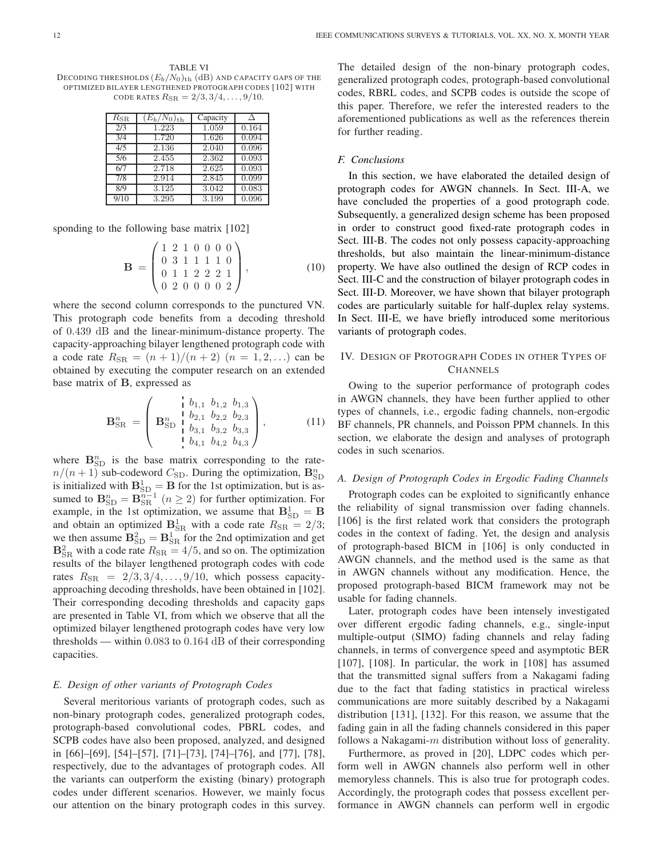TABLE VI DECODING THRESHOLDS  $(E_b/N_0)_{\rm th}$  (dB) and capacity gaps of the OPTIMIZED BILAYER LENGTHENED PROTOGRAPH CODES [102] WITH CODE RATES  $R_{\rm SR} = 2/3, 3/4, \ldots, 9/10$ .

| $R_{\rm SR}$ | $E_b/$<br>) t.h | Capacity |       |
|--------------|-----------------|----------|-------|
| 2/3          | 1.223           | 1.059    | 0.164 |
| 3/4          | 1.720           | 1.626    | 0.094 |
| 4/5          | 2.136           | 2.040    | 0.096 |
| 5/6          | 2.455           | 2.362    | 0.093 |
| 6/7          | 2.718           | 2.625    | 0.093 |
| 7/8          | 2.914           | 2.845    | 0.099 |
| 8/9          | 3.125           | 3.042    | 0.083 |
| 9/10         | 3.295           | 3.199    | 0.096 |

sponding to the following base matrix [102]

$$
\mathbf{B} = \begin{pmatrix} 1 & 2 & 1 & 0 & 0 & 0 & 0 \\ 0 & 3 & 1 & 1 & 1 & 1 & 0 \\ 0 & 1 & 1 & 2 & 2 & 1 \\ 0 & 2 & 0 & 0 & 0 & 0 & 2 \end{pmatrix},
$$
(10)

where the second column corresponds to the punctured VN. This protograph code benefits from a decoding threshold of 0.439 dB and the linear-minimum-distance property. The capacity-approaching bilayer lengthened protograph code with a code rate  $R_{\rm SR} = (n+1)/(n+2)$   $(n = 1, 2, ...)$  can be obtained by executing the computer research on an extended base matrix of B, expressed as

$$
\mathbf{B}_{\rm SR}^{n} = \left( \begin{array}{c} \mathbf{i} & b_{1,1} & b_{1,2} & b_{1,3} \\ \mathbf{I} & b_{2,1} & b_{2,2} & b_{2,3} \\ \mathbf{I} & b_{3,1} & b_{3,2} & b_{3,3} \\ \mathbf{I} & b_{4,1} & b_{4,2} & b_{4,3} \end{array} \right), \tag{11}
$$

where  $\mathbf{B}_{\text{SD}}^{n}$  is the base matrix corresponding to the rate $n/(n+1)$  sub-codeword  $C_{SD}$ . During the optimization,  $\mathbf{B}_{SD}^n$ is initialized with  $B_{SD}^1 = B$  for the 1st optimization, but is assumed to  $\mathbf{B}_{\text{SD}}^n = \mathbf{B}_{\text{SR}}^{n-1}$   $(n \ge 2)$  for further optimization. For example, in the 1st optimization, we assume that  $B_{SD}^1 = B$ and obtain an optimized  $\mathbf{B}_{\text{SR}}^1$  with a code rate  $R_{\text{SR}} = 2/3$ ; we then assume  $\mathbf{B}_{\text{SD}}^2 = \mathbf{B}_{\text{SR}}^1$  for the 2nd optimization and get  $\mathbf{B}_{\text{SR}}^2$  with a code rate  $R_{\text{SR}} = 4/5$ , and so on. The optimization results of the bilayer lengthened protograph codes with code rates  $R_{\rm SR} = 2/3, 3/4, \ldots, 9/10$ , which possess capacityapproaching decoding thresholds, have been obtained in [102]. Their corresponding decoding thresholds and capacity gaps are presented in Table VI, from which we observe that all the optimized bilayer lengthened protograph codes have very low thresholds — within 0.083 to 0.164 dB of their corresponding capacities.

# *E. Design of other variants of Protograph Codes*

Several meritorious variants of protograph codes, such as non-binary protograph codes, generalized protograph codes, protograph-based convolutional codes, PBRL codes, and SCPB codes have also been proposed, analyzed, and designed in [66]–[69], [54]–[57], [71]–[73], [74]–[76], and [77], [78], respectively, due to the advantages of protograph codes. All the variants can outperform the existing (binary) protograph codes under different scenarios. However, we mainly focus our attention on the binary protograph codes in this survey. The detailed design of the non-binary protograph codes, generalized protograph codes, protograph-based convolutional codes, RBRL codes, and SCPB codes is outside the scope of this paper. Therefore, we refer the interested readers to the aforementioned publications as well as the references therein for further reading.

# *F. Conclusions*

In this section, we have elaborated the detailed design of protograph codes for AWGN channels. In Sect. III-A, we have concluded the properties of a good protograph code. Subsequently, a generalized design scheme has been proposed in order to construct good fixed-rate protograph codes in Sect. III-B. The codes not only possess capacity-approaching thresholds, but also maintain the linear-minimum-distance property. We have also outlined the design of RCP codes in Sect. III-C and the construction of bilayer protograph codes in Sect. III-D. Moreover, we have shown that bilayer protograph codes are particularly suitable for half-duplex relay systems. In Sect. III-E, we have briefly introduced some meritorious variants of protograph codes.

# IV. DESIGN OF PROTOGRAPH CODES IN OTHER TYPES OF **CHANNELS**

Owing to the superior performance of protograph codes in AWGN channels, they have been further applied to other types of channels, i.e., ergodic fading channels, non-ergodic BF channels, PR channels, and Poisson PPM channels. In this section, we elaborate the design and analyses of protograph codes in such scenarios.

# *A. Design of Protograph Codes in Ergodic Fading Channels*

Protograph codes can be exploited to significantly enhance the reliability of signal transmission over fading channels. [106] is the first related work that considers the protograph codes in the context of fading. Yet, the design and analysis of protograph-based BICM in [106] is only conducted in AWGN channels, and the method used is the same as that in AWGN channels without any modification. Hence, the proposed protograph-based BICM framework may not be usable for fading channels.

Later, protograph codes have been intensely investigated over different ergodic fading channels, e.g., single-input multiple-output (SIMO) fading channels and relay fading channels, in terms of convergence speed and asymptotic BER [107], [108]. In particular, the work in [108] has assumed that the transmitted signal suffers from a Nakagami fading due to the fact that fading statistics in practical wireless communications are more suitably described by a Nakagami distribution [131], [132]. For this reason, we assume that the fading gain in all the fading channels considered in this paper follows a Nakagami- $m$  distribution without loss of generality.

Furthermore, as proved in [20], LDPC codes which perform well in AWGN channels also perform well in other memoryless channels. This is also true for protograph codes. Accordingly, the protograph codes that possess excellent performance in AWGN channels can perform well in ergodic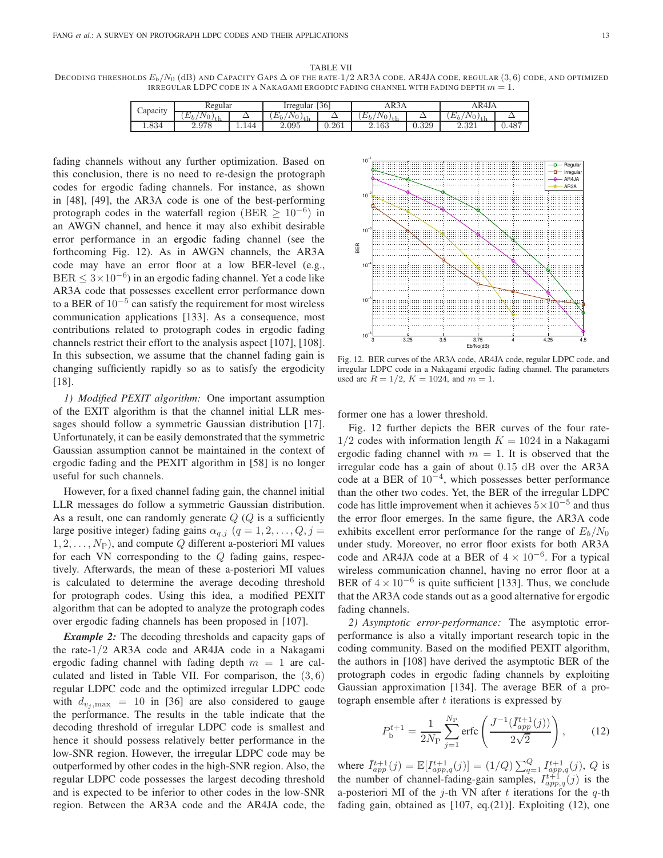#### TABLE VII

DECODING THRESHOLDS  $E_b/N_0$  (dB) AND CAPACITY GAPS  $\Delta$  OF THE RATE-1/2 AR3A CODE, AR4JA CODE, REGULAR (3,6) CODE, AND OPTIMIZED IRREGULAR LDPC CODE IN A NAKAGAMI ERGODIC FADING CHANNEL WITH FADING DEPTH  $m=1$ .

| $\mathcal{L}$ apacity | Regular             |     | 136<br>Irregular            |       | $\mathbf{D}$<br>3A<br>AK. |       | AR4JA            |       |
|-----------------------|---------------------|-----|-----------------------------|-------|---------------------------|-------|------------------|-------|
|                       | VΩ<br>$E_b$<br>0/th |     | N∩<br>L+<br>'th<br>$\cdots$ |       | $E_b$<br>N∩<br>v          |       | $\sqrt{2}$<br>Ľi |       |
| .834                  | 078<br>2.01         | 144 | 2.095                       | 0.261 | 2.163                     | 0.329 | 2.231<br>4.041   | 0.487 |

fading channels without any further optimization. Based on this conclusion, there is no need to re-design the protograph codes for ergodic fading channels. For instance, as shown in [48], [49], the AR3A code is one of the best-performing protograph codes in the waterfall region (BER  $\geq 10^{-6}$ ) in an AWGN channel, and hence it may also exhibit desirable error performance in an ergodic fading channel (see the forthcoming Fig. 12). As in AWGN channels, the AR3A code may have an error floor at a low BER-level (e.g., BER  $\leq 3 \times 10^{-6}$ ) in an ergodic fading channel. Yet a code like AR3A code that possesses excellent error performance down to a BER of  $10^{-5}$  can satisfy the requirement for most wireless communication applications [133]. As a consequence, most contributions related to protograph codes in ergodic fading channels restrict their effort to the analysis aspect [107], [108]. In this subsection, we assume that the channel fading gain is changing sufficiently rapidly so as to satisfy the ergodicity [18].

*1) Modified PEXIT algorithm:* One important assumption of the EXIT algorithm is that the channel initial LLR messages should follow a symmetric Gaussian distribution [17]. Unfortunately, it can be easily demonstrated that the symmetric Gaussian assumption cannot be maintained in the context of ergodic fading and the PEXIT algorithm in [58] is no longer useful for such channels.

However, for a fixed channel fading gain, the channel initial LLR messages do follow a symmetric Gaussian distribution. As a result, one can randomly generate  $Q$  ( $Q$  is a sufficiently large positive integer) fading gains  $\alpha_{q,j}$  ( $q = 1, 2, \ldots, Q, j =$  $1, 2, \ldots, N_P$ , and compute Q different a-posteriori MI values for each VN corresponding to the Q fading gains, respectively. Afterwards, the mean of these a-posteriori MI values is calculated to determine the average decoding threshold for protograph codes. Using this idea, a modified PEXIT algorithm that can be adopted to analyze the protograph codes over ergodic fading channels has been proposed in [107].

*Example 2:* The decoding thresholds and capacity gaps of the rate-1/2 AR3A code and AR4JA code in a Nakagami ergodic fading channel with fading depth  $m = 1$  are calculated and listed in Table VII. For comparison, the  $(3, 6)$ regular LDPC code and the optimized irregular LDPC code with  $d_{v_i, \text{max}} = 10$  in [36] are also considered to gauge the performance. The results in the table indicate that the decoding threshold of irregular LDPC code is smallest and hence it should possess relatively better performance in the low-SNR region. However, the irregular LDPC code may be outperformed by other codes in the high-SNR region. Also, the regular LDPC code possesses the largest decoding threshold and is expected to be inferior to other codes in the low-SNR region. Between the AR3A code and the AR4JA code, the



Fig. 12. BER curves of the AR3A code, AR4JA code, regular LDPC code, and irregular LDPC code in a Nakagami ergodic fading channel. The parameters used are  $R = 1/2$ ,  $K = 1024$ , and  $m = 1$ .

former one has a lower threshold.

Fig. 12 further depicts the BER curves of the four rate- $1/2$  codes with information length  $K = 1024$  in a Nakagami ergodic fading channel with  $m = 1$ . It is observed that the irregular code has a gain of about 0.15 dB over the AR3A code at a BER of 10<sup>−</sup><sup>4</sup> , which possesses better performance than the other two codes. Yet, the BER of the irregular LDPC code has little improvement when it achieves  $5 \times 10^{-5}$  and thus the error floor emerges. In the same figure, the AR3A code exhibits excellent error performance for the range of  $E_b/N_0$ under study. Moreover, no error floor exists for both AR3A code and AR4JA code at a BER of  $4 \times 10^{-6}$ . For a typical wireless communication channel, having no error floor at a BER of  $4 \times 10^{-6}$  is quite sufficient [133]. Thus, we conclude that the AR3A code stands out as a good alternative for ergodic fading channels.

*2) Asymptotic error-performance:* The asymptotic errorperformance is also a vitally important research topic in the coding community. Based on the modified PEXIT algorithm, the authors in [108] have derived the asymptotic BER of the protograph codes in ergodic fading channels by exploiting Gaussian approximation [134]. The average BER of a protograph ensemble after  $t$  iterations is expressed by

$$
P_{\rm b}^{t+1} = \frac{1}{2N_{\rm P}} \sum_{j=1}^{N_{\rm P}} \text{erfc}\left(\frac{J^{-1}(\bar{I}_{app}^{t+1}(j))}{2\sqrt{2}}\right),\tag{12}
$$

where  $\bar{I}_{app}^{t+1}(j) = \mathbb{E}[I_{app,q}^{t+1}(j)] = (1/Q) \sum_{q=1}^{Q} I_{app,q}^{t+1}(j)$ , Q is the number of channel-fading-gain samples,  $I_{app,q}^{t+1}(j)$  is the a-posteriori MI of the j-th VN after  $t$  iterations for the  $q$ -th fading gain, obtained as  $[107, eq.(21)]$ . Exploiting  $(12)$ , one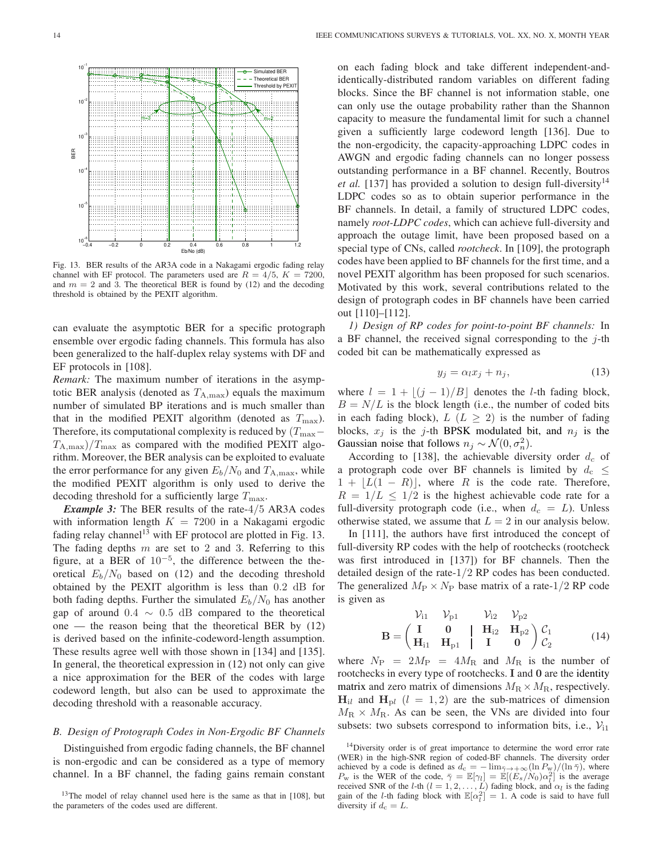

Fig. 13. BER results of the AR3A code in a Nakagami ergodic fading relay channel with EF protocol. The parameters used are  $R = 4/5$ ,  $K = 7200$ , and  $m = 2$  and 3. The theoretical BER is found by (12) and the decoding threshold is obtained by the PEXIT algorithm.

can evaluate the asymptotic BER for a specific protograph ensemble over ergodic fading channels. This formula has also been generalized to the half-duplex relay systems with DF and EF protocols in [108].

*Remark:* The maximum number of iterations in the asymptotic BER analysis (denoted as  $T_{A,\text{max}}$ ) equals the maximum number of simulated BP iterations and is much smaller than that in the modified PEXIT algorithm (denoted as  $T_{\text{max}}$ ). Therefore, its computational complexity is reduced by  $(T_{\text{max}} T_{\rm A,max}$ )/ $T_{\rm max}$  as compared with the modified PEXIT algorithm. Moreover, the BER analysis can be exploited to evaluate the error performance for any given  $E_b/N_0$  and  $T_{A,\text{max}}$ , while the modified PEXIT algorithm is only used to derive the decoding threshold for a sufficiently large  $T_{\text{max}}$ .

*Example 3:* The BER results of the rate-4/5 AR3A codes with information length  $K = 7200$  in a Nakagami ergodic fading relay channel<sup>13</sup> with EF protocol are plotted in Fig. 13. The fading depths  $m$  are set to 2 and 3. Referring to this figure, at a BER of  $10^{-5}$ , the difference between the theoretical  $E_b/N_0$  based on (12) and the decoding threshold obtained by the PEXIT algorithm is less than 0.2 dB for both fading depths. Further the simulated  $E_b/N_0$  has another gap of around  $0.4 \sim 0.5$  dB compared to the theoretical one — the reason being that the theoretical BER by  $(12)$ is derived based on the infinite-codeword-length assumption. These results agree well with those shown in [134] and [135]. In general, the theoretical expression in (12) not only can give a nice approximation for the BER of the codes with large codeword length, but also can be used to approximate the decoding threshold with a reasonable accuracy.

# *B. Design of Protograph Codes in Non-Ergodic BF Channels*

Distinguished from ergodic fading channels, the BF channel is non-ergodic and can be considered as a type of memory channel. In a BF channel, the fading gains remain constant on each fading block and take different independent-andidentically-distributed random variables on different fading blocks. Since the BF channel is not information stable, one can only use the outage probability rather than the Shannon capacity to measure the fundamental limit for such a channel given a sufficiently large codeword length [136]. Due to the non-ergodicity, the capacity-approaching LDPC codes in AWGN and ergodic fading channels can no longer possess outstanding performance in a BF channel. Recently, Boutros et al. [137] has provided a solution to design full-diversity<sup>14</sup> LDPC codes so as to obtain superior performance in the BF channels. In detail, a family of structured LDPC codes, namely *root-LDPC codes*, which can achieve full-diversity and approach the outage limit, have been proposed based on a special type of CNs, called *rootcheck*. In [109], the protograph codes have been applied to BF channels for the first time, and a novel PEXIT algorithm has been proposed for such scenarios. Motivated by this work, several contributions related to the design of protograph codes in BF channels have been carried out [110]–[112].

*1) Design of RP codes for point-to-point BF channels:* In a BF channel, the received signal corresponding to the  $j$ -th coded bit can be mathematically expressed as

$$
y_j = \alpha_l x_j + n_j,\tag{13}
$$

where  $l = 1 + |(j - 1)/B|$  denotes the *l*-th fading block,  $B = N/L$  is the block length (i.e., the number of coded bits in each fading block),  $L (L \ge 2)$  is the number of fading blocks,  $x_i$  is the j-th BPSK modulated bit, and  $n_i$  is the Gaussian noise that follows  $n_j \sim \mathcal{N}(0, \sigma_n^2)$ .

According to [138], the achievable diversity order  $d_c$  of a protograph code over BF channels is limited by  $d_c \leq$  $1 + |L(1 - R)|$ , where R is the code rate. Therefore,  $R = 1/L \le 1/2$  is the highest achievable code rate for a full-diversity protograph code (i.e., when  $d_c = L$ ). Unless otherwise stated, we assume that  $L = 2$  in our analysis below.

In [111], the authors have first introduced the concept of full-diversity RP codes with the help of rootchecks (rootcheck was first introduced in [137]) for BF channels. Then the detailed design of the rate-1/2 RP codes has been conducted. The generalized  $M_P \times N_P$  base matrix of a rate-1/2 RP code is given as

$$
B = \begin{pmatrix} V_{i1} & V_{p1} & V_{i2} & V_{p2} \\ I & 0 & | & H_{i2} & H_{p2} \\ H_{i1} & H_{p1} & | & I & 0 \end{pmatrix} \begin{matrix} C_1 \\ C_2 \end{matrix}
$$
 (14)

where  $N_P = 2M_P = 4M_R$  and  $M_R$  is the number of rootchecks in every type of rootchecks. I and 0 are the identity matrix and zero matrix of dimensions  $M_R \times M_R$ , respectively.  $H_{il}$  and  $H_{pl}$  ( $l = 1, 2$ ) are the sub-matrices of dimension  $M_{\rm R} \times M_{\rm R}$ . As can be seen, the VNs are divided into four subsets: two subsets correspond to information bits, i.e.,  $V_{i1}$ 

 $13$ The model of relay channel used here is the same as that in [108], but the parameters of the codes used are different.

<sup>&</sup>lt;sup>14</sup>Diversity order is of great importance to determine the word error rate (WER) in the high-SNR region of coded-BF channels. The diversity order achieved by a code is defined as  $d_c = -\lim_{\bar{z} \to +\infty} (\ln P_w)/(\ln \bar{z})$ , where  $P_{\rm w}$  is the WER of the code,  $\bar{\gamma} = \mathbb{E}[\gamma_l] = \mathbb{E}[(E_s/N_0)\alpha_l^2]$  is the average received SNR of the *l*-th  $(l = 1, 2, ..., L)$  fading block, and  $\alpha_l$  is the fading gain of the *l*-th fading block with  $\mathbb{E}[\alpha_l^2] = 1$ . A code is said to have full diversity if  $d_c = L$ .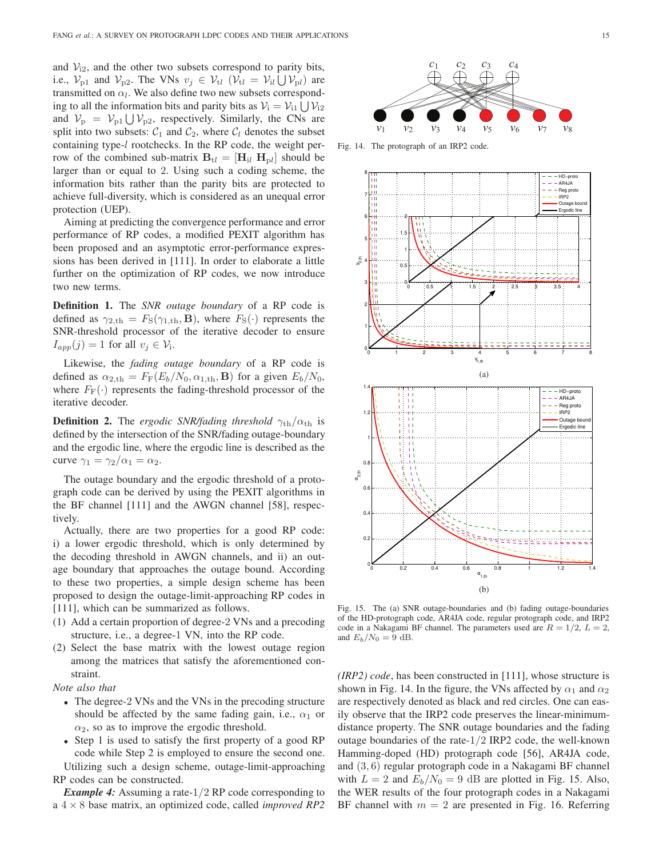and  $V_{i2}$ , and the other two subsets correspond to parity bits, i.e.,  $V_{p1}$  and  $V_{p2}$ . The VNs  $v_j \in V_{tl}$   $(V_{tl} = V_{il} \bigcup V_{pl})$  are transmitted on  $\alpha_l$ . We also define two new subsets corresponding to all the information bits and parity bits as  $V_i = V_{i1} \bigcup V_{i2}$ and  $V_{\rm p} = V_{\rm p1} \bigcup V_{\rm p2}$ , respectively. Similarly, the CNs are split into two subsets:  $C_1$  and  $C_2$ , where  $C_l$  denotes the subset containing type-l rootchecks. In the RP code, the weight perrow of the combined sub-matrix  $\mathbf{B}_{tl} = [\mathbf{H}_{il} \ \mathbf{H}_{pl}]$  should be larger than or equal to 2. Using such a coding scheme, the information bits rather than the parity bits are protected to achieve full-diversity, which is considered as an unequal error protection (UEP).

Aiming at predicting the convergence performance and error performance of RP codes, a modified PEXIT algorithm has been proposed and an asymptotic error-performance expressions has been derived in [111]. In order to elaborate a little further on the optimization of RP codes, we now introduce two new terms.

Definition 1. The *SNR outage boundary* of a RP code is defined as  $\gamma_{2,th} = F_S(\gamma_{1,th}, \mathbf{B})$ , where  $F_S(\cdot)$  represents the SNR-threshold processor of the iterative decoder to ensure  $I_{app}(j) = 1$  for all  $v_j \in \mathcal{V}_i$ .

Likewise, the *fading outage boundary* of a RP code is defined as  $\alpha_{2,th} = F_F(E_b/N_0, \alpha_{1,th}, \mathbf{B})$  for a given  $E_b/N_0$ , where  $F_F(\cdot)$  represents the fading-threshold processor of the iterative decoder.

**Definition 2.** The *ergodic SNR/fading threshold*  $\gamma_{\text{th}}/\alpha_{\text{th}}$  is defined by the intersection of the SNR/fading outage-boundary and the ergodic line, where the ergodic line is described as the curve  $\gamma_1 = \gamma_2/\alpha_1 = \alpha_2$ .

The outage boundary and the ergodic threshold of a protograph code can be derived by using the PEXIT algorithms in the BF channel [111] and the AWGN channel [58], respectively.

Actually, there are two properties for a good RP code: i) a lower ergodic threshold, which is only determined by the decoding threshold in AWGN channels, and ii) an outage boundary that approaches the outage bound. According to these two properties, a simple design scheme has been proposed to design the outage-limit-approaching RP codes in [111], which can be summarized as follows.

- (1) Add a certain proportion of degree-2 VNs and a precoding structure, i.e., a degree-1 VN, into the RP code.
- (2) Select the base matrix with the lowest outage region among the matrices that satisfy the aforementioned constraint.

*Note also that*

- The degree-2 VNs and the VNs in the precoding structure should be affected by the same fading gain, i.e.,  $\alpha_1$  or  $\alpha_2$ , so as to improve the ergodic threshold.
- Step 1 is used to satisfy the first property of a good RP code while Step 2 is employed to ensure the second one.

Utilizing such a design scheme, outage-limit-approaching RP codes can be constructed.

*Example 4:* Assuming a rate-1/2 RP code corresponding to a 4 × 8 base matrix, an optimized code, called *improved RP2*



Fig. 14. The protograph of an IRP2 code.



Fig. 15. The (a) SNR outage-boundaries and (b) fading outage-boundaries of the HD-protograph code, AR4JA code, regular protograph code, and IRP2 code in a Nakagami BF channel. The parameters used are  $R = 1/2$ ,  $L = 2$ , and  $E_b/N_0 = 9$  dB.

*(IRP2) code*, has been constructed in [111], whose structure is shown in Fig. 14. In the figure, the VNs affected by  $\alpha_1$  and  $\alpha_2$ are respectively denoted as black and red circles. One can easily observe that the IRP2 code preserves the linear-minimumdistance property. The SNR outage boundaries and the fading outage boundaries of the rate-1/2 IRP2 code, the well-known Hamming-doped (HD) protograph code [56], AR4JA code, and (3, 6) regular protograph code in a Nakagami BF channel with  $L = 2$  and  $E_b/N_0 = 9$  dB are plotted in Fig. 15. Also, the WER results of the four protograph codes in a Nakagami BF channel with  $m = 2$  are presented in Fig. 16. Referring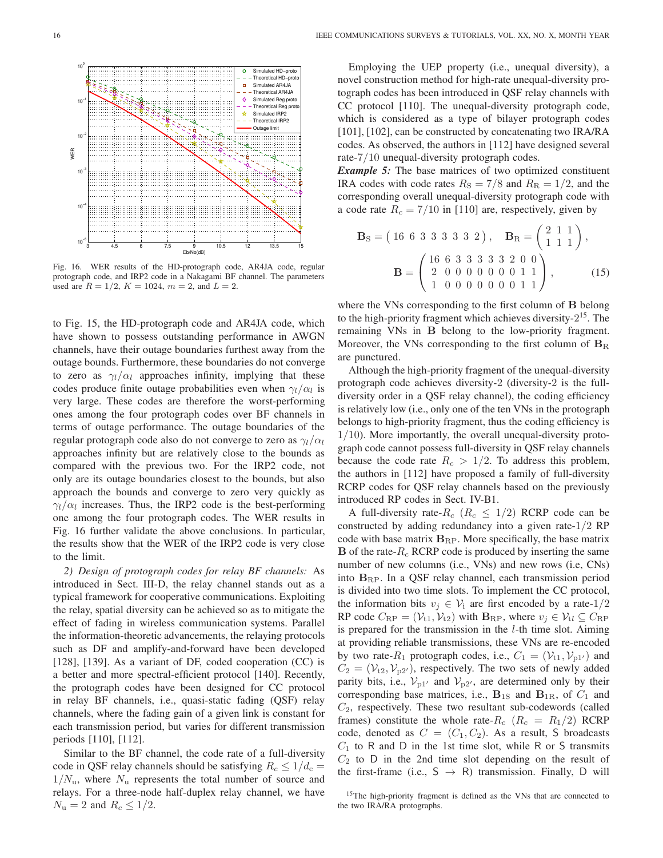Fig. 16. WER results of the HD-protograph code, AR4JA code, regular protograph code, and IRP2 code in a Nakagami BF channel. The parameters used are  $R = 1/2$ ,  $K = 1024$ ,  $m = 2$ , and  $L = 2$ .

to Fig. 15, the HD-protograph code and AR4JA code, which have shown to possess outstanding performance in AWGN channels, have their outage boundaries furthest away from the outage bounds. Furthermore, these boundaries do not converge to zero as  $\gamma_l/\alpha_l$  approaches infinity, implying that these codes produce finite outage probabilities even when  $\gamma_l/\alpha_l$  is very large. These codes are therefore the worst-performing ones among the four protograph codes over BF channels in terms of outage performance. The outage boundaries of the regular protograph code also do not converge to zero as  $\gamma_l/\alpha_l$ approaches infinity but are relatively close to the bounds as compared with the previous two. For the IRP2 code, not only are its outage boundaries closest to the bounds, but also approach the bounds and converge to zero very quickly as  $\gamma_l/\alpha_l$  increases. Thus, the IRP2 code is the best-performing one among the four protograph codes. The WER results in Fig. 16 further validate the above conclusions. In particular, the results show that the WER of the IRP2 code is very close to the limit.

*2) Design of protograph codes for relay BF channels:* As introduced in Sect. III-D, the relay channel stands out as a typical framework for cooperative communications. Exploiting the relay, spatial diversity can be achieved so as to mitigate the effect of fading in wireless communication systems. Parallel the information-theoretic advancements, the relaying protocols such as DF and amplify-and-forward have been developed [128], [139]. As a variant of DF, coded cooperation (CC) is a better and more spectral-efficient protocol [140]. Recently, the protograph codes have been designed for CC protocol in relay BF channels, i.e., quasi-static fading (QSF) relay channels, where the fading gain of a given link is constant for each transmission period, but varies for different transmission periods [110], [112].

Similar to the BF channel, the code rate of a full-diversity code in QSF relay channels should be satisfying  $R_c \leq 1/d_c =$  $1/N_u$ , where  $N_u$  represents the total number of source and relays. For a three-node half-duplex relay channel, we have  $N_{\rm u}=2$  and  $R_c\leq 1/2$ .

Employing the UEP property (i.e., unequal diversity), a novel construction method for high-rate unequal-diversity protograph codes has been introduced in QSF relay channels with CC protocol [110]. The unequal-diversity protograph code, which is considered as a type of bilayer protograph codes [101], [102], can be constructed by concatenating two IRA/RA codes. As observed, the authors in [112] have designed several rate-7/10 unequal-diversity protograph codes.

*Example 5:* The base matrices of two optimized constituent IRA codes with code rates  $R<sub>S</sub> = 7/8$  and  $R<sub>R</sub> = 1/2$ , and the corresponding overall unequal-diversity protograph code with a code rate  $R_c = 7/10$  in [110] are, respectively, given by

$$
\mathbf{B}_{\rm S} = \begin{pmatrix} 16 & 6 & 3 & 3 & 3 & 3 & 3 & 2 \end{pmatrix}, \quad \mathbf{B}_{\rm R} = \begin{pmatrix} 2 & 1 & 1 \\ 1 & 1 & 1 \end{pmatrix}, \\ \mathbf{B} = \begin{pmatrix} 16 & 6 & 3 & 3 & 3 & 3 & 3 & 2 & 0 & 0 \\ 2 & 0 & 0 & 0 & 0 & 0 & 0 & 1 & 1 \\ 1 & 0 & 0 & 0 & 0 & 0 & 0 & 1 & 1 \end{pmatrix}, \quad (15)
$$

where the VNs corresponding to the first column of B belong to the high-priority fragment which achieves diversity-2 <sup>15</sup>. The remaining VNs in B belong to the low-priority fragment. Moreover, the VNs corresponding to the first column of  $B_R$ are punctured.

Although the high-priority fragment of the unequal-diversity protograph code achieves diversity-2 (diversity-2 is the fulldiversity order in a QSF relay channel), the coding efficiency is relatively low (i.e., only one of the ten VNs in the protograph belongs to high-priority fragment, thus the coding efficiency is  $1/10$ ). More importantly, the overall unequal-diversity protograph code cannot possess full-diversity in QSF relay channels because the code rate  $R_c > 1/2$ . To address this problem, the authors in [112] have proposed a family of full-diversity RCRP codes for QSF relay channels based on the previously introduced RP codes in Sect. IV-B1.

A full-diversity rate- $R_c$  ( $R_c \leq 1/2$ ) RCRP code can be constructed by adding redundancy into a given rate-1/2 RP code with base matrix  $B_{\rm RP}$ . More specifically, the base matrix  $\bf{B}$  of the rate- $R_c$  RCRP code is produced by inserting the same number of new columns (i.e., VNs) and new rows (i.e, CNs) into  $B_{RP}$ . In a QSF relay channel, each transmission period is divided into two time slots. To implement the CC protocol, the information bits  $v_j \in V_i$  are first encoded by a rate-1/2 RP code  $C_{\rm RP} = (\mathcal{V}_{t1}, \mathcal{V}_{t2})$  with  $\mathbf{B}_{\rm RP}$ , where  $v_j \in \mathcal{V}_{t} \subseteq C_{\rm RP}$ is prepared for the transmission in the  $l$ -th time slot. Aiming at providing reliable transmissions, these VNs are re-encoded by two rate- $R_1$  protograph codes, i.e.,  $C_1 = (\mathcal{V}_{t1}, \mathcal{V}_{p1})$  and  $C_2 = (\mathcal{V}_{t2}, \mathcal{V}_{p2})$ , respectively. The two sets of newly added parity bits, i.e.,  $V_{p1'}$  and  $V_{p2'}$ , are determined only by their corresponding base matrices, i.e.,  $B_{1S}$  and  $B_{1R}$ , of  $C_1$  and  $C_2$ , respectively. These two resultant sub-codewords (called frames) constitute the whole rate- $R_c$  ( $R_c = R_1/2$ ) RCRP code, denoted as  $C = (C_1, C_2)$ . As a result, S broadcasts  $C_1$  to R and D in the 1st time slot, while R or S transmits  $C_2$  to D in the 2nd time slot depending on the result of the first-frame (i.e.,  $S \rightarrow R$ ) transmission. Finally, D will



<sup>&</sup>lt;sup>15</sup>The high-priority fragment is defined as the VNs that are connected to the two IRA/RA protographs.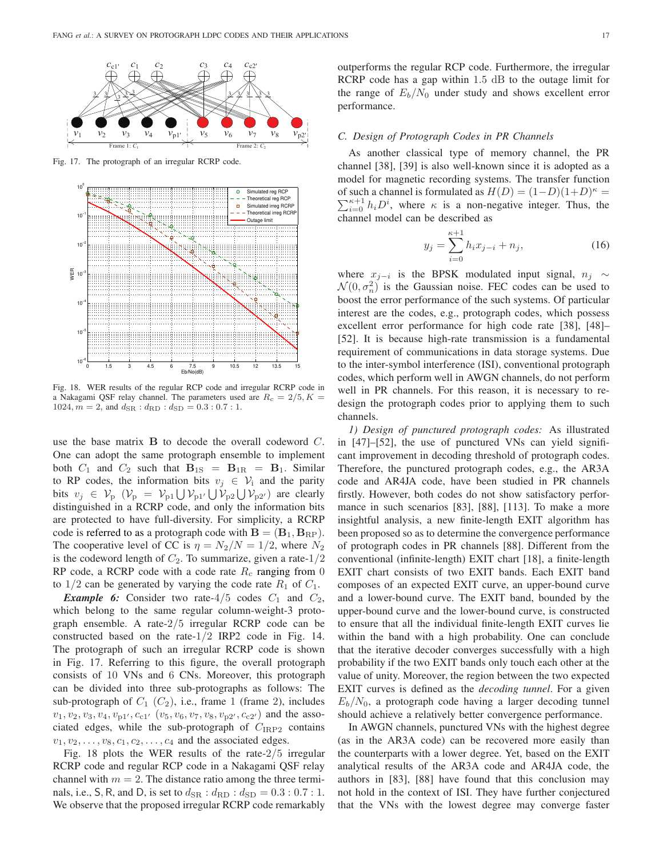

Fig. 17. The protograph of an irregular RCRP code.



Fig. 18. WER results of the regular RCP code and irregular RCRP code in a Nakagami QSF relay channel. The parameters used are  $R_c = 2/5, K =$  $1024, m = 2$ , and  $d_{\text{SR}} : d_{\text{RD}} : d_{\text{SD}} = 0.3 : 0.7 : 1$ .

use the base matrix B to decode the overall codeword C. One can adopt the same protograph ensemble to implement both  $C_1$  and  $C_2$  such that  $B_{1S} = B_{1R} = B_1$ . Similar to RP codes, the information bits  $v_j \in V_i$  and the parity bits  $v_j \in V_{\text{p}}$   $(V_{\text{p}} = V_{\text{p1}} \bigcup V_{\text{p1}} \bigcup V_{\text{p2}} \bigcup V_{\text{p2}}\big)$  are clearly distinguished in a RCRP code, and only the information bits are protected to have full-diversity. For simplicity, a RCRP code is referred to as a protograph code with  $B = (B_1, B_{RP})$ . The cooperative level of CC is  $\eta = N_2/N = 1/2$ , where  $N_2$ is the codeword length of  $C_2$ . To summarize, given a rate- $1/2$ RP code, a RCRP code with a code rate  $R_c$  ranging from 0 to  $1/2$  can be generated by varying the code rate  $R_1$  of  $C_1$ .

*Example 6:* Consider two rate- $4/5$  codes  $C_1$  and  $C_2$ , which belong to the same regular column-weight-3 protograph ensemble. A rate-2/5 irregular RCRP code can be constructed based on the rate- $1/2$  IRP2 code in Fig. 14. The protograph of such an irregular RCRP code is shown in Fig. 17. Referring to this figure, the overall protograph consists of 10 VNs and 6 CNs. Moreover, this protograph can be divided into three sub-protographs as follows: The sub-protograph of  $C_1$  ( $C_2$ ), i.e., frame 1 (frame 2), includes  $v_1, v_2, v_3, v_4, v_{p1'}, c_{c1'} (v_5, v_6, v_7, v_8, v_{p2'}, c_{c2'})$  and the associated edges, while the sub-protograph of  $C_{\rm IRP2}$  contains  $v_1, v_2, \ldots, v_8, c_1, c_2, \ldots, c_4$  and the associated edges.

Fig. 18 plots the WER results of the rate-2/5 irregular RCRP code and regular RCP code in a Nakagami QSF relay channel with  $m = 2$ . The distance ratio among the three terminals, i.e., S, R, and D, is set to  $d_{\text{SR}} : d_{\text{RD}} : d_{\text{SD}} = 0.3 : 0.7 : 1$ . We observe that the proposed irregular RCRP code remarkably outperforms the regular RCP code. Furthermore, the irregular RCRP code has a gap within 1.5 dB to the outage limit for the range of  $E_b/N_0$  under study and shows excellent error performance.

#### *C. Design of Protograph Codes in PR Channels*

As another classical type of memory channel, the PR channel [38], [39] is also well-known since it is adopted as a model for magnetic recording systems. The transfer function of such a channel is formulated as  $H(D) = (1-D)(1+D)^{\kappa} =$  $\sum_{i=0}^{\kappa+1} h_i D^i$ , where  $\kappa$  is a non-negative integer. Thus, the channel model can be described as

$$
y_j = \sum_{i=0}^{\kappa+1} h_i x_{j-i} + n_j,
$$
 (16)

where  $x_{j-i}$  is the BPSK modulated input signal,  $n_j \sim$  $\mathcal{N}(0, \sigma_n^2)$  is the Gaussian noise. FEC codes can be used to boost the error performance of the such systems. Of particular interest are the codes, e.g., protograph codes, which possess excellent error performance for high code rate [38], [48]– [52]. It is because high-rate transmission is a fundamental requirement of communications in data storage systems. Due to the inter-symbol interference (ISI), conventional protograph codes, which perform well in AWGN channels, do not perform well in PR channels. For this reason, it is necessary to redesign the protograph codes prior to applying them to such channels.

*1) Design of punctured protograph codes:* As illustrated in [47]–[52], the use of punctured VNs can yield significant improvement in decoding threshold of protograph codes. Therefore, the punctured protograph codes, e.g., the AR3A code and AR4JA code, have been studied in PR channels firstly. However, both codes do not show satisfactory performance in such scenarios [83], [88], [113]. To make a more insightful analysis, a new finite-length EXIT algorithm has been proposed so as to determine the convergence performance of protograph codes in PR channels [88]. Different from the conventional (infinite-length) EXIT chart [18], a finite-length EXIT chart consists of two EXIT bands. Each EXIT band composes of an expected EXIT curve, an upper-bound curve and a lower-bound curve. The EXIT band, bounded by the upper-bound curve and the lower-bound curve, is constructed to ensure that all the individual finite-length EXIT curves lie within the band with a high probability. One can conclude that the iterative decoder converges successfully with a high probability if the two EXIT bands only touch each other at the value of unity. Moreover, the region between the two expected EXIT curves is defined as the *decoding tunnel*. For a given  $E_b/N_0$ , a protograph code having a larger decoding tunnel should achieve a relatively better convergence performance.

In AWGN channels, punctured VNs with the highest degree (as in the AR3A code) can be recovered more easily than the counterparts with a lower degree. Yet, based on the EXIT analytical results of the AR3A code and AR4JA code, the authors in [83], [88] have found that this conclusion may not hold in the context of ISI. They have further conjectured that the VNs with the lowest degree may converge faster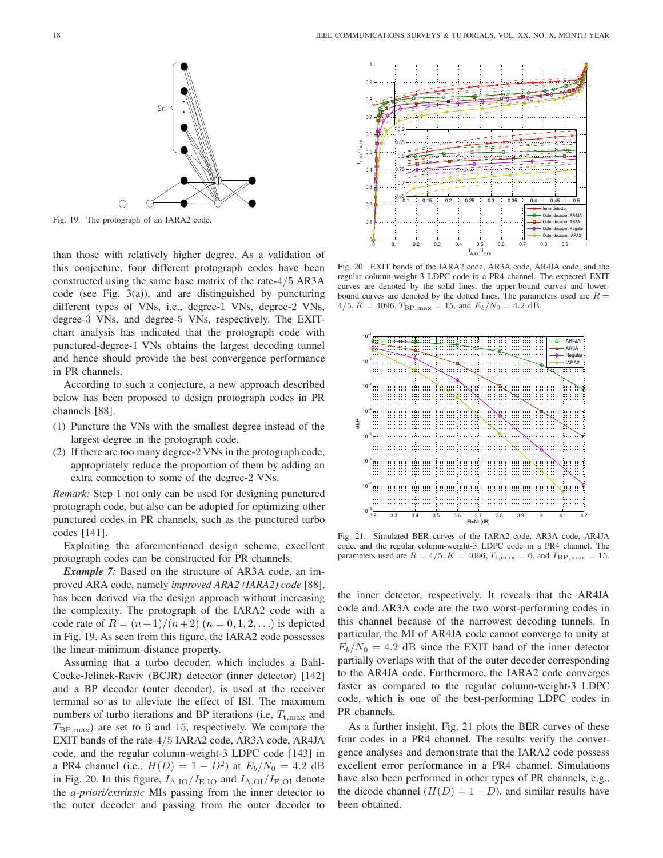

Fig. 19. The protograph of an IARA2 code.

than those with relatively higher degree. As a validation of this conjecture, four different protograph codes have been constructed using the same base matrix of the rate-4/5 AR3A code (see Fig. 3(a)), and are distinguished by puncturing different types of VNs, i.e., degree-1 VNs, degree-2 VNs, degree-3 VNs, and degree-5 VNs, respectively. The EXITchart analysis has indicated that the protograph code with punctured-degree-1 VNs obtains the largest decoding tunnel and hence should provide the best convergence performance in PR channels.

According to such a conjecture, a new approach described below has been proposed to design protograph codes in PR channels [88].

- (1) Puncture the VNs with the smallest degree instead of the largest degree in the protograph code.
- (2) If there are too many degree-2 VNs in the protograph code, appropriately reduce the proportion of them by adding an extra connection to some of the degree-2 VNs.

*Remark:* Step 1 not only can be used for designing punctured protograph code, but also can be adopted for optimizing other punctured codes in PR channels, such as the punctured turbo codes [141].

Exploiting the aforementioned design scheme, excellent protograph codes can be constructed for PR channels.

*Example 7:* Based on the structure of AR3A code, an improved ARA code, namely *improved ARA2 (IARA2) code* [88], has been derived via the design approach without increasing the complexity. The protograph of the IARA2 code with a code rate of  $R = (n+1)/(n+2)$   $(n = 0, 1, 2, ...)$  is depicted in Fig. 19. As seen from this figure, the IARA2 code possesses the linear-minimum-distance property.

Assuming that a turbo decoder, which includes a Bahl-Cocke-Jelinek-Raviv (BCJR) detector (inner detector) [142] and a BP decoder (outer decoder), is used at the receiver terminal so as to alleviate the effect of ISI. The maximum numbers of turbo iterations and BP iterations (i.e,  $T_{t, \text{max}}$  and  $T_{\rm BP,max}$ ) are set to 6 and 15, respectively. We compare the EXIT bands of the rate-4/5 IARA2 code, AR3A code, AR4JA code, and the regular column-weight-3 LDPC code [143] in a PR4 channel (i.e.,  $H(D) = 1 - D^2$ ) at  $E_b/N_0 = 4.2$  dB in Fig. 20. In this figure,  $I_{A,IO}/I_{E,IO}$  and  $I_{A,OI}/I_{E,OI}$  denote the *a-priori/extrinsic* MIs passing from the inner detector to the outer decoder and passing from the outer decoder to



Fig. 20. EXIT bands of the IARA2 code, AR3A code, AR4JA code, and the regular column-weight-3 LDPC code in a PR4 channel. The expected EXIT curves are denoted by the solid lines, the upper-bound curves and lowerbound curves are denoted by the dotted lines. The parameters used are  $R =$  $4/5, K = 4096, T_{\rm BP, max} = 15, \text{ and } E_b/N_0 = 4.2 \text{ dB}.$ 



Fig. 21. Simulated BER curves of the IARA2 code, AR3A code, AR4JA code, and the regular column-weight-3 LDPC code in a PR4 channel. The parameters used are  $R = 4/5$ ,  $K = 4096$ ,  $T_{t, \text{max}} = 6$ , and  $T_{\text{BP}, \text{max}} = 15$ .

the inner detector, respectively. It reveals that the AR4JA code and AR3A code are the two worst-performing codes in this channel because of the narrowest decoding tunnels. In particular, the MI of AR4JA code cannot converge to unity at  $E_b/N_0 = 4.2$  dB since the EXIT band of the inner detector partially overlaps with that of the outer decoder corresponding to the AR4JA code. Furthermore, the IARA2 code converges faster as compared to the regular column-weight-3 LDPC code, which is one of the best-performing LDPC codes in PR channels.

As a further insight, Fig. 21 plots the BER curves of these four codes in a PR4 channel. The results verify the convergence analyses and demonstrate that the IARA2 code possess excellent error performance in a PR4 channel. Simulations have also been performed in other types of PR channels, e.g., the dicode channel  $(H(D) = 1 - D)$ , and similar results have been obtained.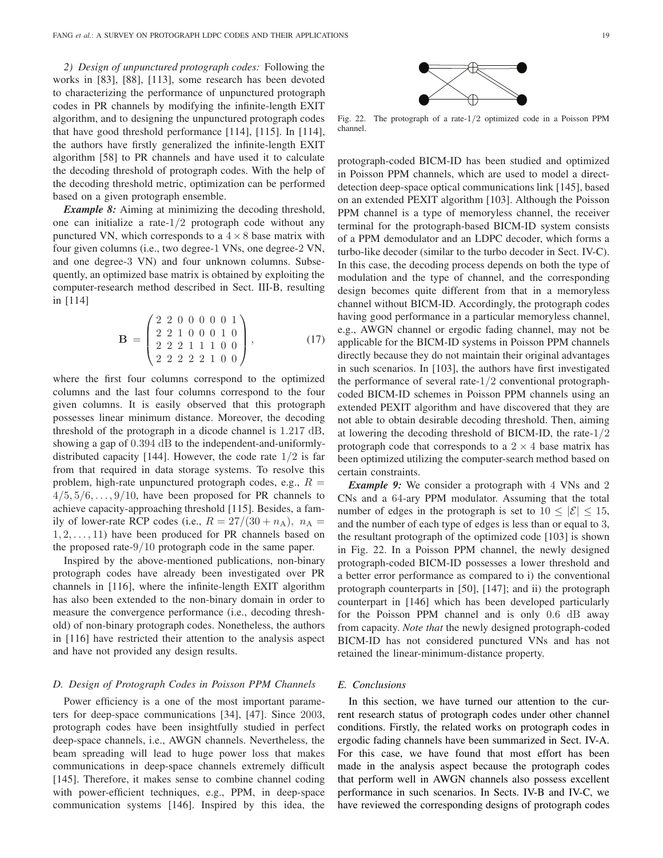*2) Design of unpunctured protograph codes:* Following the works in [83], [88], [113], some research has been devoted to characterizing the performance of unpunctured protograph codes in PR channels by modifying the infinite-length EXIT algorithm, and to designing the unpunctured protograph codes that have good threshold performance [114], [115]. In [114], the authors have firstly generalized the infinite-length EXIT algorithm [58] to PR channels and have used it to calculate the decoding threshold of protograph codes. With the help of the decoding threshold metric, optimization can be performed based on a given protograph ensemble.

*Example 8:* Aiming at minimizing the decoding threshold, one can initialize a rate- $1/2$  protograph code without any punctured VN, which corresponds to a  $4 \times 8$  base matrix with four given columns (i.e., two degree-1 VNs, one degree-2 VN, and one degree-3 VN) and four unknown columns. Subsequently, an optimized base matrix is obtained by exploiting the computer-research method described in Sect. III-B, resulting in [114]

$$
\mathbf{B} = \begin{pmatrix} 2 & 2 & 0 & 0 & 0 & 0 & 1 \\ 2 & 2 & 1 & 0 & 0 & 0 & 1 & 0 \\ 2 & 2 & 2 & 1 & 1 & 1 & 0 & 0 \\ 2 & 2 & 2 & 2 & 2 & 1 & 0 & 0 \end{pmatrix}, \tag{17}
$$

where the first four columns correspond to the optimized columns and the last four columns correspond to the four given columns. It is easily observed that this protograph possesses linear minimum distance. Moreover, the decoding threshold of the protograph in a dicode channel is 1.217 dB, showing a gap of 0.394 dB to the independent-and-uniformlydistributed capacity [144]. However, the code rate  $1/2$  is far from that required in data storage systems. To resolve this problem, high-rate unpunctured protograph codes, e.g.,  $R =$  $4/5, 5/6, \ldots, 9/10$ , have been proposed for PR channels to achieve capacity-approaching threshold [115]. Besides, a family of lower-rate RCP codes (i.e.,  $R = 27/(30 + n_A)$ ,  $n_A =$  $1, 2, \ldots, 11$ ) have been produced for PR channels based on the proposed rate-9/10 protograph code in the same paper.

Inspired by the above-mentioned publications, non-binary protograph codes have already been investigated over PR channels in [116], where the infinite-length EXIT algorithm has also been extended to the non-binary domain in order to measure the convergence performance (i.e., decoding threshold) of non-binary protograph codes. Nonetheless, the authors in [116] have restricted their attention to the analysis aspect and have not provided any design results.

## *D. Design of Protograph Codes in Poisson PPM Channels*

Power efficiency is a one of the most important parameters for deep-space communications [34], [47]. Since 2003, protograph codes have been insightfully studied in perfect deep-space channels, i.e., AWGN channels. Nevertheless, the beam spreading will lead to huge power loss that makes communications in deep-space channels extremely difficult [145]. Therefore, it makes sense to combine channel coding with power-efficient techniques, e.g., PPM, in deep-space communication systems [146]. Inspired by this idea, the



Fig. 22. The protograph of a rate-1/2 optimized code in a Poisson PPM channel.

protograph-coded BICM-ID has been studied and optimized in Poisson PPM channels, which are used to model a directdetection deep-space optical communications link [145], based on an extended PEXIT algorithm [103]. Although the Poisson PPM channel is a type of memoryless channel, the receiver terminal for the protograph-based BICM-ID system consists of a PPM demodulator and an LDPC decoder, which forms a turbo-like decoder (similar to the turbo decoder in Sect. IV-C). In this case, the decoding process depends on both the type of modulation and the type of channel, and the corresponding design becomes quite different from that in a memoryless channel without BICM-ID. Accordingly, the protograph codes having good performance in a particular memoryless channel, e.g., AWGN channel or ergodic fading channel, may not be applicable for the BICM-ID systems in Poisson PPM channels directly because they do not maintain their original advantages in such scenarios. In [103], the authors have first investigated the performance of several rate-1/2 conventional protographcoded BICM-ID schemes in Poisson PPM channels using an extended PEXIT algorithm and have discovered that they are not able to obtain desirable decoding threshold. Then, aiming at lowering the decoding threshold of BICM-ID, the rate-1/2 protograph code that corresponds to a  $2 \times 4$  base matrix has been optimized utilizing the computer-search method based on certain constraints.

*Example 9:* We consider a protograph with 4 VNs and 2 CNs and a 64-ary PPM modulator. Assuming that the total number of edges in the protograph is set to  $10 \le |\mathcal{E}| \le 15$ , and the number of each type of edges is less than or equal to 3, the resultant protograph of the optimized code [103] is shown in Fig. 22. In a Poisson PPM channel, the newly designed protograph-coded BICM-ID possesses a lower threshold and a better error performance as compared to i) the conventional protograph counterparts in [50], [147]; and ii) the protograph counterpart in [146] which has been developed particularly for the Poisson PPM channel and is only 0.6 dB away from capacity. *Note that* the newly designed protograph-coded BICM-ID has not considered punctured VNs and has not retained the linear-minimum-distance property.

#### *E. Conclusions*

In this section, we have turned our attention to the current research status of protograph codes under other channel conditions. Firstly, the related works on protograph codes in ergodic fading channels have been summarized in Sect. IV-A. For this case, we have found that most effort has been made in the analysis aspect because the protograph codes that perform well in AWGN channels also possess excellent performance in such scenarios. In Sects. IV-B and IV-C, we have reviewed the corresponding designs of protograph codes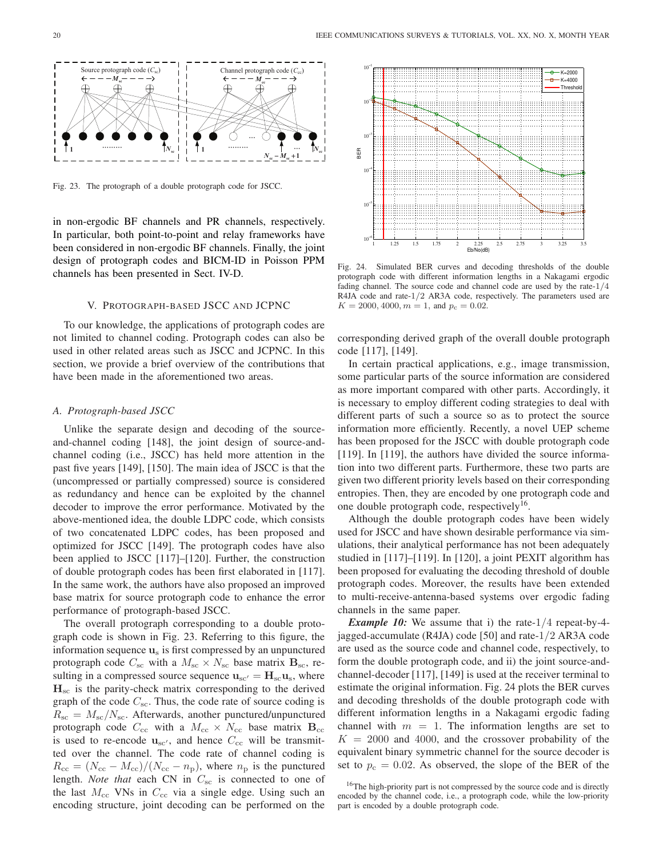

Fig. 23. The protograph of a double protograph code for JSCC.

in non-ergodic BF channels and PR channels, respectively. In particular, both point-to-point and relay frameworks have been considered in non-ergodic BF channels. Finally, the joint design of protograph codes and BICM-ID in Poisson PPM channels has been presented in Sect. IV-D.

#### V. PROTOGRAPH-BASED JSCC AND JCPNC

To our knowledge, the applications of protograph codes are not limited to channel coding. Protograph codes can also be used in other related areas such as JSCC and JCPNC. In this section, we provide a brief overview of the contributions that have been made in the aforementioned two areas.

#### *A. Protograph-based JSCC*

Unlike the separate design and decoding of the sourceand-channel coding [148], the joint design of source-andchannel coding (i.e., JSCC) has held more attention in the past five years [149], [150]. The main idea of JSCC is that the (uncompressed or partially compressed) source is considered as redundancy and hence can be exploited by the channel decoder to improve the error performance. Motivated by the above-mentioned idea, the double LDPC code, which consists of two concatenated LDPC codes, has been proposed and optimized for JSCC [149]. The protograph codes have also been applied to JSCC [117]–[120]. Further, the construction of double protograph codes has been first elaborated in [117]. In the same work, the authors have also proposed an improved base matrix for source protograph code to enhance the error performance of protograph-based JSCC.

The overall protograph corresponding to a double protograph code is shown in Fig. 23. Referring to this figure, the information sequence  $\mathbf{u}_s$  is first compressed by an unpunctured protograph code  $C_{\rm sc}$  with a  $M_{\rm sc} \times N_{\rm sc}$  base matrix  $\mathbf{B}_{\rm sc}$ , resulting in a compressed source sequence  $\mathbf{u}_{\rm sc'} = \mathbf{H}_{\rm sc} \mathbf{u}_{\rm s}$ , where  $H_{\rm sc}$  is the parity-check matrix corresponding to the derived graph of the code  $C_{\text{sc}}$ . Thus, the code rate of source coding is  $R_{\rm sc} = M_{\rm sc}/N_{\rm sc}$ . Afterwards, another punctured/unpunctured protograph code  $C_{\rm cc}$  with a  $M_{\rm cc} \times N_{\rm cc}$  base matrix  $\mathbf{B}_{\rm cc}$ is used to re-encode  $\mathbf{u}_{\rm sc'}$ , and hence  $C_{\rm cc}$  will be transmitted over the channel. The code rate of channel coding is  $R_{\rm cc} = (N_{\rm cc} - M_{\rm cc})/(N_{\rm cc} - n_{\rm p})$ , where  $n_{\rm p}$  is the punctured length. *Note that* each CN in  $C_{\text{sc}}$  is connected to one of the last  $M_{\rm cc}$  VNs in  $C_{\rm cc}$  via a single edge. Using such an encoding structure, joint decoding can be performed on the



Fig. 24. Simulated BER curves and decoding thresholds of the double protograph code with different information lengths in a Nakagami ergodic fading channel. The source code and channel code are used by the rate-1/4 R4JA code and rate-1/2 AR3A code, respectively. The parameters used are  $K = 2000, 4000, m = 1$ , and  $p_c = 0.02$ .

corresponding derived graph of the overall double protograph code [117], [149].

In certain practical applications, e.g., image transmission, some particular parts of the source information are considered as more important compared with other parts. Accordingly, it is necessary to employ different coding strategies to deal with different parts of such a source so as to protect the source information more efficiently. Recently, a novel UEP scheme has been proposed for the JSCC with double protograph code [119]. In [119], the authors have divided the source information into two different parts. Furthermore, these two parts are given two different priority levels based on their corresponding entropies. Then, they are encoded by one protograph code and one double protograph code, respectively<sup>16</sup>.

Although the double protograph codes have been widely used for JSCC and have shown desirable performance via simulations, their analytical performance has not been adequately studied in [117]–[119]. In [120], a joint PEXIT algorithm has been proposed for evaluating the decoding threshold of double protograph codes. Moreover, the results have been extended to multi-receive-antenna-based systems over ergodic fading channels in the same paper.

*Example 10:* We assume that i) the rate-1/4 repeat-by-4jagged-accumulate (R4JA) code [50] and rate-1/2 AR3A code are used as the source code and channel code, respectively, to form the double protograph code, and ii) the joint source-andchannel-decoder [117], [149] is used at the receiver terminal to estimate the original information. Fig. 24 plots the BER curves and decoding thresholds of the double protograph code with different information lengths in a Nakagami ergodic fading channel with  $m = 1$ . The information lengths are set to  $K = 2000$  and 4000, and the crossover probability of the equivalent binary symmetric channel for the source decoder is set to  $p_c = 0.02$ . As observed, the slope of the BER of the

<sup>&</sup>lt;sup>16</sup>The high-priority part is not compressed by the source code and is directly encoded by the channel code, i.e., a protograph code, while the low-priority part is encoded by a double protograph code.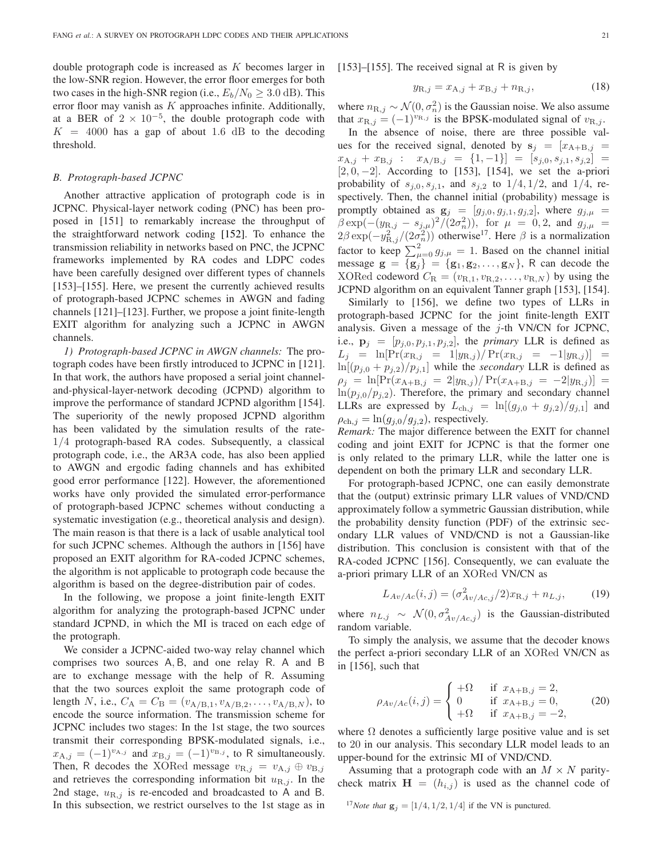double protograph code is increased as K becomes larger in the low-SNR region. However, the error floor emerges for both two cases in the high-SNR region (i.e.,  $E_b/N_0 \geq 3.0$  dB). This error floor may vanish as  $K$  approaches infinite. Additionally, at a BER of  $2 \times 10^{-5}$ , the double protograph code with  $K = 4000$  has a gap of about 1.6 dB to the decoding threshold.

## *B. Protograph-based JCPNC*

Another attractive application of protograph code is in JCPNC. Physical-layer network coding (PNC) has been proposed in [151] to remarkably increase the throughput of the straightforward network coding [152]. To enhance the transmission reliability in networks based on PNC, the JCPNC frameworks implemented by RA codes and LDPC codes have been carefully designed over different types of channels [153]–[155]. Here, we present the currently achieved results of protograph-based JCPNC schemes in AWGN and fading channels [121]–[123]. Further, we propose a joint finite-length EXIT algorithm for analyzing such a JCPNC in AWGN channels.

*1) Protograph-based JCPNC in AWGN channels:* The protograph codes have been firstly introduced to JCPNC in [121]. In that work, the authors have proposed a serial joint channeland-physical-layer-network decoding (JCPND) algorithm to improve the performance of standard JCPND algorithm [154]. The superiority of the newly proposed JCPND algorithm has been validated by the simulation results of the rate-1/4 protograph-based RA codes. Subsequently, a classical protograph code, i.e., the AR3A code, has also been applied to AWGN and ergodic fading channels and has exhibited good error performance [122]. However, the aforementioned works have only provided the simulated error-performance of protograph-based JCPNC schemes without conducting a systematic investigation (e.g., theoretical analysis and design). The main reason is that there is a lack of usable analytical tool for such JCPNC schemes. Although the authors in [156] have proposed an EXIT algorithm for RA-coded JCPNC schemes, the algorithm is not applicable to protograph code because the algorithm is based on the degree-distribution pair of codes.

In the following, we propose a joint finite-length EXIT algorithm for analyzing the protograph-based JCPNC under standard JCPND, in which the MI is traced on each edge of the protograph.

We consider a JCPNC-aided two-way relay channel which comprises two sources A, B, and one relay R. A and B are to exchange message with the help of R. Assuming that the two sources exploit the same protograph code of length N, i.e.,  $C_A = C_B = (v_{A/B,1}, v_{A/B,2}, \dots, v_{A/B,N})$ , to encode the source information. The transmission scheme for JCPNC includes two stages: In the 1st stage, the two sources transmit their corresponding BPSK-modulated signals, i.e.,  $x_{A,j} = (-1)^{v_{A,j}}$  and  $x_{B,j} = (-1)^{v_{B,j}}$ , to R simultaneously. Then, R decodes the XORed message  $v_{R,j} = v_{A,j} \oplus v_{B,j}$ and retrieves the corresponding information bit  $u_{R,j}$ . In the 2nd stage,  $u_{R,j}$  is re-encoded and broadcasted to A and B. In this subsection, we restrict ourselves to the 1st stage as in

$$
y_{\text{R},j} = x_{\text{A},j} + x_{\text{B},j} + n_{\text{R},j},\tag{18}
$$

where  $n_{\text{R},j} \sim \mathcal{N}(0, \sigma_n^2)$  is the Gaussian noise. We also assume that  $x_{\text{R},j} = (-1)^{v_{\text{R},j}}$  is the BPSK-modulated signal of  $v_{\text{R},j}$ .

In the absence of noise, there are three possible values for the received signal, denoted by  $s_i = [x_{A+B,i}]$  $x_{A,j} + x_{B,j}$  :  $x_{A/B,j} = \{1,-1\}$ ] =  $[s_{j,0}, s_{j,1}, s_{j,2}]$  = [2, 0, −2]. According to [153], [154], we set the a-priori probability of  $s_{j,0}, s_{j,1}$ , and  $s_{j,2}$  to  $1/4, 1/2$ , and  $1/4$ , respectively. Then, the channel initial (probability) message is promptly obtained as  $\mathbf{g}_j = [g_{j,0}, g_{j,1}, g_{j,2}]$ , where  $g_{j,\mu}$  $\beta \exp(-(y_{\text{R},j} - s_{j,\mu})^2/(2\sigma_n^2))$ , for  $\mu = 0, 2$ , and  $g_{j,\mu} =$  $2\beta \exp(-y_{\text{R},j}^2/(2\sigma_n^2))$  otherwise<sup>17</sup>. Here  $\beta$  is a normalization factor to keep  $\sum_{\mu=0}^{2} g_{j,\mu} = 1$ . Based on the channel initial message  $\mathbf{g} = {\mathbf{g}_j} = {\mathbf{g}_1, \mathbf{g}_2, \dots, \mathbf{g}_N}$ , R can decode the XORed codeword  $C_R = (v_{R,1}, v_{R,2}, \dots, v_{R,N})$  by using the JCPND algorithm on an equivalent Tanner graph [153], [154].

Similarly to [156], we define two types of LLRs in protograph-based JCPNC for the joint finite-length EXIT analysis. Given a message of the  $j$ -th VN/CN for JCPNC, i.e.,  $\mathbf{p}_j = [p_{j,0}, p_{j,1}, p_{j,2}]$ , the *primary* LLR is defined as  $L_j = \ln[\Pr(x_{\text{R},j} = 1|y_{\text{R},j})/\Pr(x_{\text{R},j} = -1|y_{\text{R},j})] =$  $\ln[(p_{j,0} + p_{j,2})/p_{j,1}]$  while the *secondary* LLR is defined as  $\rho_j = \ln[\Pr(x_{A+B,j} = 2|y_{R,j}) / \Pr(x_{A+B,j} = -2|y_{R,j})] =$  $ln(p_{j,0}/p_{j,2})$ . Therefore, the primary and secondary channel LLRs are expressed by  $L_{ch,j} = \ln[(g_{j,0} + g_{j,2})/g_{j,1}]$  and  $\rho_{ch,j} = \ln(g_{i,0}/g_{i,2})$ , respectively.

*Remark:* The major difference between the EXIT for channel coding and joint EXIT for JCPNC is that the former one is only related to the primary LLR, while the latter one is dependent on both the primary LLR and secondary LLR.

For protograph-based JCPNC, one can easily demonstrate that the (output) extrinsic primary LLR values of VND/CND approximately follow a symmetric Gaussian distribution, while the probability density function (PDF) of the extrinsic secondary LLR values of VND/CND is not a Gaussian-like distribution. This conclusion is consistent with that of the RA-coded JCPNC [156]. Consequently, we can evaluate the a-priori primary LLR of an XORed VN/CN as

$$
L_{Av/Ac}(i,j) = (\sigma_{Av/Ac,j}^2/2)x_{\text{R},j} + n_{L,j},\tag{19}
$$

where  $n_{L,j} \sim \mathcal{N}(0, \sigma_{Av/Ac,j}^2)$  is the Gaussian-distributed random variable.

To simply the analysis, we assume that the decoder knows the perfect a-priori secondary LLR of an XORed VN/CN as in [156], such that

$$
\rho_{Av/Ac}(i,j) = \begin{cases}\n+\Omega & \text{if } x_{A+B,j} = 2, \\
0 & \text{if } x_{A+B,j} = 0, \\
+\Omega & \text{if } x_{A+B,j} = -2,\n\end{cases}
$$
\n(20)

where  $\Omega$  denotes a sufficiently large positive value and is set to 20 in our analysis. This secondary LLR model leads to an upper-bound for the extrinsic MI of VND/CND.

Assuming that a protograph code with an  $M \times N$  paritycheck matrix  $\mathbf{H} = (h_{i,j})$  is used as the channel code of

<sup>17</sup>*Note that*  $\mathbf{g}_i = [1/4, 1/2, 1/4]$  if the VN is punctured.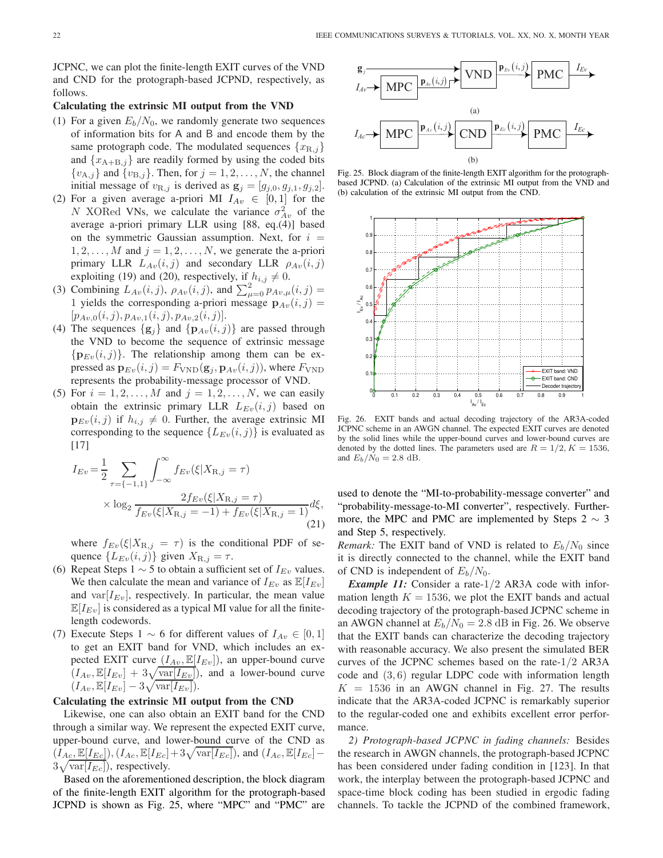JCPNC, we can plot the finite-length EXIT curves of the VND and CND for the protograph-based JCPND, respectively, as follows.

# Calculating the extrinsic MI output from the VND

- (1) For a given  $E_b/N_0$ , we randomly generate two sequences of information bits for A and B and encode them by the same protograph code. The modulated sequences  $\{x_{\text{R},i}\}$ and  $\{x_{A+B,j}\}\$ are readily formed by using the coded bits  $\{v_{A,j}\}\$ and  $\{v_{B,j}\}\$ . Then, for  $j=1,2,\ldots,N$ , the channel initial message of  $v_{\text{R},j}$  is derived as  $\mathbf{g}_j = [g_{j,0}, g_{j,1}, g_{j,2}].$
- (2) For a given average a-priori MI  $I_{Av} \in [0,1]$  for the N XORed VNs, we calculate the variance  $\sigma_{Av}^2$  of the average a-priori primary LLR using [88, eq.(4)] based on the symmetric Gaussian assumption. Next, for  $i =$  $1, 2, \ldots, M$  and  $j = 1, 2, \ldots, N$ , we generate the a-priori primary LLR  $L_{Av}(i, j)$  and secondary LLR  $\rho_{Av}(i, j)$ exploiting (19) and (20), respectively, if  $h_{i,j} \neq 0$ .
- (3) Combining  $L_{Av}(i, j)$ ,  $\rho_{Av}(i, j)$ , and  $\sum_{\mu=0}^{2} p_{Av,\mu}(i, j) =$ 1 yields the corresponding a-priori message  $\mathbf{p}_{Av}(i, j) =$  $[p_{Av,0}(i, j), p_{Av,1}(i, j), p_{Av,2}(i, j)].$
- (4) The sequences  $\{g_j\}$  and  $\{p_{Av}(i, j)\}\$  are passed through the VND to become the sequence of extrinsic message  $\{p_{Ev}(i, j)\}\$ . The relationship among them can be expressed as  $\mathbf{p}_{Ev}(i, j) = F_{\text{VND}}(\mathbf{g}_j, \mathbf{p}_{Av}(i, j))$ , where  $F_{\text{VND}}$ represents the probability-message processor of VND.
- (5) For  $i = 1, 2, ..., M$  and  $j = 1, 2, ..., N$ , we can easily obtain the extrinsic primary LLR  $L_{Ev}(i, j)$  based on  $\mathbf{p}_{Ev}(i, j)$  if  $h_{i,j} \neq 0$ . Further, the average extrinsic MI corresponding to the sequence  $\{L_{Ev}(i, j)\}\$ is evaluated as [17]

$$
I_{Ev} = \frac{1}{2} \sum_{\tau = \{-1, 1\}} \int_{-\infty}^{\infty} f_{Ev}(\xi | X_{\mathcal{R}, j} = \tau)
$$
  
 
$$
\times \log_2 \frac{2 f_{Ev}(\xi | X_{\mathcal{R}, j} = \tau)}{f_{Ev}(\xi | X_{\mathcal{R}, j} = -1) + f_{Ev}(\xi | X_{\mathcal{R}, j} = 1)} d\xi,
$$
(21)

where  $f_{Ev}(\xi|X_{\text{R},j} = \tau)$  is the conditional PDF of sequence  $\{L_{Ev}(i, j)\}\$  given  $X_{\mathrm{R},j} = \tau$ .

- (6) Repeat Steps 1  $\sim$  5 to obtain a sufficient set of  $I_{Ev}$  values. We then calculate the mean and variance of  $I_{Ev}$  as  $\mathbb{E}[I_{Ev}]$ and var $[I_{Ev}]$ , respectively. In particular, the mean value  $\mathbb{E}[I_{Ev}]$  is considered as a typical MI value for all the finitelength codewords.
- (7) Execute Steps 1  $\sim$  6 for different values of  $I_{Av} \in [0,1]$ to get an EXIT band for VND, which includes an expected EXIT curve  $(I_{Av}, \mathbb{E}[I_{Ev}])$ , an upper-bound curve  $(I_{Av}, \mathbb{E}[I_{Ev}] + 3\sqrt{\text{var}[I_{Ev}]}),$  and a lower-bound curve  $(I_{Av}, \mathbb{E}[I_{Ev}] - 3\sqrt{\text{var}[I_{Ev}]}).$

# Calculating the extrinsic MI output from the CND

Likewise, one can also obtain an EXIT band for the CND through a similar way. We represent the expected EXIT curve, upper-bound curve, and lower-bound curve of the CND as  $(I_{Ac},\mathbb{E}[I_{Ec}]),(I_{Ac},\mathbb{E}[I_{Ec}]+3\sqrt{\text{var}[I_{Ec}]}),$  and  $(I_{Ac},\mathbb{E}[I_{Ec}] 3\sqrt{\text{var}[I_{Ec}]}$ ), respectively.

Based on the aforementioned description, the block diagram of the finite-length EXIT algorithm for the protograph-based JCPND is shown as Fig. 25, where "MPC" and "PMC" are



Fig. 25. Block diagram of the finite-length EXIT algorithm for the protographbased JCPND. (a) Calculation of the extrinsic MI output from the VND and (b) calculation of the extrinsic MI output from the CND.



Fig. 26. EXIT bands and actual decoding trajectory of the AR3A-coded JCPNC scheme in an AWGN channel. The expected EXIT curves are denoted by the solid lines while the upper-bound curves and lower-bound curves are denoted by the dotted lines. The parameters used are  $R = 1/2, K = 1536$ , and  $E_b/N_0 = 2.8$  dB.

used to denote the "MI-to-probability-message converter" and "probability-message-to-MI converter", respectively. Furthermore, the MPC and PMC are implemented by Steps 2  $\sim$  3 and Step 5, respectively.

*Remark:* The EXIT band of VND is related to  $E_b/N_0$  since it is directly connected to the channel, while the EXIT band of CND is independent of  $E_b/N_0$ .

*Example 11:* Consider a rate-1/2 AR3A code with information length  $K = 1536$ , we plot the EXIT bands and actual decoding trajectory of the protograph-based JCPNC scheme in an AWGN channel at  $E_b/N_0 = 2.8$  dB in Fig. 26. We observe that the EXIT bands can characterize the decoding trajectory with reasonable accuracy. We also present the simulated BER curves of the JCPNC schemes based on the rate-1/2 AR3A code and (3, 6) regular LDPC code with information length  $K = 1536$  in an AWGN channel in Fig. 27. The results indicate that the AR3A-coded JCPNC is remarkably superior to the regular-coded one and exhibits excellent error performance.

*2) Protograph-based JCPNC in fading channels:* Besides the research in AWGN channels, the protograph-based JCPNC has been considered under fading condition in [123]. In that work, the interplay between the protograph-based JCPNC and space-time block coding has been studied in ergodic fading channels. To tackle the JCPND of the combined framework,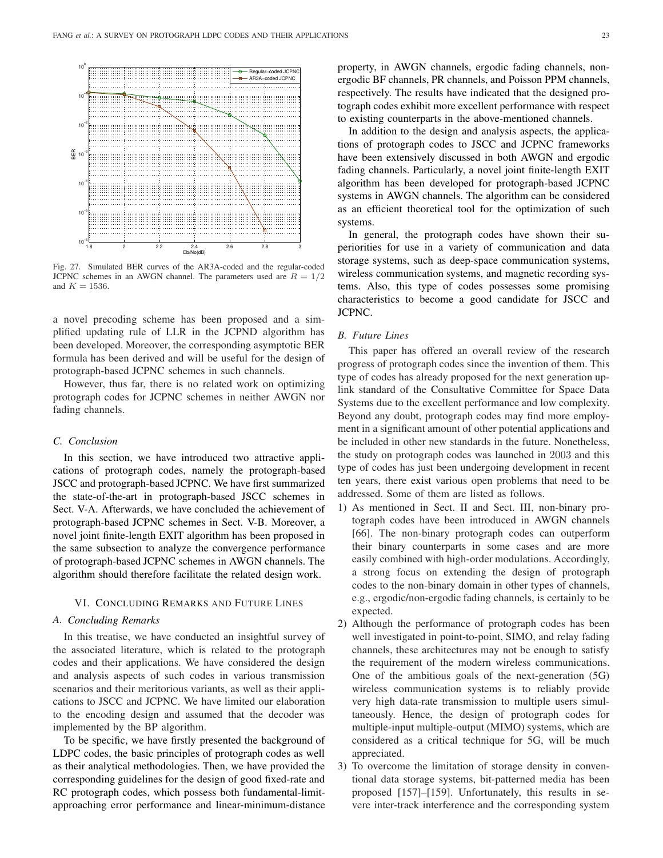

Fig. 27. Simulated BER curves of the AR3A-coded and the regular-coded JCPNC schemes in an AWGN channel. The parameters used are  $R = 1/2$ and  $K = 1536$ .

a novel precoding scheme has been proposed and a simplified updating rule of LLR in the JCPND algorithm has been developed. Moreover, the corresponding asymptotic BER formula has been derived and will be useful for the design of protograph-based JCPNC schemes in such channels.

However, thus far, there is no related work on optimizing protograph codes for JCPNC schemes in neither AWGN nor fading channels.

# *C. Conclusion*

In this section, we have introduced two attractive applications of protograph codes, namely the protograph-based JSCC and protograph-based JCPNC. We have first summarized the state-of-the-art in protograph-based JSCC schemes in Sect. V-A. Afterwards, we have concluded the achievement of protograph-based JCPNC schemes in Sect. V-B. Moreover, a novel joint finite-length EXIT algorithm has been proposed in the same subsection to analyze the convergence performance of protograph-based JCPNC schemes in AWGN channels. The algorithm should therefore facilitate the related design work.

## VI. CONCLUDING REMARKS AND FUTURE LINES

# *A. Concluding Remarks*

In this treatise, we have conducted an insightful survey of the associated literature, which is related to the protograph codes and their applications. We have considered the design and analysis aspects of such codes in various transmission scenarios and their meritorious variants, as well as their applications to JSCC and JCPNC. We have limited our elaboration to the encoding design and assumed that the decoder was implemented by the BP algorithm.

To be specific, we have firstly presented the background of LDPC codes, the basic principles of protograph codes as well as their analytical methodologies. Then, we have provided the corresponding guidelines for the design of good fixed-rate and RC protograph codes, which possess both fundamental-limitapproaching error performance and linear-minimum-distance property, in AWGN channels, ergodic fading channels, nonergodic BF channels, PR channels, and Poisson PPM channels, respectively. The results have indicated that the designed protograph codes exhibit more excellent performance with respect to existing counterparts in the above-mentioned channels.

In addition to the design and analysis aspects, the applications of protograph codes to JSCC and JCPNC frameworks have been extensively discussed in both AWGN and ergodic fading channels. Particularly, a novel joint finite-length EXIT algorithm has been developed for protograph-based JCPNC systems in AWGN channels. The algorithm can be considered as an efficient theoretical tool for the optimization of such systems.

In general, the protograph codes have shown their superiorities for use in a variety of communication and data storage systems, such as deep-space communication systems, wireless communication systems, and magnetic recording systems. Also, this type of codes possesses some promising characteristics to become a good candidate for JSCC and JCPNC.

# *B. Future Lines*

This paper has offered an overall review of the research progress of protograph codes since the invention of them. This type of codes has already proposed for the next generation uplink standard of the Consultative Committee for Space Data Systems due to the excellent performance and low complexity. Beyond any doubt, protograph codes may find more employment in a significant amount of other potential applications and be included in other new standards in the future. Nonetheless, the study on protograph codes was launched in 2003 and this type of codes has just been undergoing development in recent ten years, there exist various open problems that need to be addressed. Some of them are listed as follows.

- 1) As mentioned in Sect. II and Sect. III, non-binary protograph codes have been introduced in AWGN channels [66]. The non-binary protograph codes can outperform their binary counterparts in some cases and are more easily combined with high-order modulations. Accordingly, a strong focus on extending the design of protograph codes to the non-binary domain in other types of channels, e.g., ergodic/non-ergodic fading channels, is certainly to be expected.
- 2) Although the performance of protograph codes has been well investigated in point-to-point, SIMO, and relay fading channels, these architectures may not be enough to satisfy the requirement of the modern wireless communications. One of the ambitious goals of the next-generation (5G) wireless communication systems is to reliably provide very high data-rate transmission to multiple users simultaneously. Hence, the design of protograph codes for multiple-input multiple-output (MIMO) systems, which are considered as a critical technique for 5G, will be much appreciated.
- 3) To overcome the limitation of storage density in conventional data storage systems, bit-patterned media has been proposed [157]–[159]. Unfortunately, this results in severe inter-track interference and the corresponding system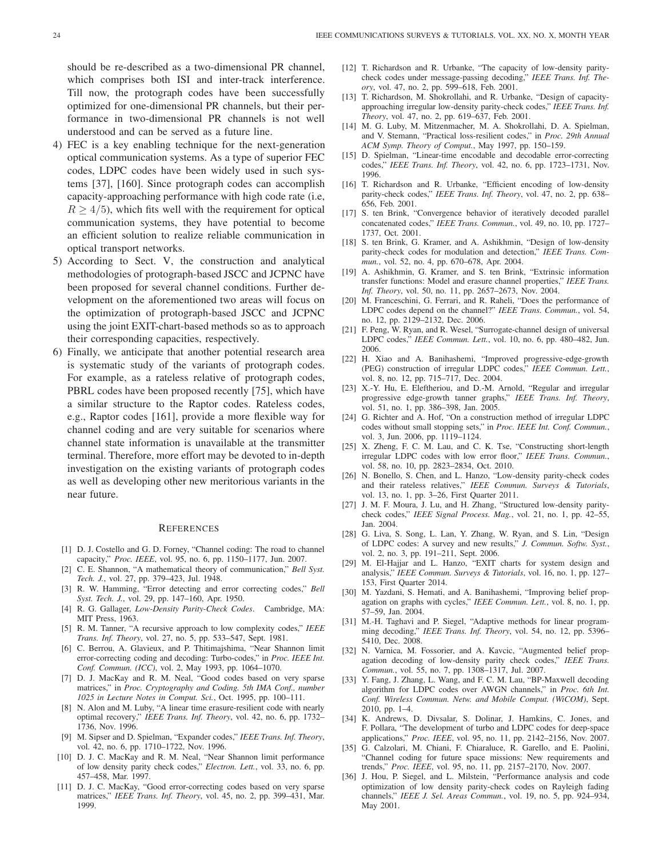should be re-described as a two-dimensional PR channel, which comprises both ISI and inter-track interference. Till now, the protograph codes have been successfully optimized for one-dimensional PR channels, but their performance in two-dimensional PR channels is not well understood and can be served as a future line.

- 4) FEC is a key enabling technique for the next-generation optical communication systems. As a type of superior FEC codes, LDPC codes have been widely used in such systems [37], [160]. Since protograph codes can accomplish capacity-approaching performance with high code rate (i.e,  $R \geq 4/5$ , which fits well with the requirement for optical communication systems, they have potential to become an efficient solution to realize reliable communication in optical transport networks.
- 5) According to Sect. V, the construction and analytical methodologies of protograph-based JSCC and JCPNC have been proposed for several channel conditions. Further development on the aforementioned two areas will focus on the optimization of protograph-based JSCC and JCPNC using the joint EXIT-chart-based methods so as to approach their corresponding capacities, respectively.
- 6) Finally, we anticipate that another potential research area is systematic study of the variants of protograph codes. For example, as a rateless relative of protograph codes, PBRL codes have been proposed recently [75], which have a similar structure to the Raptor codes. Rateless codes, e.g., Raptor codes [161], provide a more flexible way for channel coding and are very suitable for scenarios where channel state information is unavailable at the transmitter terminal. Therefore, more effort may be devoted to in-depth investigation on the existing variants of protograph codes as well as developing other new meritorious variants in the near future.

#### **REFERENCES**

- [1] D. J. Costello and G. D. Forney, "Channel coding: The road to channel capacity," *Proc. IEEE*, vol. 95, no. 6, pp. 1150–1177, Jun. 2007.
- [2] C. E. Shannon, "A mathematical theory of communication," *Bell Syst. Tech. J.*, vol. 27, pp. 379–423, Jul. 1948.
- [3] R. W. Hamming, "Error detecting and error correcting codes," *Bell Syst. Tech. J.*, vol. 29, pp. 147–160, Apr. 1950.
- [4] R. G. Gallager, *Low-Density Parity-Check Codes*. Cambridge, MA: MIT Press, 1963.
- [5] R. M. Tanner, "A recursive approach to low complexity codes," *IEEE Trans. Inf. Theory*, vol. 27, no. 5, pp. 533–547, Sept. 1981.
- [6] C. Berrou, A. Glavieux, and P. Thitimajshima, "Near Shannon limit error-correcting coding and decoding: Turbo-codes," in *Proc. IEEE Int. Conf. Commun. (ICC)*, vol. 2, May 1993, pp. 1064–1070.
- [7] D. J. MacKay and R. M. Neal, "Good codes based on very sparse matrices," in *Proc. Cryptography and Coding. 5th IMA Conf., number 1025 in Lecture Notes in Comput. Sci.*, Oct. 1995, pp. 100–111.
- [8] N. Alon and M. Luby, "A linear time erasure-resilient code with nearly optimal recovery," *IEEE Trans. Inf. Theory*, vol. 42, no. 6, pp. 1732– 1736, Nov. 1996.
- [9] M. Sipser and D. Spielman, "Expander codes," *IEEE Trans. Inf. Theory*, vol. 42, no. 6, pp. 1710–1722, Nov. 1996.
- [10] D. J. C. MacKay and R. M. Neal, "Near Shannon limit performance of low density parity check codes," *Electron. Lett.*, vol. 33, no. 6, pp. 457–458, Mar. 1997.
- [11] D. J. C. MacKay, "Good error-correcting codes based on very sparse matrices," *IEEE Trans. Inf. Theory*, vol. 45, no. 2, pp. 399–431, Mar. 1999.
- [12] T. Richardson and R. Urbanke, "The capacity of low-density paritycheck codes under message-passing decoding," *IEEE Trans. Inf. Theory*, vol. 47, no. 2, pp. 599–618, Feb. 2001.
- [13] T. Richardson, M. Shokrollahi, and R. Urbanke, "Design of capacityapproaching irregular low-density parity-check codes," *IEEE Trans. Inf. Theory*, vol. 47, no. 2, pp. 619–637, Feb. 2001.
- [14] M. G. Luby, M. Mitzenmacher, M. A. Shokrollahi, D. A. Spielman, and V. Stemann, "Practical loss-resilient codes," in *Proc. 29th Annual ACM Symp. Theory of Comput.*, May 1997, pp. 150–159.
- [15] D. Spielman, "Linear-time encodable and decodable error-correcting codes," *IEEE Trans. Inf. Theory*, vol. 42, no. 6, pp. 1723–1731, Nov. 1996.
- [16] T. Richardson and R. Urbanke, "Efficient encoding of low-density parity-check codes," *IEEE Trans. Inf. Theory*, vol. 47, no. 2, pp. 638– 656, Feb. 2001.
- [17] S. ten Brink, "Convergence behavior of iteratively decoded parallel concatenated codes," *IEEE Trans. Commun.*, vol. 49, no. 10, pp. 1727– 1737, Oct. 2001.
- [18] S. ten Brink, G. Kramer, and A. Ashikhmin, "Design of low-density parity-check codes for modulation and detection," *IEEE Trans. Commun.*, vol. 52, no. 4, pp. 670–678, Apr. 2004.
- [19] A. Ashikhmin, G. Kramer, and S. ten Brink, "Extrinsic information transfer functions: Model and erasure channel properties," *IEEE Trans. Inf. Theory*, vol. 50, no. 11, pp. 2657–2673, Nov. 2004.
- [20] M. Franceschini, G. Ferrari, and R. Raheli, "Does the performance of LDPC codes depend on the channel?" *IEEE Trans. Commun.*, vol. 54, no. 12, pp. 2129–2132, Dec. 2006.
- [21] F. Peng, W. Ryan, and R. Wesel, "Surrogate-channel design of universal LDPC codes," *IEEE Commun. Lett.*, vol. 10, no. 6, pp. 480–482, Jun. 2006.
- [22] H. Xiao and A. Banihashemi, "Improved progressive-edge-growth (PEG) construction of irregular LDPC codes," *IEEE Commun. Lett.*, vol. 8, no. 12, pp. 715–717, Dec. 2004.
- [23] X.-Y. Hu, E. Eleftheriou, and D.-M. Arnold, "Regular and irregular progressive edge-growth tanner graphs," *IEEE Trans. Inf. Theory*, vol. 51, no. 1, pp. 386–398, Jan. 2005.
- [24] G. Richter and A. Hof, "On a construction method of irregular LDPC codes without small stopping sets," in *Proc. IEEE Int. Conf. Commun.*, vol. 3, Jun. 2006, pp. 1119–1124.
- [25] X. Zheng, F. C. M. Lau, and C. K. Tse, "Constructing short-length irregular LDPC codes with low error floor," *IEEE Trans. Commun.*, vol. 58, no. 10, pp. 2823–2834, Oct. 2010.
- [26] N. Bonello, S. Chen, and L. Hanzo, "Low-density parity-check codes and their rateless relatives," *IEEE Commun. Surveys & Tutorials*, vol. 13, no. 1, pp. 3–26, First Quarter 2011.
- [27] J. M. F. Moura, J. Lu, and H. Zhang, "Structured low-density paritycheck codes," *IEEE Signal Process. Mag.*, vol. 21, no. 1, pp. 42–55, Jan. 2004.
- [28] G. Liva, S. Song, L. Lan, Y. Zhang, W. Ryan, and S. Lin, "Design of LDPC codes: A survey and new results," *J. Commun. Softw. Syst.*, vol. 2, no. 3, pp. 191–211, Sept. 2006.
- [29] M. El-Hajjar and L. Hanzo, "EXIT charts for system design and analysis," *IEEE Commun. Surveys & Tutorials*, vol. 16, no. 1, pp. 127– 153, First Quarter 2014.
- [30] M. Yazdani, S. Hemati, and A. Banihashemi, "Improving belief propagation on graphs with cycles," *IEEE Commun. Lett.*, vol. 8, no. 1, pp. 57–59, Jan. 2004.
- [31] M.-H. Taghavi and P. Siegel, "Adaptive methods for linear programming decoding," *IEEE Trans. Inf. Theory*, vol. 54, no. 12, pp. 5396– 5410, Dec. 2008.
- [32] N. Varnica, M. Fossorier, and A. Kavcic, "Augmented belief propagation decoding of low-density parity check codes," *IEEE Trans. Commun.*, vol. 55, no. 7, pp. 1308–1317, Jul. 2007.
- [33] Y. Fang, J. Zhang, L. Wang, and F. C. M. Lau, "BP-Maxwell decoding algorithm for LDPC codes over AWGN channels," in *Proc. 6th Int. Conf. Wireless Commun. Netw. and Mobile Comput. (WiCOM)*, Sept. 2010, pp. 1–4.
- [34] K. Andrews, D. Divsalar, S. Dolinar, J. Hamkins, C. Jones, and F. Pollara, "The development of turbo and LDPC codes for deep-space applications," *Proc. IEEE*, vol. 95, no. 11, pp. 2142–2156, Nov. 2007.
- [35] G. Calzolari, M. Chiani, F. Chiaraluce, R. Garello, and E. Paolini, "Channel coding for future space missions: New requirements and trends," *Proc. IEEE*, vol. 95, no. 11, pp. 2157–2170, Nov. 2007.
- [36] J. Hou, P. Siegel, and L. Milstein, "Performance analysis and code optimization of low density parity-check codes on Rayleigh fading channels," *IEEE J. Sel. Areas Commun.*, vol. 19, no. 5, pp. 924–934, May 2001.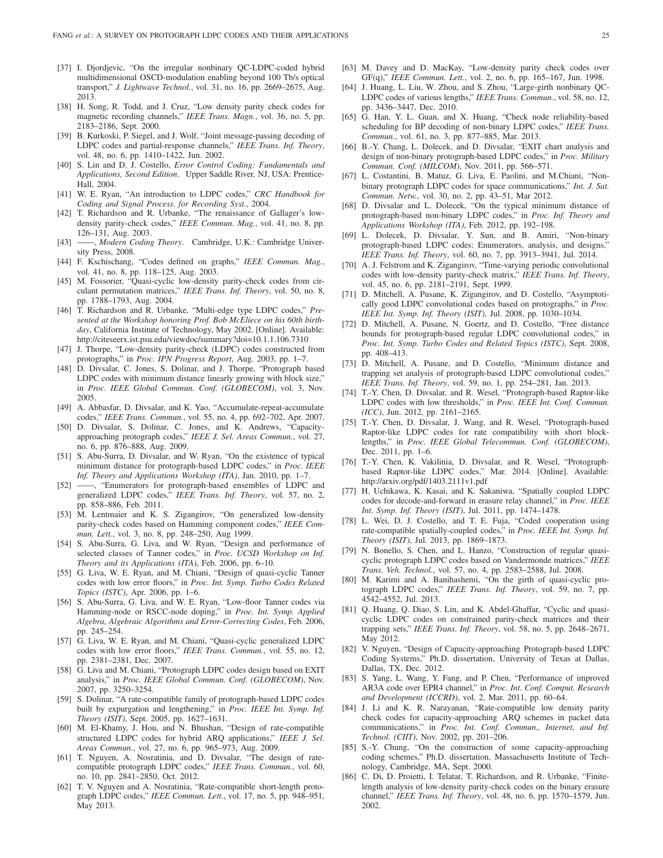- [37] I. Djordjevic, "On the irregular nonbinary QC-LDPC-coded hybrid multidimensional OSCD-modulation enabling beyond 100 Tb/s optical transport," *J. Lightwave Technol.*, vol. 31, no. 16, pp. 2669–2675, Aug. 2013.
- [38] H. Song, R. Todd, and J. Cruz, "Low density parity check codes for magnetic recording channels," *IEEE Trans. Magn.*, vol. 36, no. 5, pp. 2183–2186, Sept. 2000.
- [39] B. Kurkoski, P. Siegel, and J. Wolf, "Joint message-passing decoding of LDPC codes and partial-response channels," *IEEE Trans. Inf. Theory*, vol. 48, no. 6, pp. 1410–1422, Jun. 2002.
- [40] S. Lin and D. J. Costello, *Error Control Coding: Fundamentals and Applications, Second Edition*. Upper Saddle River, NJ, USA: Prentice-Hall, 2004.
- [41] W. E. Ryan, "An introduction to LDPC codes," *CRC Handbook for Coding and Signal Process. for Recording Syst.*, 2004.
- [42] T. Richardson and R. Urbanke, "The renaissance of Gallager's lowdensity parity-check codes," *IEEE Commun. Mag.*, vol. 41, no. 8, pp. 126–131, Aug. 2003.
- [43] -, Modern Coding Theory. Cambridge, U.K.: Cambridge University Press, 2008.
- [44] F. Kschischang, "Codes defined on graphs," *IEEE Commun. Mag.*, vol. 41, no. 8, pp. 118–125, Aug. 2003.
- [45] M. Fossorier, "Quasi-cyclic low-density parity-check codes from circulant permutation matrices," *IEEE Trans. Inf. Theory*, vol. 50, no. 8, pp. 1788–1793, Aug. 2004.
- [46] T. Richardson and R. Urbanke, "Multi-edge type LDPC codes," *Presented at the Workshop honoring Prof. Bob McEliece on his 60th birthday*, California Institute of Technology, May 2002. [Online]. Available: http://citeseerx.ist.psu.edu/viewdoc/summary?doi=10.1.1.106.7310
- [47] J. Thorpe, "Low-density parity-check (LDPC) codes constructed from protographs," in *Proc. IPN Progress Report*, Aug. 2003, pp. 1–7.
- [48] D. Divsalar, C. Jones, S. Dolinar, and J. Thorpe, "Protograph based LDPC codes with minimum distance linearly growing with block size," in *Proc. IEEE Global Commun. Conf. (GLOBECOM)*, vol. 3, Nov. 2005.
- [49] A. Abbasfar, D. Divsalar, and K. Yao, "Accumulate-repeat-accumulate codes," *IEEE Trans. Commun.*, vol. 55, no. 4, pp. 692–702, Apr. 2007.
- [50] D. Divsalar, S. Dolinar, C. Jones, and K. Andrews, "Capacityapproaching protograph codes," *IEEE J. Sel. Areas Commun.*, vol. 27, no. 6, pp. 876–888, Aug. 2009.
- [51] S. Abu-Surra, D. Divsalar, and W. Ryan, "On the existence of typical minimum distance for protograph-based LDPC codes," in *Proc. IEEE Inf. Theory and Applications Workshop (ITA)*, Jan. 2010, pp. 1–7.
- [52] ——, "Enumerators for protograph-based ensembles of LDPC and generalized LDPC codes," *IEEE Trans. Inf. Theory*, vol. 57, no. 2, pp. 858–886, Feb. 2011.
- [53] M. Lentmaier and K. S. Zigangirov, "On generalized low-density parity-check codes based on Hamming component codes," *IEEE Commun. Lett.*, vol. 3, no. 8, pp. 248–250, Aug 1999.
- [54] S. Abu-Surra, G. Liva, and W. Ryan, "Design and performance of selected classes of Tanner codes," in *Proc. UCSD Workshop on Inf. Theory and its Applications (ITA)*, Feb. 2006, pp. 6–10.
- [55] G. Liva, W. E. Ryan, and M. Chiani, "Design of quasi-cyclic Tanner codes with low error floors," in *Proc. Int. Symp. Turbo Codes Related Topics (ISTC)*, Apr. 2006, pp. 1–6.
- [56] S. Abu-Surra, G. Liva, and W. E. Ryan, "Low-floor Tanner codes via Hamming-node or RSCC-node doping," in *Proc. Int. Symp. Applied Algebra, Algebraic Algorithms and Error-Correcting Codes*, Feb. 2006, pp. 245–254.
- [57] G. Liva, W. E. Ryan, and M. Chiani, "Quasi-cyclic generalized LDPC codes with low error floors," *IEEE Trans. Commun.*, vol. 55, no. 12, pp. 2381–2381, Dec. 2007.
- [58] G. Liva and M. Chiani, "Protograph LDPC codes design based on EXIT analysis," in *Proc. IEEE Global Commun. Conf. (GLOBECOM)*, Nov. 2007, pp. 3250–3254.
- [59] S. Dolinar, "A rate-compatible family of protograph-based LDPC codes built by expurgation and lengthening," in *Proc. IEEE Int. Symp. Inf. Theory (ISIT)*, Sept. 2005, pp. 1627–1631.
- [60] M. El-Khamy, J. Hou, and N. Bhushan, "Design of rate-compatible structured LDPC codes for hybrid ARQ applications," *IEEE J. Sel. Areas Commun.*, vol. 27, no. 6, pp. 965–973, Aug. 2009.
- [61] T. Nguyen, A. Nosratinia, and D. Divsalar, "The design of ratecompatible protograph LDPC codes," *IEEE Trans. Commun.*, vol. 60, no. 10, pp. 2841–2850, Oct. 2012.
- [62] T. V. Nguyen and A. Nosratinia, "Rate-compatible short-length protograph LDPC codes," *IEEE Commun. Lett.*, vol. 17, no. 5, pp. 948–951, May 2013.
- [63] M. Davey and D. MacKay, "Low-density parity check codes over GF(q)," *IEEE Commun. Lett.*, vol. 2, no. 6, pp. 165–167, Jun. 1998.
- [64] J. Huang, L. Liu, W. Zhou, and S. Zhou, "Large-girth nonbinary QC-LDPC codes of various lengths," *IEEE Trans. Commun.*, vol. 58, no. 12, pp. 3436–3447, Dec. 2010.
- [65] G. Han, Y. L. Guan, and X. Huang, "Check node reliability-based scheduling for BP decoding of non-binary LDPC codes," *IEEE Trans. Commun.*, vol. 61, no. 3, pp. 877–885, Mar. 2013.
- [66] B.-Y. Chang, L. Dolecek, and D. Divsalar, "EXIT chart analysis and design of non-binary protograph-based LDPC codes," in *Proc. Military Commun. Conf. (MILCOM)*, Nov. 2011, pp. 566–571.
- [67] L. Costantini, B. Matuz, G. Liva, E. Paolini, and M.Chiani, "Nonbinary protograph LDPC codes for space communications," *Int. J. Sat. Commun. Netw.*, vol. 30, no. 2, pp. 43–51, Mar 2012.
- [68] D. Divsalar and L. Dolecek, "On the typical minimum distance of protograph-based non-binary LDPC codes," in *Proc. Inf. Theory and Applications Workshop (ITA)*, Feb. 2012, pp. 192–198.
- [69] L. Dolecek, D. Divsalar, Y. Sun, and B. Amiri, "Non-binary protograph-based LDPC codes: Enumerators, analysis, and designs, *IEEE Trans. Inf. Theory*, vol. 60, no. 7, pp. 3913–3941, Jul. 2014.
- [70] A. J. Felstrom and K. Zigangirov, "Time-varying periodic convolutional codes with low-density parity-check matrix," *IEEE Trans. Inf. Theory*, vol. 45, no. 6, pp. 2181–2191, Sept. 1999.
- [71] D. Mitchell, A. Pusane, K. Zigangirov, and D. Costello, "Asymptotically good LDPC convolutional codes based on protographs," in *Proc. IEEE Int. Symp. Inf. Theory (ISIT)*, Jul. 2008, pp. 1030–1034.
- [72] D. Mitchell, A. Pusane, N. Goertz, and D. Costello, "Free distance bounds for protograph-based regular LDPC convolutional codes," in *Proc. Int. Symp. Turbo Codes and Related Topics (ISTC)*, Sept. 2008, pp. 408–413.
- [73] D. Mitchell, A. Pusane, and D. Costello, "Minimum distance and trapping set analysis of protograph-based LDPC convolutional codes," *IEEE Trans. Inf. Theory*, vol. 59, no. 1, pp. 254–281, Jan. 2013.
- [74] T.-Y. Chen, D. Divsalar, and R. Wesel, "Protograph-based Raptor-like LDPC codes with low thresholds," in *Proc. IEEE Int. Conf. Commun. (ICC)*, Jun. 2012, pp. 2161–2165.
- [75] T.-Y. Chen, D. Divsalar, J. Wang, and R. Wesel, "Protograph-based Raptor-like LDPC codes for rate compatibility with short blocklengths," in *Proc. IEEE Global Telecommun. Conf. (GLOBECOM)*, Dec. 2011, pp. 1–6.
- [76] T.-Y. Chen, K. Vakilinia, D. Divsalar, and R. Wesel, "Protographbased Raptor-like LDPC codes," Mar. 2014. [Online]. Available: http://arxiv.org/pdf/1403.2111v1.pdf
- H. Uchikawa, K. Kasai, and K. Sakaniwa, "Spatially coupled LDPC codes for decode-and-forward in erasure relay channel," in *Proc. IEEE Int. Symp. Inf. Theory (ISIT)*, Jul. 2011, pp. 1474–1478.
- [78] L. Wei, D. J. Costello, and T. E. Fuja, "Coded cooperation using rate-compatible spatially-coupled codes," in *Proc. IEEE Int. Symp. Inf. Theory (ISIT)*, Jul. 2013, pp. 1869–1873.
- [79] N. Bonello, S. Chen, and L. Hanzo, "Construction of regular quasicyclic protograph LDPC codes based on Vandermonde matrices," *IEEE Trans. Veh. Technol.*, vol. 57, no. 4, pp. 2583–2588, Jul. 2008.
- [80] M. Karimi and A. Banihashemi, "On the girth of quasi-cyclic protograph LDPC codes," *IEEE Trans. Inf. Theory*, vol. 59, no. 7, pp. 4542–4552, Jul. 2013.
- [81] Q. Huang, Q. Diao, S. Lin, and K. Abdel-Ghaffar, "Cyclic and quasicyclic LDPC codes on constrained parity-check matrices and their trapping sets," *IEEE Trans. Inf. Theory*, vol. 58, no. 5, pp. 2648–2671, May 2012.
- [82] V. Nguyen, "Design of Capacity-approaching Protograph-based LDPC Coding Systems," Ph.D. dissertation, University of Texas at Dallas, Dallas, TX, Dec. 2012.
- [83] S. Yang, L. Wang, Y. Fang, and P. Chen, "Performance of improved AR3A code over EPR4 channel," in *Proc. Int. Conf. Comput. Research and Development (ICCRD)*, vol. 2, Mar. 2011, pp. 60–64.
- [84] J. Li and K. R. Narayanan, "Rate-compatible low density parity check codes for capacity-approaching ARQ schemes in packet data communications," in *Proc. Int. Conf. Commun., Internet, and Inf. Technol. (CIIT)*, Nov. 2002, pp. 201–206.
- [85] S.-Y. Chung, "On the construction of some capacity-approaching coding schemes," Ph.D. dissertation, Massachusetts Institute of Technology, Cambridge, MA, Sept. 2000.
- [86] C. Di, D. Proietti, I. Telatar, T. Richardson, and R. Urbanke, "Finitelength analysis of low-density parity-check codes on the binary erasure channel," *IEEE Trans. Inf. Theory*, vol. 48, no. 6, pp. 1570–1579, Jun. 2002.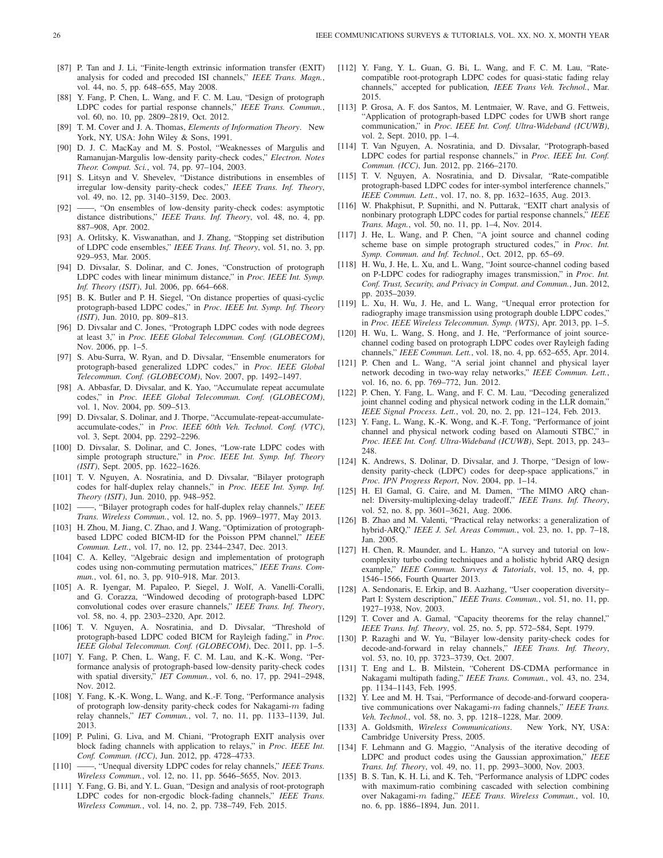- [87] P. Tan and J. Li, "Finite-length extrinsic information transfer (EXIT) analysis for coded and precoded ISI channels," *IEEE Trans. Magn.*, vol. 44, no. 5, pp. 648–655, May 2008.
- [88] Y. Fang, P. Chen, L. Wang, and F. C. M. Lau, "Design of protograph LDPC codes for partial response channels," *IEEE Trans. Commun.*, vol. 60, no. 10, pp. 2809–2819, Oct. 2012.
- [89] T. M. Cover and J. A. Thomas, *Elements of Information Theory*. New York, NY, USA: John Wiley & Sons, 1991.
- [90] D. J. C. MacKay and M. S. Postol, "Weaknesses of Margulis and Ramanujan-Margulis low-density parity-check codes," *Electron. Notes Theor. Comput. Sci.*, vol. 74, pp. 97–104, 2003.
- [91] S. Litsyn and V. Shevelev, "Distance distributions in ensembles of irregular low-density parity-check codes," *IEEE Trans. Inf. Theory*, vol. 49, no. 12, pp. 3140–3159, Dec. 2003.
- [92] ——, "On ensembles of low-density parity-check codes: asymptotic distance distributions," *IEEE Trans. Inf. Theory*, vol. 48, no. 4, pp. 887–908, Apr. 2002.
- [93] A. Orlitsky, K. Viswanathan, and J. Zhang, "Stopping set distribution of LDPC code ensembles," *IEEE Trans. Inf. Theory*, vol. 51, no. 3, pp. 929–953, Mar. 2005.
- [94] D. Divsalar, S. Dolinar, and C. Jones, "Construction of protograph LDPC codes with linear minimum distance," in *Proc. IEEE Int. Symp. Inf. Theory (ISIT)*, Jul. 2006, pp. 664–668.
- [95] B. K. Butler and P. H. Siegel, "On distance properties of quasi-cyclic protograph-based LDPC codes," in *Proc. IEEE Int. Symp. Inf. Theory (ISIT)*, Jun. 2010, pp. 809–813.
- [96] D. Divsalar and C. Jones, "Protograph LDPC codes with node degrees at least 3," in *Proc. IEEE Global Telecommun. Conf. (GLOBECOM)*, Nov. 2006, pp. 1–5.
- [97] S. Abu-Surra, W. Ryan, and D. Divsalar, "Ensemble enumerators for protograph-based generalized LDPC codes," in *Proc. IEEE Global Telecommun. Conf. (GLOBECOM)*, Nov. 2007, pp. 1492–1497.
- [98] A. Abbasfar, D. Divsalar, and K. Yao, "Accumulate repeat accumulate codes," in *Proc. IEEE Global Telecommun. Conf. (GLOBECOM)*, vol. 1, Nov. 2004, pp. 509–513.
- [99] D. Divsalar, S. Dolinar, and J. Thorpe, "Accumulate-repeat-accumulateaccumulate-codes," in *Proc. IEEE 60th Veh. Technol. Conf. (VTC)*, vol. 3, Sept. 2004, pp. 2292–2296.
- [100] D. Divsalar, S. Dolinar, and C. Jones, "Low-rate LDPC codes with simple protograph structure," in *Proc. IEEE Int. Symp. Inf. Theory (ISIT)*, Sept. 2005, pp. 1622–1626.
- [101] T. V. Nguyen, A. Nosratinia, and D. Divsalar, "Bilayer protograph codes for half-duplex relay channels," in *Proc. IEEE Int. Symp. Inf. Theory (ISIT)*, Jun. 2010, pp. 948–952.
- [102] ——, "Bilayer protograph codes for half-duplex relay channels," *IEEE Trans. Wireless Commun.*, vol. 12, no. 5, pp. 1969–1977, May 2013.
- [103] H. Zhou, M. Jiang, C. Zhao, and J. Wang, "Optimization of protographbased LDPC coded BICM-ID for the Poisson PPM channel," *IEEE Commun. Lett.*, vol. 17, no. 12, pp. 2344–2347, Dec. 2013.
- [104] C. A. Kelley, "Algebraic design and implementation of protograph codes using non-commuting permutation matrices," *IEEE Trans. Commun.*, vol. 61, no. 3, pp. 910–918, Mar. 2013.
- [105] A. R. Iyengar, M. Papaleo, P. Siegel, J. Wolf, A. Vanelli-Coralli, and G. Corazza, "Windowed decoding of protograph-based LDPC convolutional codes over erasure channels," *IEEE Trans. Inf. Theory*, vol. 58, no. 4, pp. 2303–2320, Apr. 2012.
- [106] T. V. Nguyen, A. Nosratinia, and D. Divsalar, "Threshold of protograph-based LDPC coded BICM for Rayleigh fading," in *Proc. IEEE Global Telecommun. Conf. (GLOBECOM)*, Dec. 2011, pp. 1–5.
- [107] Y. Fang, P. Chen, L. Wang, F. C. M. Lau, and K.-K. Wong, "Performance analysis of protograph-based low-density parity-check codes with spatial diversity," *IET Commun.*, vol. 6, no. 17, pp. 2941–2948, Nov. 2012.
- [108] Y. Fang, K.-K. Wong, L. Wang, and K.-F. Tong, "Performance analysis of protograph low-density parity-check codes for Nakagami-m fading relay channels," *IET Commun.*, vol. 7, no. 11, pp. 1133–1139, Jul. 2013.
- [109] P. Pulini, G. Liva, and M. Chiani, "Protograph EXIT analysis over block fading channels with application to relays," in *Proc. IEEE Int. Conf. Commun. (ICC)*, Jun. 2012, pp. 4728–4733.
- [110] ——, "Unequal diversity LDPC codes for relay channels," *IEEE Trans. Wireless Commun.*, vol. 12, no. 11, pp. 5646–5655, Nov. 2013.
- [111] Y. Fang, G. Bi, and Y. L. Guan, "Design and analysis of root-protograph LDPC codes for non-ergodic block-fading channels," *IEEE Trans. Wireless Commun.*, vol. 14, no. 2, pp. 738–749, Feb. 2015.
- [112] Y. Fang, Y. L. Guan, G. Bi, L. Wang, and F. C. M. Lau, "Ratecompatible root-protograph LDPC codes for quasi-static fading relay channels," accepted for publication*, IEEE Trans Veh. Technol.*, Mar. 2015.
- [113] P. Grosa, A. F. dos Santos, M. Lentmaier, W. Rave, and G. Fettweis, "Application of protograph-based LDPC codes for UWB short range communication," in *Proc. IEEE Int. Conf. Ultra-Wideband (ICUWB)*, vol. 2, Sept. 2010, pp. 1–4.
- [114] T. Van Nguyen, A. Nosratinia, and D. Divsalar, "Protograph-based LDPC codes for partial response channels," in *Proc. IEEE Int. Conf. Commun. (ICC)*, Jun. 2012, pp. 2166–2170.
- [115] T. V. Nguyen, A. Nosratinia, and D. Divsalar, "Rate-compatible protograph-based LDPC codes for inter-symbol interference channels," *IEEE Commun. Lett.*, vol. 17, no. 8, pp. 1632–1635, Aug. 2013.
- [116] W. Phakphisut, P. Supnithi, and N. Puttarak, "EXIT chart analysis of nonbinary protograph LDPC codes for partial response channels," *IEEE Trans. Magn.*, vol. 50, no. 11, pp. 1–4, Nov. 2014.
- [117] J. He, L. Wang, and P. Chen, "A joint source and channel coding scheme base on simple protograph structured codes," in *Proc. Int. Symp. Commun. and Inf. Technol.*, Oct. 2012, pp. 65–69.
- [118] H. Wu, J. He, L. Xu, and L. Wang, "Joint source-channel coding based on P-LDPC codes for radiography images transmission," in *Proc. Int. Conf. Trust, Security, and Privacy in Comput. and Commun.*, Jun. 2012, pp. 2035–2039.
- [119] L. Xu, H. Wu, J. He, and L. Wang, "Unequal error protection for radiography image transmission using protograph double LDPC codes," in *Proc. IEEE Wireless Telecommun. Symp. (WTS)*, Apr. 2013, pp. 1–5.
- [120] H. Wu, L. Wang, S. Hong, and J. He, "Performance of joint sourcechannel coding based on protograph LDPC codes over Rayleigh fading channels," *IEEE Commun. Lett.*, vol. 18, no. 4, pp. 652–655, Apr. 2014.
- [121] P. Chen and L. Wang, "A serial joint channel and physical layer network decoding in two-way relay networks," *IEEE Commun. Lett.*, vol. 16, no. 6, pp. 769–772, Jun. 2012.
- [122] P. Chen, Y. Fang, L. Wang, and F. C. M. Lau, "Decoding generalized joint channel coding and physical network coding in the LLR domain," *IEEE Signal Process. Lett.*, vol. 20, no. 2, pp. 121–124, Feb. 2013.
- [123] Y. Fang, L. Wang, K.-K. Wong, and K.-F. Tong, "Performance of joint channel and physical network coding based on Alamouti STBC," in *Proc. IEEE Int. Conf. Ultra-Wideband (ICUWB)*, Sept. 2013, pp. 243– 248.
- [124] K. Andrews, S. Dolinar, D. Divsalar, and J. Thorpe, "Design of lowdensity parity-check (LDPC) codes for deep-space applications," in *Proc. IPN Progress Report*, Nov. 2004, pp. 1–14.
- [125] H. El Gamal, G. Caire, and M. Damen, "The MIMO ARQ channel: Diversity-multiplexing-delay tradeoff," *IEEE Trans. Inf. Theory*, vol. 52, no. 8, pp. 3601–3621, Aug. 2006.
- [126] B. Zhao and M. Valenti, "Practical relay networks: a generalization of hybrid-ARQ," *IEEE J. Sel. Areas Commun.*, vol. 23, no. 1, pp. 7–18, Jan. 2005.
- [127] H. Chen, R. Maunder, and L. Hanzo, "A survey and tutorial on lowcomplexity turbo coding techniques and a holistic hybrid ARQ design example," *IEEE Commun. Surveys & Tutorials*, vol. 15, no. 4, pp. 1546–1566, Fourth Quarter 2013.
- [128] A. Sendonaris, E. Erkip, and B. Aazhang, "User cooperation diversity-Part I: System description," IEEE Trans. Commun., vol. 51, no. 11, pp. 1927–1938, Nov. 2003.
- [129] T. Cover and A. Gamal, "Capacity theorems for the relay channel," *IEEE Trans. Inf. Theory*, vol. 25, no. 5, pp. 572–584, Sept. 1979.
- [130] P. Razaghi and W. Yu, "Bilayer low-density parity-check codes for decode-and-forward in relay channels," *IEEE Trans. Inf. Theory*, vol. 53, no. 10, pp. 3723–3739, Oct. 2007.
- [131] T. Eng and L. B. Milstein, "Coherent DS-CDMA performance in Nakagami multipath fading," *IEEE Trans. Commun.*, vol. 43, no. 234, pp. 1134–1143, Feb. 1995.
- [132] Y. Lee and M. H. Tsai, "Performance of decode-and-forward cooperative communications over Nakagami-m fading channels," *IEEE Trans. Veh. Technol.*, vol. 58, no. 3, pp. 1218–1228, Mar. 2009.
- [133] A. Goldsmith, *Wireless Communications*. New York, NY, USA: Cambridge University Press, 2005.
- [134] F. Lehmann and G. Maggio, "Analysis of the iterative decoding of LDPC and product codes using the Gaussian approximation," *IEEE Trans. Inf. Theory*, vol. 49, no. 11, pp. 2993–3000, Nov. 2003.
- [135] B. S. Tan, K. H. Li, and K. Teh, "Performance analysis of LDPC codes with maximum-ratio combining cascaded with selection combining over Nakagami-m fading," *IEEE Trans. Wireless Commun.*, vol. 10, no. 6, pp. 1886–1894, Jun. 2011.